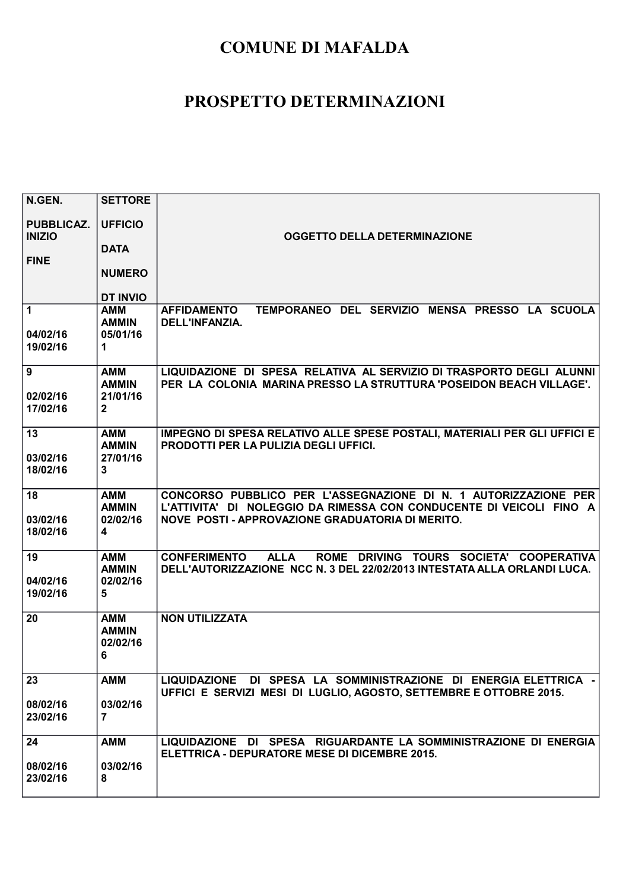| N.GEN.                             | <b>SETTORE</b>                                                    |                                                                                                                                                                                            |
|------------------------------------|-------------------------------------------------------------------|--------------------------------------------------------------------------------------------------------------------------------------------------------------------------------------------|
| <b>PUBBLICAZ.</b><br><b>INIZIO</b> | <b>UFFICIO</b>                                                    | <b>OGGETTO DELLA DETERMINAZIONE</b>                                                                                                                                                        |
|                                    | <b>DATA</b>                                                       |                                                                                                                                                                                            |
| <b>FINE</b>                        | <b>NUMERO</b>                                                     |                                                                                                                                                                                            |
|                                    | <b>DT INVIO</b>                                                   |                                                                                                                                                                                            |
| 1<br>04/02/16                      | <b>AMM</b><br><b>AMMIN</b><br>05/01/16                            | TEMPORANEO DEL SERVIZIO MENSA PRESSO LA SCUOLA<br><b>AFFIDAMENTO</b><br>DELL'INFANZIA.                                                                                                     |
| 19/02/16                           | 1                                                                 |                                                                                                                                                                                            |
| 9<br>02/02/16<br>17/02/16          | AMM<br><b>AMMIN</b><br>21/01/16<br>$\mathbf{2}$                   | LIQUIDAZIONE DI SPESA RELATIVA AL SERVIZIO DI TRASPORTO DEGLI ALUNNI<br>PER LA COLONIA MARINA PRESSO LA STRUTTURA 'POSEIDON BEACH VILLAGE'.                                                |
| 13                                 | <b>AMM</b>                                                        | IMPEGNO DI SPESA RELATIVO ALLE SPESE POSTALI, MATERIALI PER GLI UFFICI E                                                                                                                   |
| 03/02/16<br>18/02/16               | <b>AMMIN</b><br>27/01/16<br>$\mathbf{3}$                          | <b>PRODOTTI PER LA PULIZIA DEGLI UFFICI.</b>                                                                                                                                               |
| 18<br>03/02/16<br>18/02/16         | <b>AMM</b><br><b>AMMIN</b><br>02/02/16<br>$\overline{\mathbf{4}}$ | CONCORSO PUBBLICO PER L'ASSEGNAZIONE DI N. 1 AUTORIZZAZIONE PER<br>L'ATTIVITA' DI NOLEGGIO DA RIMESSA CON CONDUCENTE DI VEICOLI FINO A<br>NOVE POSTI - APPROVAZIONE GRADUATORIA DI MERITO. |
| 19<br>04/02/16<br>19/02/16         | <b>AMM</b><br><b>AMMIN</b><br>02/02/16<br>5                       | ROME DRIVING TOURS SOCIETA' COOPERATIVA<br><b>CONFERIMENTO</b><br><b>ALLA</b><br>DELL'AUTORIZZAZIONE NCC N. 3 DEL 22/02/2013 INTESTATA ALLA ORLANDI LUCA.                                  |
| 20                                 | <b>AMM</b><br><b>AMMIN</b><br>02/02/16<br>6                       | <b>NON UTILIZZATA</b>                                                                                                                                                                      |
| 23                                 | <b>AMM</b>                                                        | LIQUIDAZIONE DI SPESA LA SOMMINISTRAZIONE DI ENERGIA ELETTRICA -                                                                                                                           |
| 08/02/16<br>23/02/16               | 03/02/16<br>7                                                     | UFFICI E SERVIZI MESI DI LUGLIO, AGOSTO, SETTEMBRE E OTTOBRE 2015.                                                                                                                         |
| 24                                 | <b>AMM</b>                                                        | LIQUIDAZIONE DI SPESA RIGUARDANTE LA SOMMINISTRAZIONE DI ENERGIA                                                                                                                           |
| 08/02/16<br>23/02/16               | 03/02/16<br>8                                                     | <b>ELETTRICA - DEPURATORE MESE DI DICEMBRE 2015.</b>                                                                                                                                       |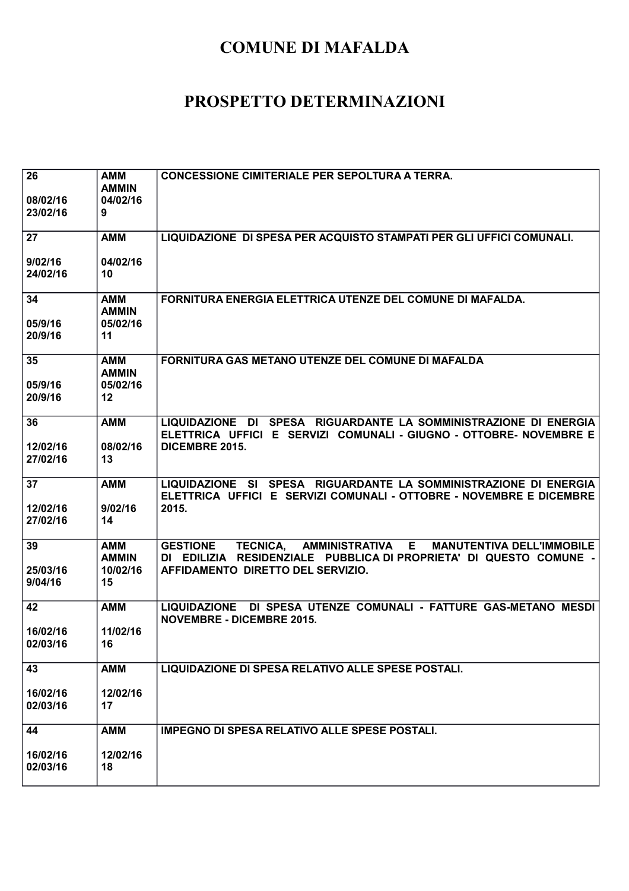| 26<br>08/02/16<br>23/02/16 | <b>AMM</b><br><b>AMMIN</b><br>04/02/16<br>9       | <b>CONCESSIONE CIMITERIALE PER SEPOLTURA A TERRA.</b>                                                                                                                                                 |
|----------------------------|---------------------------------------------------|-------------------------------------------------------------------------------------------------------------------------------------------------------------------------------------------------------|
| 27<br>9/02/16<br>24/02/16  | <b>AMM</b><br>04/02/16<br>10                      | LIQUIDAZIONE DI SPESA PER ACQUISTO STAMPATI PER GLI UFFICI COMUNALI.                                                                                                                                  |
| 34<br>05/9/16<br>20/9/16   | AMM<br><b>AMMIN</b><br>05/02/16<br>11             | FORNITURA ENERGIA ELETTRICA UTENZE DEL COMUNE DI MAFALDA.                                                                                                                                             |
| 35<br>05/9/16<br>20/9/16   | <b>AMM</b><br><b>AMMIN</b><br>05/02/16<br>$12 \,$ | FORNITURA GAS METANO UTENZE DEL COMUNE DI MAFALDA                                                                                                                                                     |
| 36<br>12/02/16<br>27/02/16 | <b>AMM</b><br>08/02/16<br>13                      | LIQUIDAZIONE DI SPESA RIGUARDANTE LA SOMMINISTRAZIONE DI ENERGIA<br>ELETTRICA UFFICI E SERVIZI COMUNALI - GIUGNO - OTTOBRE- NOVEMBRE E<br>DICEMBRE 2015.                                              |
| 37<br>12/02/16<br>27/02/16 | <b>AMM</b><br>9/02/16<br>14                       | LIQUIDAZIONE SI SPESA RIGUARDANTE LA SOMMINISTRAZIONE DI ENERGIA<br>ELETTRICA UFFICI E SERVIZI COMUNALI - OTTOBRE - NOVEMBRE E DICEMBRE<br>2015.                                                      |
| 39<br>25/03/16<br>9/04/16  | <b>AMM</b><br><b>AMMIN</b><br>10/02/16<br>15      | AMMINISTRATIVA E<br><b>GESTIONE</b><br><b>TECNICA,</b><br><b>MANUTENTIVA DELL'IMMOBILE</b><br>DI EDILIZIA RESIDENZIALE PUBBLICA DI PROPRIETA' DI QUESTO COMUNE -<br>AFFIDAMENTO DIRETTO DEL SERVIZIO. |
| 42<br>16/02/16<br>02/03/16 | <b>AMM</b><br>11/02/16<br>16                      | LIQUIDAZIONE DI SPESA UTENZE COMUNALI - FATTURE GAS-METANO MESDI<br><b>NOVEMBRE - DICEMBRE 2015.</b>                                                                                                  |
| 43<br>16/02/16<br>02/03/16 | <b>AMM</b><br>12/02/16<br>17                      | LIQUIDAZIONE DI SPESA RELATIVO ALLE SPESE POSTALI.                                                                                                                                                    |
| 44<br>16/02/16<br>02/03/16 | <b>AMM</b><br>12/02/16<br>18                      | <b>IMPEGNO DI SPESA RELATIVO ALLE SPESE POSTALI.</b>                                                                                                                                                  |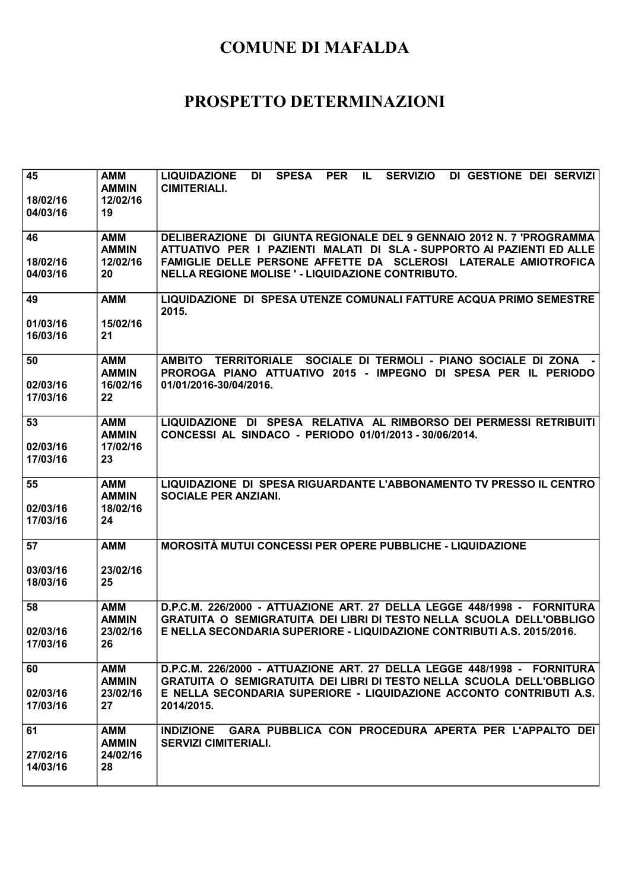| 45<br>18/02/16<br>04/03/16 | <b>AMM</b><br><b>AMMIN</b><br>12/02/16<br>19 | <b>SPESA</b><br><b>PER</b><br><b>SERVIZIO</b><br>DI GESTIONE DEI SERVIZI<br><b>LIQUIDAZIONE</b><br>DI<br>IL.<br><b>CIMITERIALI.</b>                          |
|----------------------------|----------------------------------------------|--------------------------------------------------------------------------------------------------------------------------------------------------------------|
| 46                         | <b>AMM</b><br><b>AMMIN</b>                   | DELIBERAZIONE DI GIUNTA REGIONALE DEL 9 GENNAIO 2012 N. 7 'PROGRAMMA<br>ATTUATIVO PER I PAZIENTI MALATI DI SLA - SUPPORTO AI PAZIENTI ED ALLE                |
| 18/02/16<br>04/03/16       | 12/02/16<br>20                               | FAMIGLIE DELLE PERSONE AFFETTE DA SCLEROSI LATERALE AMIOTROFICA<br>NELLA REGIONE MOLISE ' - LIQUIDAZIONE CONTRIBUTO.                                         |
| 49                         | <b>AMM</b>                                   | LIQUIDAZIONE DI SPESA UTENZE COMUNALI FATTURE ACQUA PRIMO SEMESTRE<br>2015.                                                                                  |
| 01/03/16<br>16/03/16       | 15/02/16<br>21                               |                                                                                                                                                              |
| 50<br>02/03/16<br>17/03/16 | <b>AMM</b><br><b>AMMIN</b><br>16/02/16<br>22 | AMBITO TERRITORIALE SOCIALE DI TERMOLI - PIANO SOCIALE DI ZONA -<br>PROROGA PIANO ATTUATIVO 2015 - IMPEGNO DI SPESA PER IL PERIODO<br>01/01/2016-30/04/2016. |
| 53                         | <b>AMM</b><br><b>AMMIN</b>                   | LIQUIDAZIONE DI SPESA RELATIVA AL RIMBORSO DEI PERMESSI RETRIBUITI<br>CONCESSI AL SINDACO - PERIODO 01/01/2013 - 30/06/2014.                                 |
| 02/03/16<br>17/03/16       | 17/02/16<br>23                               |                                                                                                                                                              |
| 55<br>02/03/16<br>17/03/16 | <b>AMM</b><br><b>AMMIN</b><br>18/02/16<br>24 | LIQUIDAZIONE DI SPESA RIGUARDANTE L'ABBONAMENTO TV PRESSO IL CENTRO<br><b>SOCIALE PER ANZIANI.</b>                                                           |
| 57                         | <b>AMM</b>                                   | <b>MOROSITÀ MUTUI CONCESSI PER OPERE PUBBLICHE - LIQUIDAZIONE</b>                                                                                            |
| 03/03/16<br>18/03/16       | 23/02/16<br>25                               |                                                                                                                                                              |
| 58                         | <b>AMM</b><br><b>AMMIN</b>                   | D.P.C.M. 226/2000 - ATTUAZIONE ART. 27 DELLA LEGGE 448/1998 - FORNITURA<br>GRATUITA O SEMIGRATUITA DEI LIBRI DI TESTO NELLA SCUOLA DELL'OBBLIGO              |
| 02/03/16<br>17/03/16       | 23/02/16<br>26                               | E NELLA SECONDARIA SUPERIORE - LIQUIDAZIONE CONTRIBUTI A.S. 2015/2016.                                                                                       |
| 60                         | <b>AMM</b><br><b>AMMIN</b>                   | D.P.C.M. 226/2000 - ATTUAZIONE ART. 27 DELLA LEGGE 448/1998 - FORNITURA<br>GRATUITA O SEMIGRATUITA DEI LIBRI DI TESTO NELLA SCUOLA DELL'OBBLIGO              |
| 02/03/16<br>17/03/16       | 23/02/16<br>27                               | E NELLA SECONDARIA SUPERIORE - LIQUIDAZIONE ACCONTO CONTRIBUTI A.S.<br>2014/2015.                                                                            |
| 61                         | <b>AMM</b><br><b>AMMIN</b>                   | GARA PUBBLICA CON PROCEDURA APERTA PER L'APPALTO DEI<br><b>INDIZIONE</b><br><b>SERVIZI CIMITERIALI.</b>                                                      |
| 27/02/16                   | 24/02/16                                     |                                                                                                                                                              |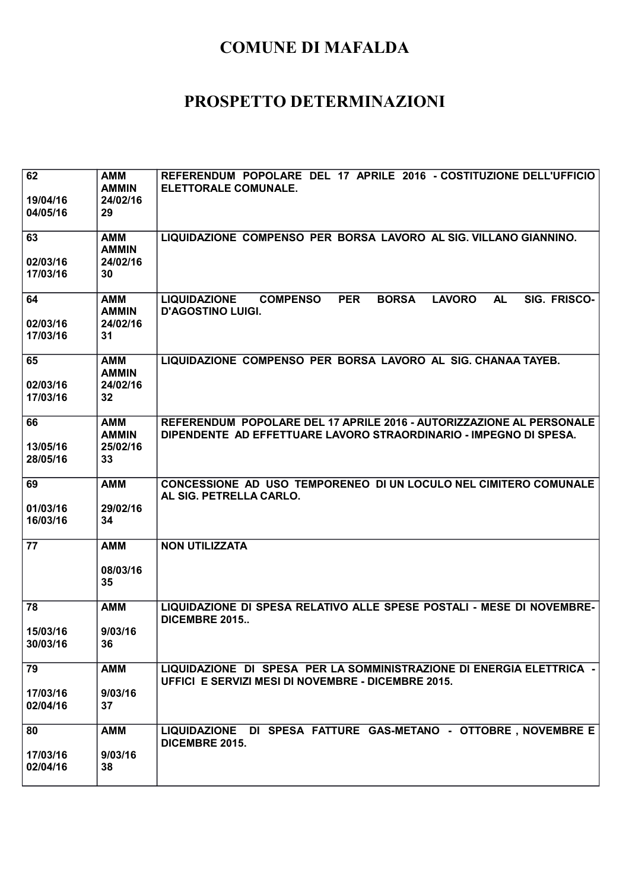| 62<br>19/04/16<br>04/05/16 | <b>AMM</b><br><b>AMMIN</b><br>24/02/16<br>29 | REFERENDUM POPOLARE DEL 17 APRILE 2016 - COSTITUZIONE DELL'UFFICIO<br><b>ELETTORALE COMUNALE.</b>                                              |
|----------------------------|----------------------------------------------|------------------------------------------------------------------------------------------------------------------------------------------------|
| 63<br>02/03/16<br>17/03/16 | <b>AMM</b><br><b>AMMIN</b><br>24/02/16<br>30 | LIQUIDAZIONE COMPENSO PER BORSA LAVORO AL SIG. VILLANO GIANNINO.                                                                               |
| 64<br>02/03/16<br>17/03/16 | <b>AMM</b><br><b>AMMIN</b><br>24/02/16<br>31 | <b>AL</b><br>SIG. FRISCO-<br><b>LIQUIDAZIONE</b><br><b>COMPENSO</b><br><b>PER</b><br><b>BORSA</b><br><b>LAVORO</b><br><b>D'AGOSTINO LUIGI.</b> |
| 65<br>02/03/16<br>17/03/16 | <b>AMM</b><br><b>AMMIN</b><br>24/02/16<br>32 | LIQUIDAZIONE COMPENSO PER BORSA LAVORO AL SIG. CHANAA TAYEB.                                                                                   |
| 66<br>13/05/16<br>28/05/16 | <b>AMM</b><br><b>AMMIN</b><br>25/02/16<br>33 | REFERENDUM POPOLARE DEL 17 APRILE 2016 - AUTORIZZAZIONE AL PERSONALE<br>DIPENDENTE AD EFFETTUARE LAVORO STRAORDINARIO - IMPEGNO DI SPESA.      |
| 69<br>01/03/16<br>16/03/16 | <b>AMM</b><br>29/02/16<br>34                 | CONCESSIONE AD USO TEMPORENEO DI UN LOCULO NEL CIMITERO COMUNALE<br>AL SIG. PETRELLA CARLO.                                                    |
| 77                         | <b>AMM</b><br>08/03/16<br>35                 | <b>NON UTILIZZATA</b>                                                                                                                          |
| 78<br>15/03/16<br>30/03/16 | <b>AMM</b><br>9/03/16<br>36                  | LIQUIDAZIONE DI SPESA RELATIVO ALLE SPESE POSTALI - MESE DI NOVEMBRE-<br><b>DICEMBRE 2015</b>                                                  |
| 79<br>17/03/16<br>02/04/16 | <b>AMM</b><br>9/03/16<br>37                  | LIQUIDAZIONE DI SPESA PER LA SOMMINISTRAZIONE DI ENERGIA ELETTRICA -<br>UFFICI E SERVIZI MESI DI NOVEMBRE - DICEMBRE 2015.                     |
| 80<br>17/03/16<br>02/04/16 | <b>AMM</b><br>9/03/16<br>38                  | LIQUIDAZIONE DI SPESA FATTURE GAS-METANO - OTTOBRE, NOVEMBRE E<br>DICEMBRE 2015.                                                               |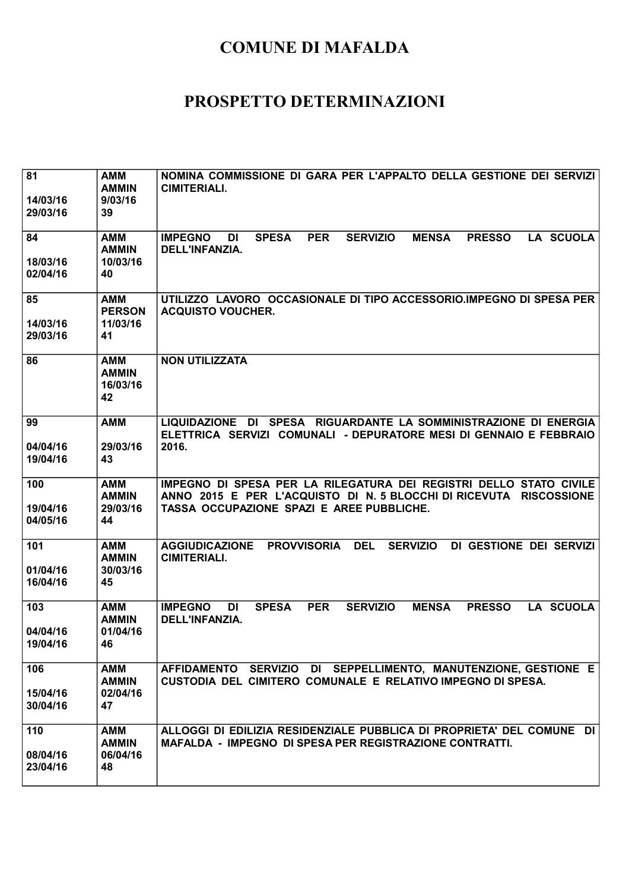| 81<br>14/03/16<br>29/03/16  | AMM<br><b>AMMIN</b><br>9/03/16<br>39          | NOMINA COMMISSIONE DI GARA PER L'APPALTO DELLA GESTIONE DEI SERVIZI<br><b>CIMITERIALI.</b>                                                                                            |
|-----------------------------|-----------------------------------------------|---------------------------------------------------------------------------------------------------------------------------------------------------------------------------------------|
| 84<br>18/03/16<br>02/04/16  | <b>AMM</b><br><b>AMMIN</b><br>10/03/16<br>40  | <b>SPESA</b><br><b>PER</b><br><b>SERVIZIO</b><br>LA SCUOLA<br><b>IMPEGNO</b><br><b>MENSA</b><br><b>PRESSO</b><br>DI<br>DELL'INFANZIA.                                                 |
| 85<br>14/03/16<br>29/03/16  | <b>AMM</b><br><b>PERSON</b><br>11/03/16<br>41 | UTILIZZO LAVORO OCCASIONALE DI TIPO ACCESSORIO.IMPEGNO DI SPESA PER<br><b>ACQUISTO VOUCHER.</b>                                                                                       |
| 86                          | AMM<br><b>AMMIN</b><br>16/03/16<br>42         | <b>NON UTILIZZATA</b>                                                                                                                                                                 |
| 99<br>04/04/16<br>19/04/16  | <b>AMM</b><br>29/03/16<br>43                  | LIQUIDAZIONE DI SPESA RIGUARDANTE LA SOMMINISTRAZIONE DI ENERGIA<br>ELETTRICA SERVIZI COMUNALI - DEPURATORE MESI DI GENNAIO E FEBBRAIO<br>2016.                                       |
| 100<br>19/04/16<br>04/05/16 | <b>AMM</b><br><b>AMMIN</b><br>29/03/16<br>44  | IMPEGNO DI SPESA PER LA RILEGATURA DEI REGISTRI DELLO STATO CIVILE<br>ANNO 2015 E PER L'ACQUISTO DI N. 5 BLOCCHI DI RICEVUTA RISCOSSIONE<br>TASSA OCCUPAZIONE SPAZI E AREE PUBBLICHE. |
| 101<br>01/04/16<br>16/04/16 | <b>AMM</b><br><b>AMMIN</b><br>30/03/16<br>45  | <b>DEL</b><br><b>AGGIUDICAZIONE</b><br><b>PROVVISORIA</b><br><b>SERVIZIO</b><br>DI GESTIONE DEI SERVIZI<br><b>CIMITERIALI.</b>                                                        |
| 103<br>04/04/16<br>19/04/16 | <b>AMM</b><br><b>AMMIN</b><br>01/04/16<br>46  | <b>IMPEGNO</b><br><b>SPESA</b><br><b>PER</b><br><b>LA SCUOLA</b><br>DI<br><b>SERVIZIO</b><br><b>MENSA</b><br><b>PRESSO</b><br><b>DELL'INFANZIA.</b>                                   |
| 106<br>15/04/16<br>30/04/16 | <b>AMM</b><br><b>AMMIN</b><br>02/04/16<br>47  | AFFIDAMENTO SERVIZIO DI SEPPELLIMENTO, MANUTENZIONE, GESTIONE E<br>CUSTODIA DEL CIMITERO COMUNALE E RELATIVO IMPEGNO DI SPESA.                                                        |
| 110<br>08/04/16<br>23/04/16 | <b>AMM</b><br><b>AMMIN</b><br>06/04/16<br>48  | ALLOGGI DI EDILIZIA RESIDENZIALE PUBBLICA DI PROPRIETA' DEL COMUNE DI<br>MAFALDA - IMPEGNO DI SPESA PER REGISTRAZIONE CONTRATTI.                                                      |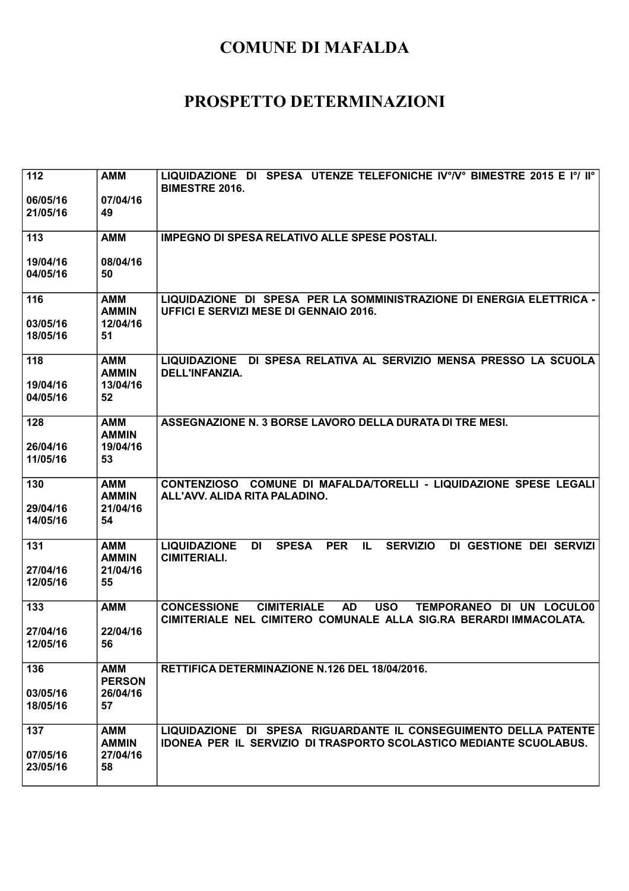| 112                         | <b>AMM</b>                                    | LIQUIDAZIONE DI SPESA UTENZE TELEFONICHE IV°/V° BIMESTRE 2015 E I°/ II°<br><b>BIMESTRE 2016.</b>                                                                     |
|-----------------------------|-----------------------------------------------|----------------------------------------------------------------------------------------------------------------------------------------------------------------------|
| 06/05/16<br>21/05/16        | 07/04/16<br>49                                |                                                                                                                                                                      |
| 113                         | <b>AMM</b>                                    | <b>IMPEGNO DI SPESA RELATIVO ALLE SPESE POSTALI.</b>                                                                                                                 |
| 19/04/16<br>04/05/16        | 08/04/16<br>50                                |                                                                                                                                                                      |
| 116<br>03/05/16<br>18/05/16 | <b>AMM</b><br><b>AMMIN</b><br>12/04/16<br>51  | LIQUIDAZIONE DI SPESA PER LA SOMMINISTRAZIONE DI ENERGIA ELETTRICA -<br><b>UFFICI E SERVIZI MESE DI GENNAIO 2016.</b>                                                |
| 118<br>19/04/16<br>04/05/16 | <b>AMM</b><br><b>AMMIN</b><br>13/04/16<br>52  | LIQUIDAZIONE DI SPESA RELATIVA AL SERVIZIO MENSA PRESSO LA SCUOLA<br>DELL'INFANZIA.                                                                                  |
| 128<br>26/04/16<br>11/05/16 | <b>AMM</b><br><b>AMMIN</b><br>19/04/16<br>53  | ASSEGNAZIONE N. 3 BORSE LAVORO DELLA DURATA DI TRE MESI.                                                                                                             |
| 130<br>29/04/16<br>14/05/16 | <b>AMM</b><br><b>AMMIN</b><br>21/04/16<br>54  | CONTENZIOSO COMUNE DI MAFALDA/TORELLI - LIQUIDAZIONE SPESE LEGALI<br>ALL'AVV. ALIDA RITA PALADINO.                                                                   |
| 131<br>27/04/16<br>12/05/16 | <b>AMM</b><br><b>AMMIN</b><br>21/04/16<br>55  | <b>LIQUIDAZIONE</b><br><b>PER</b><br>IL<br><b>SERVIZIO</b><br><b>DI</b><br><b>SPESA</b><br>DI GESTIONE DEI SERVIZI<br><b>CIMITERIALI.</b>                            |
| 133<br>27/04/16<br>12/05/16 | <b>AMM</b><br>22/04/16<br>56                  | <b>CONCESSIONE</b><br><b>CIMITERIALE</b><br><b>AD</b><br><b>USO</b><br>TEMPORANEO DI UN LOCULO0<br>CIMITERIALE NEL CIMITERO COMUNALE ALLA SIG.RA BERARDI IMMACOLATA. |
| 136<br>03/05/16<br>18/05/16 | <b>AMM</b><br><b>PERSON</b><br>26/04/16<br>57 | RETTIFICA DETERMINAZIONE N.126 DEL 18/04/2016.                                                                                                                       |
| 137<br>07/05/16<br>23/05/16 | <b>AMM</b><br><b>AMMIN</b><br>27/04/16<br>58  | LIQUIDAZIONE DI SPESA RIGUARDANTE IL CONSEGUIMENTO DELLA PATENTE<br><b>IDONEA PER IL SERVIZIO DI TRASPORTO SCOLASTICO MEDIANTE SCUOLABUS.</b>                        |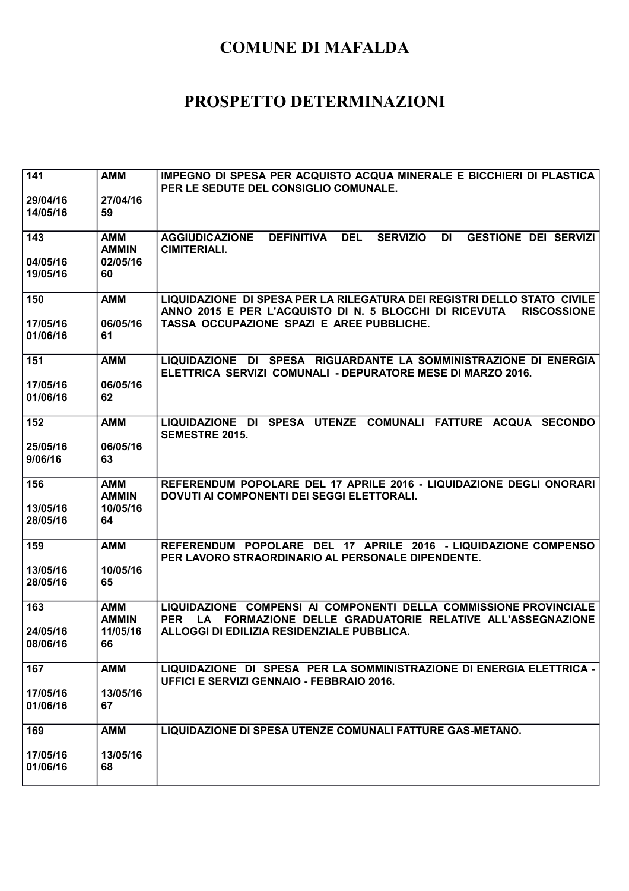| 141                  | <b>AMM</b>                 | IMPEGNO DI SPESA PER ACQUISTO ACQUA MINERALE E BICCHIERI DI PLASTICA<br>PER LE SEDUTE DEL CONSIGLIO COMUNALE.                                           |
|----------------------|----------------------------|---------------------------------------------------------------------------------------------------------------------------------------------------------|
| 29/04/16<br>14/05/16 | 27/04/16<br>59             |                                                                                                                                                         |
| 143                  | <b>AMM</b><br><b>AMMIN</b> | <b>DEL</b><br><b>AGGIUDICAZIONE</b><br><b>DEFINITIVA</b><br><b>SERVIZIO</b><br>DI<br><b>GESTIONE DEI SERVIZI</b><br><b>CIMITERIALI.</b>                 |
| 04/05/16<br>19/05/16 | 02/05/16<br>60             |                                                                                                                                                         |
| 150                  | <b>AMM</b>                 | LIQUIDAZIONE DI SPESA PER LA RILEGATURA DEI REGISTRI DELLO STATO CIVILE<br>ANNO 2015 E PER L'ACQUISTO DI N. 5 BLOCCHI DI RICEVUTA<br><b>RISCOSSIONE</b> |
| 17/05/16<br>01/06/16 | 06/05/16<br>61             | TASSA OCCUPAZIONE SPAZI E AREE PUBBLICHE.                                                                                                               |
| 151                  | <b>AMM</b>                 | LIQUIDAZIONE DI SPESA RIGUARDANTE LA SOMMINISTRAZIONE DI ENERGIA<br>ELETTRICA SERVIZI COMUNALI - DEPURATORE MESE DI MARZO 2016.                         |
| 17/05/16<br>01/06/16 | 06/05/16<br>62             |                                                                                                                                                         |
| 152                  | <b>AMM</b>                 | LIQUIDAZIONE DI SPESA UTENZE COMUNALI FATTURE ACQUA SECONDO<br><b>SEMESTRE 2015.</b>                                                                    |
| 25/05/16<br>9/06/16  | 06/05/16<br>63             |                                                                                                                                                         |
| 156                  | <b>AMM</b><br><b>AMMIN</b> | REFERENDUM POPOLARE DEL 17 APRILE 2016 - LIQUIDAZIONE DEGLI ONORARI<br>DOVUTI AI COMPONENTI DEI SEGGI ELETTORALI.                                       |
| 13/05/16<br>28/05/16 | 10/05/16<br>64             |                                                                                                                                                         |
| 159                  | <b>AMM</b>                 | REFERENDUM POPOLARE DEL 17 APRILE 2016 - LIQUIDAZIONE COMPENSO<br>PER LAVORO STRAORDINARIO AL PERSONALE DIPENDENTE.                                     |
| 13/05/16<br>28/05/16 | 10/05/16<br>65             |                                                                                                                                                         |
| 163                  | <b>AMM</b><br><b>AMMIN</b> | LIQUIDAZIONE COMPENSI AI COMPONENTI DELLA COMMISSIONE PROVINCIALE<br>FORMAZIONE DELLE GRADUATORIE RELATIVE ALL'ASSEGNAZIONE<br><b>PER</b><br>LA.        |
| 24/05/16<br>08/06/16 | 11/05/16<br>66             | ALLOGGI DI EDILIZIA RESIDENZIALE PUBBLICA.                                                                                                              |
| 167                  | <b>AMM</b>                 | LIQUIDAZIONE DI SPESA PER LA SOMMINISTRAZIONE DI ENERGIA ELETTRICA -<br><b>UFFICI E SERVIZI GENNAIO - FEBBRAIO 2016.</b>                                |
| 17/05/16<br>01/06/16 | 13/05/16<br>67             |                                                                                                                                                         |
| 169                  | <b>AMM</b>                 | LIQUIDAZIONE DI SPESA UTENZE COMUNALI FATTURE GAS-METANO.                                                                                               |
| 17/05/16<br>01/06/16 | 13/05/16<br>68             |                                                                                                                                                         |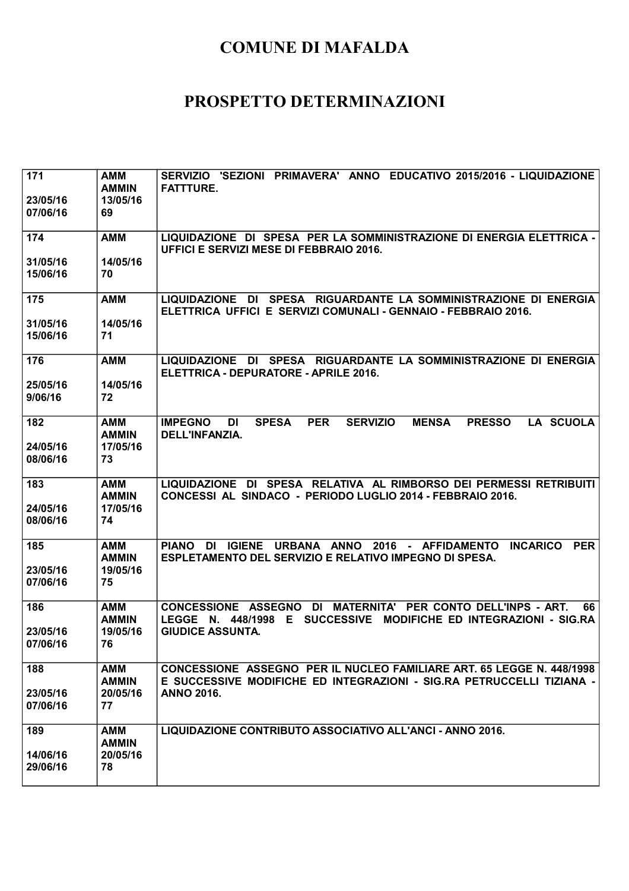| 171<br>23/05/16<br>07/06/16 | <b>AMM</b><br><b>AMMIN</b><br>13/05/16<br>69 | SERVIZIO 'SEZIONI PRIMAVERA' ANNO EDUCATIVO 2015/2016 - LIQUIDAZIONE<br><b>FATTTURE.</b>                                                                                  |
|-----------------------------|----------------------------------------------|---------------------------------------------------------------------------------------------------------------------------------------------------------------------------|
| 174                         | <b>AMM</b>                                   | LIQUIDAZIONE DI SPESA PER LA SOMMINISTRAZIONE DI ENERGIA ELETTRICA -<br>UFFICI E SERVIZI MESE DI FEBBRAIO 2016.                                                           |
| 31/05/16<br>15/06/16        | 14/05/16<br>70                               |                                                                                                                                                                           |
| 175                         | <b>AMM</b>                                   | LIQUIDAZIONE DI SPESA RIGUARDANTE LA SOMMINISTRAZIONE DI ENERGIA<br>ELETTRICA UFFICI E SERVIZI COMUNALI - GENNAIO - FEBBRAIO 2016.                                        |
| 31/05/16<br>15/06/16        | 14/05/16<br>71                               |                                                                                                                                                                           |
| 176                         | <b>AMM</b>                                   | LIQUIDAZIONE DI SPESA RIGUARDANTE LA SOMMINISTRAZIONE DI ENERGIA<br>ELETTRICA - DEPURATORE - APRILE 2016.                                                                 |
| 25/05/16<br>9/06/16         | 14/05/16<br>72                               |                                                                                                                                                                           |
| 182                         | <b>AMM</b><br><b>AMMIN</b>                   | <b>LA SCUOLA</b><br><b>IMPEGNO</b><br><b>SPESA</b><br><b>PER</b><br><b>SERVIZIO</b><br><b>MENSA</b><br><b>PRESSO</b><br>DI<br>DELL'INFANZIA.                              |
| 24/05/16<br>08/06/16        | 17/05/16<br>73                               |                                                                                                                                                                           |
| 183<br>24/05/16<br>08/06/16 | AMM<br><b>AMMIN</b><br>17/05/16<br>74        | LIQUIDAZIONE DI SPESA RELATIVA AL RIMBORSO DEI PERMESSI RETRIBUITI<br>CONCESSI AL SINDACO - PERIODO LUGLIO 2014 - FEBBRAIO 2016.                                          |
| 185                         | <b>AMM</b><br><b>AMMIN</b>                   | <b>PIANO</b><br>DI IGIENE<br>URBANA ANNO 2016 - AFFIDAMENTO<br><b>PER</b><br><b>INCARICO</b><br>ESPLETAMENTO DEL SERVIZIO E RELATIVO IMPEGNO DI SPESA.                    |
| 23/05/16<br>07/06/16        | 19/05/16<br>75                               |                                                                                                                                                                           |
| 186                         | <b>AMM</b><br><b>AMMIN</b>                   | CONCESSIONE ASSEGNO DI MATERNITA' PER CONTO DELL'INPS - ART.<br>66<br>N. 448/1998<br>E.<br><b>SUCCESSIVE</b><br><b>MODIFICHE ED INTEGRAZIONI - SIG.RA</b><br><b>LEGGE</b> |
| 23/05/16<br>07/06/16        | 19/05/16<br>76                               | <b>GIUDICE ASSUNTA.</b>                                                                                                                                                   |
| 188                         | <b>AMM</b><br><b>AMMIN</b>                   | <b>CONCESSIONE ASSEGNO PER IL NUCLEO FAMILIARE ART. 65 LEGGE N. 448/1998</b><br>E SUCCESSIVE MODIFICHE ED INTEGRAZIONI - SIG.RA PETRUCCELLI TIZIANA -                     |
| 23/05/16<br>07/06/16        | 20/05/16<br>77                               | <b>ANNO 2016.</b>                                                                                                                                                         |
| 189                         | <b>AMM</b><br><b>AMMIN</b>                   | LIQUIDAZIONE CONTRIBUTO ASSOCIATIVO ALL'ANCI - ANNO 2016.                                                                                                                 |
| 14/06/16<br>29/06/16        | 20/05/16<br>78                               |                                                                                                                                                                           |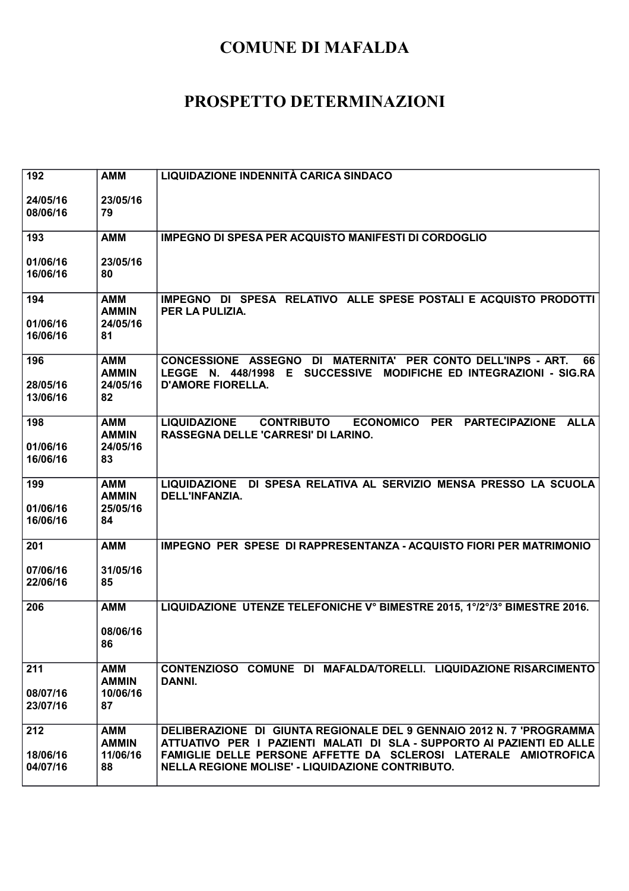| 192                         | <b>AMM</b>                                   | LIQUIDAZIONE INDENNITÀ CARICA SINDACO                                                                                                                                                                                                                                |
|-----------------------------|----------------------------------------------|----------------------------------------------------------------------------------------------------------------------------------------------------------------------------------------------------------------------------------------------------------------------|
| 24/05/16<br>08/06/16        | 23/05/16<br>79                               |                                                                                                                                                                                                                                                                      |
| 193                         | <b>AMM</b>                                   | <b>IMPEGNO DI SPESA PER ACQUISTO MANIFESTI DI CORDOGLIO</b>                                                                                                                                                                                                          |
| 01/06/16<br>16/06/16        | 23/05/16<br>80                               |                                                                                                                                                                                                                                                                      |
| 194<br>01/06/16<br>16/06/16 | <b>AMM</b><br><b>AMMIN</b><br>24/05/16<br>81 | IMPEGNO DI SPESA RELATIVO ALLE SPESE POSTALI E ACQUISTO PRODOTTI<br>PER LA PULIZIA.                                                                                                                                                                                  |
| 196<br>28/05/16<br>13/06/16 | <b>AMM</b><br><b>AMMIN</b><br>24/05/16<br>82 | CONCESSIONE ASSEGNO DI MATERNITA' PER CONTO DELL'INPS - ART.<br>66<br>LEGGE N. 448/1998 E SUCCESSIVE MODIFICHE ED INTEGRAZIONI - SIG.RA<br><b>D'AMORE FIORELLA.</b>                                                                                                  |
| 198<br>01/06/16<br>16/06/16 | AMM<br><b>AMMIN</b><br>24/05/16<br>83        | ECONOMICO PER PARTECIPAZIONE<br><b>LIQUIDAZIONE</b><br><b>CONTRIBUTO</b><br><b>ALLA</b><br>RASSEGNA DELLE 'CARRESI' DI LARINO.                                                                                                                                       |
| 199<br>01/06/16<br>16/06/16 | <b>AMM</b><br><b>AMMIN</b><br>25/05/16<br>84 | LIQUIDAZIONE DI SPESA RELATIVA AL SERVIZIO MENSA PRESSO LA SCUOLA<br>DELL'INFANZIA.                                                                                                                                                                                  |
| 201                         | <b>AMM</b>                                   | IMPEGNO PER SPESE DI RAPPRESENTANZA - ACQUISTO FIORI PER MATRIMONIO                                                                                                                                                                                                  |
| 07/06/16<br>22/06/16        | 31/05/16<br>85                               |                                                                                                                                                                                                                                                                      |
| 206                         | <b>AMM</b><br>08/06/16<br>86                 | LIQUIDAZIONE UTENZE TELEFONICHE V° BIMESTRE 2015, 1°/2°/3° BIMESTRE 2016.                                                                                                                                                                                            |
| 211<br>08/07/16<br>23/07/16 | <b>AMM</b><br><b>AMMIN</b><br>10/06/16<br>87 | CONTENZIOSO COMUNE DI MAFALDA/TORELLI. LIQUIDAZIONE RISARCIMENTO<br>DANNI.                                                                                                                                                                                           |
| 212<br>18/06/16<br>04/07/16 | <b>AMM</b><br><b>AMMIN</b><br>11/06/16<br>88 | DELIBERAZIONE DI GIUNTA REGIONALE DEL 9 GENNAIO 2012 N. 7 'PROGRAMMA<br>ATTUATIVO PER I PAZIENTI MALATI DI SLA - SUPPORTO AI PAZIENTI ED ALLE<br>FAMIGLIE DELLE PERSONE AFFETTE DA SCLEROSI LATERALE AMIOTROFICA<br>NELLA REGIONE MOLISE' - LIQUIDAZIONE CONTRIBUTO. |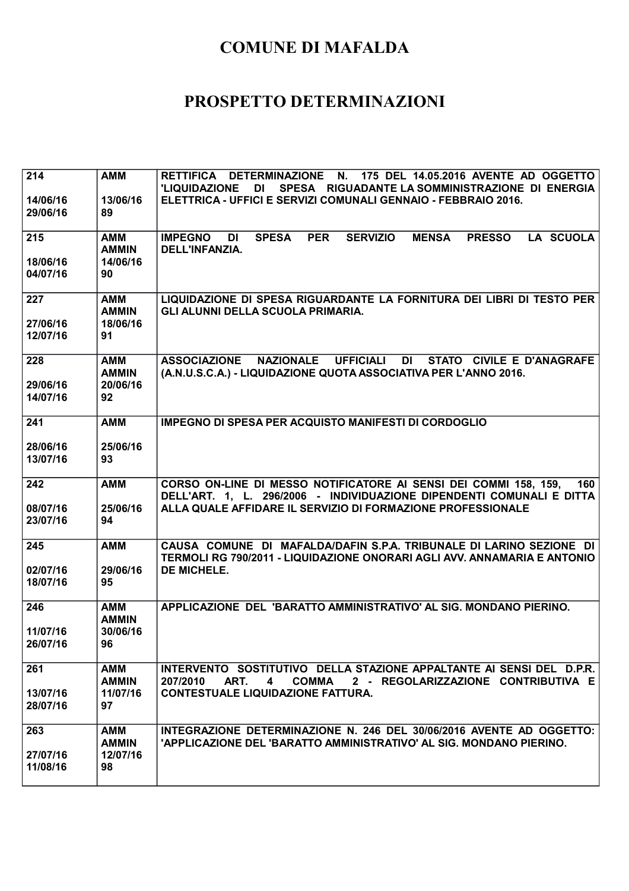| 214<br>14/06/16<br>29/06/16 | <b>AMM</b><br>13/06/16<br>89                 | RETTIFICA DETERMINAZIONE N. 175 DEL 14.05.2016 AVENTE AD OGGETTO<br>'LIQUIDAZIONE<br>DI<br>SPESA RIGUADANTE LA SOMMINISTRAZIONE DI ENERGIA<br>ELETTRICA - UFFICI E SERVIZI COMUNALI GENNAIO - FEBBRAIO 2016.           |
|-----------------------------|----------------------------------------------|------------------------------------------------------------------------------------------------------------------------------------------------------------------------------------------------------------------------|
| 215<br>18/06/16<br>04/07/16 | AMM<br><b>AMMIN</b><br>14/06/16<br>90        | <b>PER</b><br><b>SERVIZIO</b><br><b>PRESSO</b><br><b>LA SCUOLA</b><br><b>IMPEGNO</b><br>DI<br><b>SPESA</b><br><b>MENSA</b><br><b>DELL'INFANZIA.</b>                                                                    |
| 227<br>27/06/16<br>12/07/16 | <b>AMM</b><br><b>AMMIN</b><br>18/06/16<br>91 | LIQUIDAZIONE DI SPESA RIGUARDANTE LA FORNITURA DEI LIBRI DI TESTO PER<br>GLI ALUNNI DELLA SCUOLA PRIMARIA.                                                                                                             |
| 228<br>29/06/16<br>14/07/16 | AMM<br><b>AMMIN</b><br>20/06/16<br>92        | NAZIONALE UFFICIALI<br><b>ASSOCIAZIONE</b><br>DI<br>STATO CIVILE E D'ANAGRAFE<br>(A.N.U.S.C.A.) - LIQUIDAZIONE QUOTA ASSOCIATIVA PER L'ANNO 2016.                                                                      |
| 241<br>28/06/16<br>13/07/16 | <b>AMM</b><br>25/06/16<br>93                 | <b>IMPEGNO DI SPESA PER ACQUISTO MANIFESTI DI CORDOGLIO</b>                                                                                                                                                            |
| 242<br>08/07/16<br>23/07/16 | <b>AMM</b><br>25/06/16<br>94                 | CORSO ON-LINE DI MESSO NOTIFICATORE AI SENSI DEI COMMI 158, 159,<br>160<br>DELL'ART. 1, L. 296/2006 - INDIVIDUAZIONE DIPENDENTI COMUNALI E DITTA<br>ALLA QUALE AFFIDARE IL SERVIZIO DI FORMAZIONE PROFESSIONALE        |
| 245<br>02/07/16<br>18/07/16 | <b>AMM</b><br>29/06/16<br>95                 | CAUSA COMUNE DI MAFALDA/DAFIN S.P.A. TRIBUNALE DI LARINO SEZIONE DI<br>TERMOLI RG 790/2011 - LIQUIDAZIONE ONORARI AGLI AVV. ANNAMARIA E ANTONIO<br>DE MICHELE.                                                         |
| 246<br>11/07/16<br>26/07/16 | <b>AMM</b><br><b>AMMIN</b><br>30/06/16<br>96 | APPLICAZIONE DEL 'BARATTO AMMINISTRATIVO' AL SIG. MONDANO PIERINO.                                                                                                                                                     |
| 261<br>13/07/16<br>28/07/16 | <b>AMM</b><br><b>AMMIN</b><br>11/07/16<br>97 | INTERVENTO SOSTITUTIVO DELLA STAZIONE APPALTANTE AI SENSI DEL D.P.R.<br>ART.<br><b>COMMA</b><br>2 - REGOLARIZZAZIONE CONTRIBUTIVA E<br>207/2010<br>$\overline{\mathbf{4}}$<br><b>CONTESTUALE LIQUIDAZIONE FATTURA.</b> |
| 263<br>27/07/16<br>11/08/16 | <b>AMM</b><br><b>AMMIN</b><br>12/07/16<br>98 | INTEGRAZIONE DETERMINAZIONE N. 246 DEL 30/06/2016 AVENTE AD OGGETTO:<br>'APPLICAZIONE DEL 'BARATTO AMMINISTRATIVO' AL SIG. MONDANO PIERINO.                                                                            |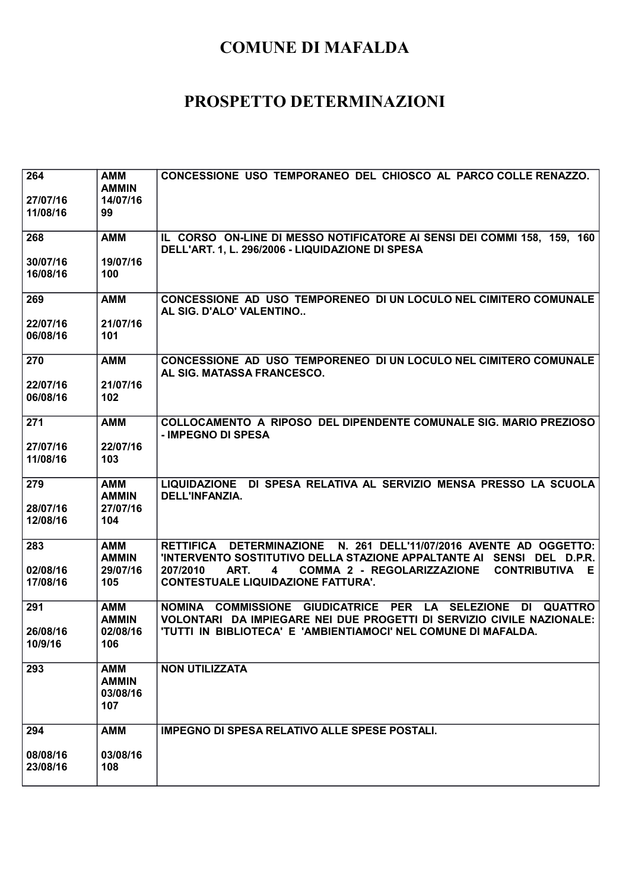| 264<br>27/07/16<br>11/08/16 | <b>AMM</b><br><b>AMMIN</b><br>14/07/16<br>99  | CONCESSIONE USO TEMPORANEO DEL CHIOSCO AL PARCO COLLE RENAZZO.                                                                                                                                        |
|-----------------------------|-----------------------------------------------|-------------------------------------------------------------------------------------------------------------------------------------------------------------------------------------------------------|
| 268                         | <b>AMM</b>                                    | IL CORSO ON-LINE DI MESSO NOTIFICATORE AI SENSI DEI COMMI 158, 159, 160<br>DELL'ART. 1, L. 296/2006 - LIQUIDAZIONE DI SPESA                                                                           |
| 30/07/16<br>16/08/16        | 19/07/16<br>100                               |                                                                                                                                                                                                       |
| 269                         | <b>AMM</b>                                    | CONCESSIONE AD USO TEMPORENEO DI UN LOCULO NEL CIMITERO COMUNALE<br>AL SIG. D'ALO' VALENTINO                                                                                                          |
| 22/07/16<br>06/08/16        | 21/07/16<br>101                               |                                                                                                                                                                                                       |
| 270                         | <b>AMM</b>                                    | CONCESSIONE AD USO TEMPORENEO DI UN LOCULO NEL CIMITERO COMUNALE<br>AL SIG. MATASSA FRANCESCO.                                                                                                        |
| 22/07/16<br>06/08/16        | 21/07/16<br>102                               |                                                                                                                                                                                                       |
| 271                         | <b>AMM</b>                                    | COLLOCAMENTO A RIPOSO DEL DIPENDENTE COMUNALE SIG. MARIO PREZIOSO<br>- IMPEGNO DI SPESA                                                                                                               |
| 27/07/16<br>11/08/16        | 22/07/16<br>103                               |                                                                                                                                                                                                       |
| 279<br>28/07/16<br>12/08/16 | <b>AMM</b><br><b>AMMIN</b><br>27/07/16<br>104 | LIQUIDAZIONE DI SPESA RELATIVA AL SERVIZIO MENSA PRESSO LA SCUOLA<br>DELL'INFANZIA.                                                                                                                   |
| 283                         | <b>AMM</b>                                    | RETTIFICA DETERMINAZIONE N. 261 DELL'11/07/2016 AVENTE AD OGGETTO:                                                                                                                                    |
| 02/08/16<br>17/08/16        | <b>AMMIN</b><br>29/07/16<br>105               | 'INTERVENTO SOSTITUTIVO DELLA STAZIONE APPALTANTE AI SENSI DEL D.P.R.<br>ART.<br>COMMA 2 - REGOLARIZZAZIONE<br>207/2010<br>4<br><b>CONTRIBUTIVA</b><br>E<br><b>CONTESTUALE LIQUIDAZIONE FATTURA'.</b> |
| 291                         | <b>AMM</b><br><b>AMMIN</b>                    | NOMINA COMMISSIONE<br><b>GIUDICATRICE PER</b><br><b>LA</b><br><b>SELEZIONE</b><br><b>QUATTRO</b><br>DI<br>VOLONTARI DA IMPIEGARE NEI DUE PROGETTI DI SERVIZIO CIVILE NAZIONALE:                       |
| 26/08/16<br>10/9/16         | 02/08/16<br>106                               | 'TUTTI IN BIBLIOTECA' E 'AMBIENTIAMOCI' NEL COMUNE DI MAFALDA.                                                                                                                                        |
| 293                         | <b>AMM</b><br><b>AMMIN</b><br>03/08/16<br>107 | <b>NON UTILIZZATA</b>                                                                                                                                                                                 |
| 294                         | <b>AMM</b>                                    | <b>IMPEGNO DI SPESA RELATIVO ALLE SPESE POSTALI.</b>                                                                                                                                                  |
| 08/08/16<br>23/08/16        | 03/08/16<br>108                               |                                                                                                                                                                                                       |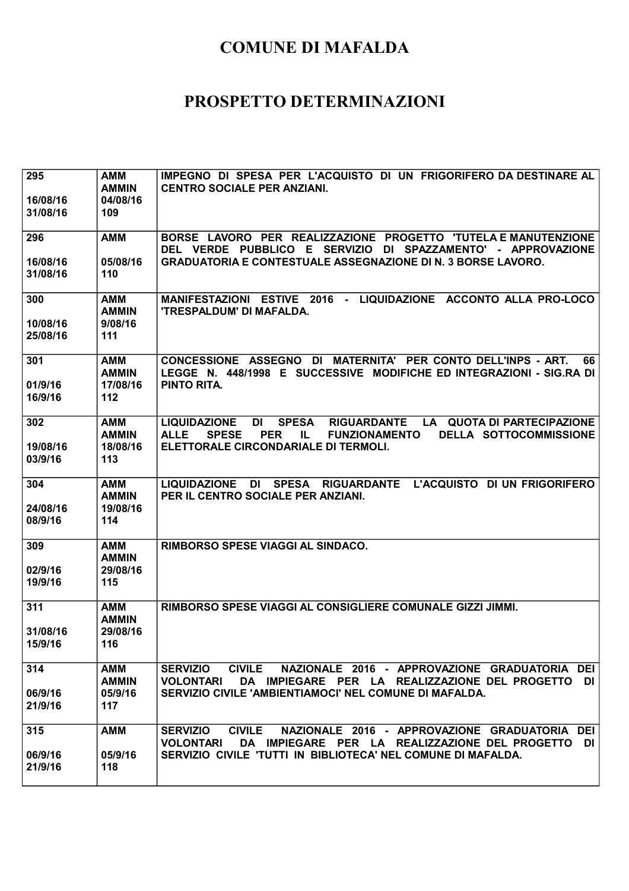| 295<br>16/08/16<br>31/08/16 | <b>AMM</b><br><b>AMMIN</b><br>04/08/16<br>109 | IMPEGNO DI SPESA PER L'ACQUISTO DI UN FRIGORIFERO DA DESTINARE AL<br><b>CENTRO SOCIALE PER ANZIANI.</b>                                                                                                                 |
|-----------------------------|-----------------------------------------------|-------------------------------------------------------------------------------------------------------------------------------------------------------------------------------------------------------------------------|
| 296                         | <b>AMM</b>                                    | BORSE LAVORO PER REALIZZAZIONE PROGETTO 'TUTELA E MANUTENZIONE<br>DEL VERDE PUBBLICO E SERVIZIO DI SPAZZAMENTO' - APPROVAZIONE                                                                                          |
| 16/08/16<br>31/08/16        | 05/08/16<br>110                               | <b>GRADUATORIA E CONTESTUALE ASSEGNAZIONE DI N. 3 BORSE LAVORO.</b>                                                                                                                                                     |
| 300<br>10/08/16<br>25/08/16 | AMM<br><b>AMMIN</b><br>9/08/16<br>111         | MANIFESTAZIONI ESTIVE 2016 - LIQUIDAZIONE ACCONTO ALLA PRO-LOCO<br>'TRESPALDUM' DI MAFALDA.                                                                                                                             |
| 301<br>01/9/16<br>16/9/16   | <b>AMM</b><br><b>AMMIN</b><br>17/08/16<br>112 | CONCESSIONE ASSEGNO DI MATERNITA' PER CONTO DELL'INPS - ART.<br>66<br>LEGGE N. 448/1998 E SUCCESSIVE MODIFICHE ED INTEGRAZIONI - SIG.RA DI<br><b>PINTO RITA.</b>                                                        |
| 302                         | <b>AMM</b><br><b>AMMIN</b>                    | <b>SPESA</b><br>RIGUARDANTE LA QUOTA DI PARTECIPAZIONE<br><b>LIQUIDAZIONE</b><br>DI<br><b>ALLE</b><br>DELLA SOTTOCOMMISSIONE<br><b>SPESE</b><br><b>PER</b><br>IL.<br><b>FUNZIONAMENTO</b>                               |
| 19/08/16<br>03/9/16         | 18/08/16<br>113                               | ELETTORALE CIRCONDARIALE DI TERMOLI.                                                                                                                                                                                    |
| 304<br>24/08/16<br>08/9/16  | <b>AMM</b><br><b>AMMIN</b><br>19/08/16<br>114 | <b>LIQUIDAZIONE</b><br>DI<br>SPESA RIGUARDANTE<br>L'ACQUISTO DI UN FRIGORIFERO<br>PER IL CENTRO SOCIALE PER ANZIANI.                                                                                                    |
| 309                         | <b>AMM</b><br><b>AMMIN</b>                    | RIMBORSO SPESE VIAGGI AL SINDACO.                                                                                                                                                                                       |
| 02/9/16<br>19/9/16          | 29/08/16<br>115                               |                                                                                                                                                                                                                         |
| 311                         | <b>AMM</b><br><b>AMMIN</b>                    | RIMBORSO SPESE VIAGGI AL CONSIGLIERE COMUNALE GIZZI JIMMI.                                                                                                                                                              |
| 31/08/16<br>15/9/16         | 29/08/16<br>116                               |                                                                                                                                                                                                                         |
| 314<br>06/9/16<br>21/9/16   | AMM<br><b>AMMIN</b><br>05/9/16<br>117         | <b>CIVILE</b><br>NAZIONALE 2016 - APPROVAZIONE GRADUATORIA DEI<br><b>SERVIZIO</b><br>DA IMPIEGARE PER LA REALIZZAZIONE DEL PROGETTO<br><b>VOLONTARI</b><br>DI<br>SERVIZIO CIVILE 'AMBIENTIAMOCI' NEL COMUNE DI MAFALDA. |
| 315                         | <b>AMM</b>                                    | <b>CIVILE</b><br><b>SERVIZIO</b><br>NAZIONALE 2016 - APPROVAZIONE GRADUATORIA DEI<br><b>VOLONTARI</b><br>DA IMPIEGARE PER LA REALIZZAZIONE DEL PROGETTO<br>DI                                                           |
| 06/9/16<br>21/9/16          | 05/9/16<br>118                                | SERVIZIO CIVILE 'TUTTI IN BIBLIOTECA' NEL COMUNE DI MAFALDA.                                                                                                                                                            |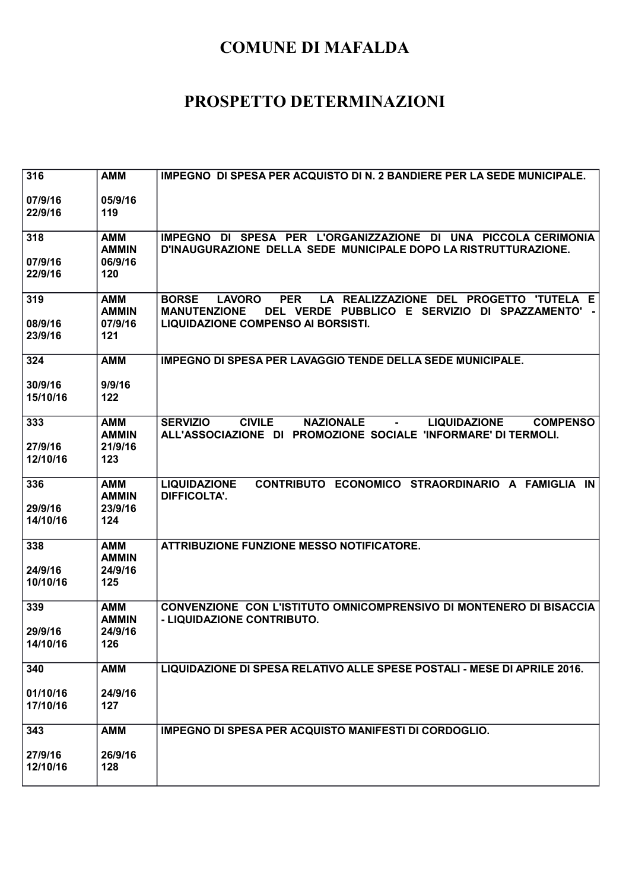| 316                        | <b>AMM</b>                                   | <b>IMPEGNO DI SPESA PER ACQUISTO DI N. 2 BANDIERE PER LA SEDE MUNICIPALE.</b>                                                                                                                          |
|----------------------------|----------------------------------------------|--------------------------------------------------------------------------------------------------------------------------------------------------------------------------------------------------------|
| 07/9/16<br>22/9/16         | 05/9/16<br>119                               |                                                                                                                                                                                                        |
| 318<br>07/9/16<br>22/9/16  | <b>AMM</b><br><b>AMMIN</b><br>06/9/16<br>120 | IMPEGNO DI SPESA PER L'ORGANIZZAZIONE DI UNA PICCOLA CERIMONIA<br>D'INAUGURAZIONE DELLA SEDE MUNICIPALE DOPO LA RISTRUTTURAZIONE.                                                                      |
| 319<br>08/9/16<br>23/9/16  | <b>AMM</b><br><b>AMMIN</b><br>07/9/16<br>121 | LA REALIZZAZIONE DEL PROGETTO 'TUTELA E<br><b>LAVORO</b><br><b>PER</b><br><b>BORSE</b><br>DEL VERDE PUBBLICO E SERVIZIO DI SPAZZAMENTO' -<br><b>MANUTENZIONE</b><br>LIQUIDAZIONE COMPENSO AI BORSISTI. |
| 324                        | <b>AMM</b>                                   | <b>IMPEGNO DI SPESA PER LAVAGGIO TENDE DELLA SEDE MUNICIPALE.</b>                                                                                                                                      |
| 30/9/16<br>15/10/16        | 9/9/16<br>122                                |                                                                                                                                                                                                        |
| 333<br>27/9/16<br>12/10/16 | <b>AMM</b><br><b>AMMIN</b><br>21/9/16<br>123 | <b>SERVIZIO</b><br><b>CIVILE</b><br><b>NAZIONALE</b><br><b>COMPENSO</b><br><b>LIQUIDAZIONE</b><br>$\sim 100$<br>ALL'ASSOCIAZIONE DI PROMOZIONE SOCIALE 'INFORMARE' DI TERMOLI.                         |
| 336<br>29/9/16<br>14/10/16 | <b>AMM</b><br><b>AMMIN</b><br>23/9/16<br>124 | CONTRIBUTO ECONOMICO STRAORDINARIO A FAMIGLIA IN<br><b>LIQUIDAZIONE</b><br><b>DIFFICOLTA'.</b>                                                                                                         |
| 338                        | <b>AMM</b><br><b>AMMIN</b>                   | <b>ATTRIBUZIONE FUNZIONE MESSO NOTIFICATORE.</b>                                                                                                                                                       |
| 24/9/16<br>10/10/16        | 24/9/16<br>125                               |                                                                                                                                                                                                        |
| 339<br>29/9/16             | <b>AMM</b><br><b>AMMIN</b><br>24/9/16        | CONVENZIONE CON L'ISTITUTO OMNICOMPRENSIVO DI MONTENERO DI BISACCIA<br>- LIQUIDAZIONE CONTRIBUTO.                                                                                                      |
| 14/10/16                   | 126                                          |                                                                                                                                                                                                        |
| 340                        | <b>AMM</b>                                   | LIQUIDAZIONE DI SPESA RELATIVO ALLE SPESE POSTALI - MESE DI APRILE 2016.                                                                                                                               |
| 01/10/16<br>17/10/16       | 24/9/16<br>127                               |                                                                                                                                                                                                        |
| 343                        | <b>AMM</b>                                   | <b>IMPEGNO DI SPESA PER ACQUISTO MANIFESTI DI CORDOGLIO.</b>                                                                                                                                           |
| 27/9/16<br>12/10/16        | 26/9/16<br>128                               |                                                                                                                                                                                                        |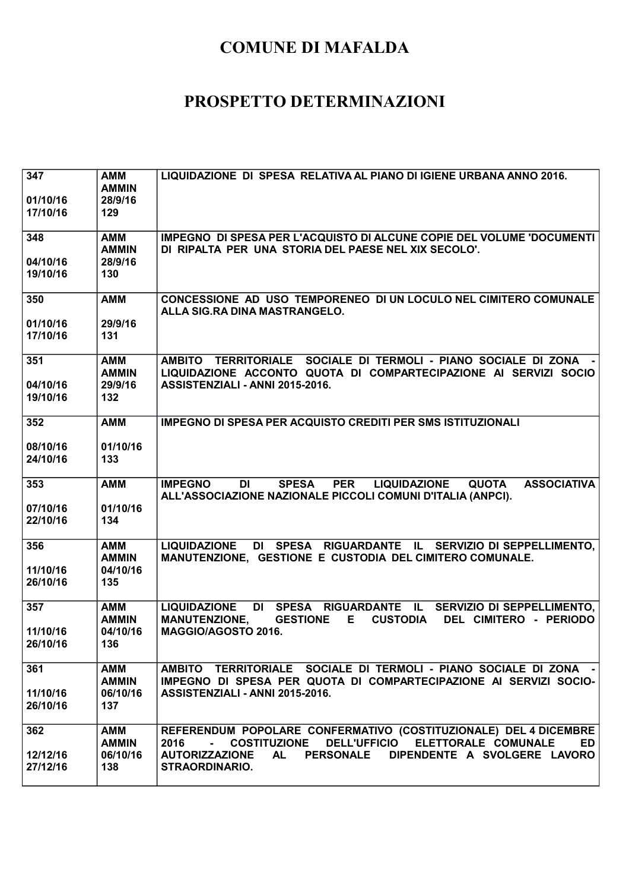| 347<br>01/10/16<br>17/10/16 | <b>AMM</b><br><b>AMMIN</b><br>28/9/16<br>129  | LIQUIDAZIONE DI SPESA RELATIVA AL PIANO DI IGIENE URBANA ANNO 2016.                                                                                                                                                                                 |
|-----------------------------|-----------------------------------------------|-----------------------------------------------------------------------------------------------------------------------------------------------------------------------------------------------------------------------------------------------------|
| 348<br>04/10/16<br>19/10/16 | AMM<br><b>AMMIN</b><br>28/9/16<br>130         | IMPEGNO DI SPESA PER L'ACQUISTO DI ALCUNE COPIE DEL VOLUME 'DOCUMENTI<br>DI RIPALTA PER UNA STORIA DEL PAESE NEL XIX SECOLO'.                                                                                                                       |
| 350<br>01/10/16<br>17/10/16 | <b>AMM</b><br>29/9/16<br>131                  | CONCESSIONE AD USO TEMPORENEO DI UN LOCULO NEL CIMITERO COMUNALE<br>ALLA SIG.RA DINA MASTRANGELO.                                                                                                                                                   |
| 351<br>04/10/16<br>19/10/16 | <b>AMM</b><br><b>AMMIN</b><br>29/9/16<br>132  | AMBITO TERRITORIALE SOCIALE DI TERMOLI - PIANO SOCIALE DI ZONA<br>LIQUIDAZIONE ACCONTO QUOTA DI COMPARTECIPAZIONE AI SERVIZI SOCIO<br>ASSISTENZIALI - ANNI 2015-2016.                                                                               |
| 352<br>08/10/16<br>24/10/16 | <b>AMM</b><br>01/10/16<br>133                 | <b>IMPEGNO DI SPESA PER ACQUISTO CREDITI PER SMS ISTITUZIONALI</b>                                                                                                                                                                                  |
| 353<br>07/10/16<br>22/10/16 | <b>AMM</b><br>01/10/16<br>134                 | <b>SPESA</b><br><b>PER</b><br><b>QUOTA</b><br><b>ASSOCIATIVA</b><br><b>IMPEGNO</b><br><b>DI</b><br><b>LIQUIDAZIONE</b><br>ALL'ASSOCIAZIONE NAZIONALE PICCOLI COMUNI D'ITALIA (ANPCI).                                                               |
| 356<br>11/10/16<br>26/10/16 | <b>AMM</b><br><b>AMMIN</b><br>04/10/16<br>135 | LIQUIDAZIONE DI SPESA RIGUARDANTE IL SERVIZIO DI SEPPELLIMENTO,<br>MANUTENZIONE, GESTIONE E CUSTODIA DEL CIMITERO COMUNALE.                                                                                                                         |
| 357<br>11/10/16<br>26/10/16 | <b>AMM</b><br><b>AMMIN</b><br>04/10/16<br>136 | DI SPESA RIGUARDANTE IL SERVIZIO DI SEPPELLIMENTO,<br><b>LIQUIDAZIONE</b><br><b>MANUTENZIONE,</b><br><b>GESTIONE</b><br><b>CUSTODIA</b><br>DEL CIMITERO - PERIODO<br>E.<br>MAGGIO/AGOSTO 2016.                                                      |
| 361<br>11/10/16<br>26/10/16 | <b>AMM</b><br><b>AMMIN</b><br>06/10/16<br>137 | AMBITO TERRITORIALE SOCIALE DI TERMOLI - PIANO SOCIALE DI ZONA -<br>IMPEGNO DI SPESA PER QUOTA DI COMPARTECIPAZIONE AI SERVIZI SOCIO-<br>ASSISTENZIALI - ANNI 2015-2016.                                                                            |
| 362<br>12/12/16<br>27/12/16 | <b>AMM</b><br><b>AMMIN</b><br>06/10/16<br>138 | REFERENDUM POPOLARE CONFERMATIVO (COSTITUZIONALE) DEL 4 DICEMBRE<br>COSTITUZIONE DELL'UFFICIO ELETTORALE COMUNALE<br>2016<br>ED.<br><b>AUTORIZZAZIONE</b><br><b>AL</b><br><b>PERSONALE</b><br>DIPENDENTE A SVOLGERE LAVORO<br><b>STRAORDINARIO.</b> |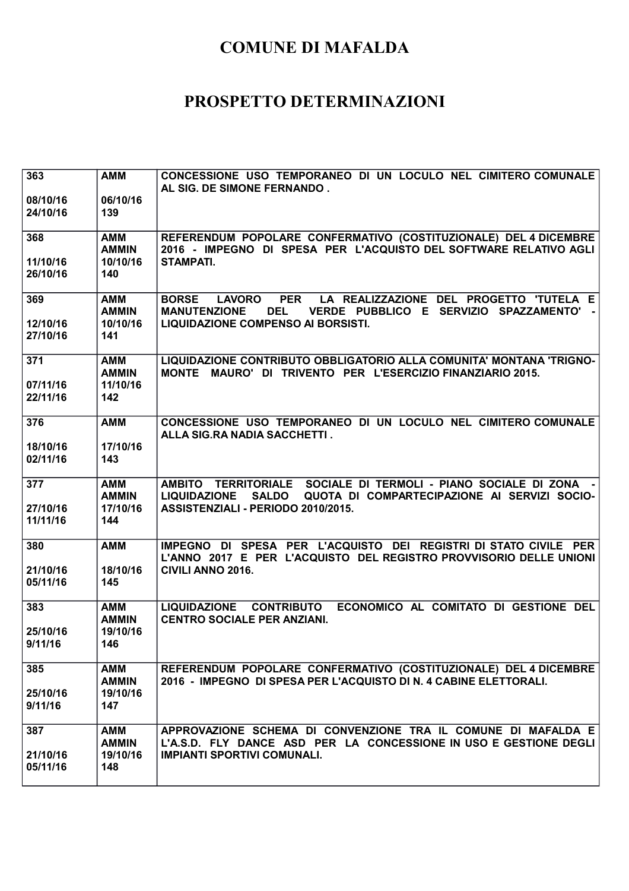| 363                         | <b>AMM</b>                                    | CONCESSIONE USO TEMPORANEO DI UN LOCULO NEL CIMITERO COMUNALE<br>AL SIG. DE SIMONE FERNANDO.                                                                                                                       |
|-----------------------------|-----------------------------------------------|--------------------------------------------------------------------------------------------------------------------------------------------------------------------------------------------------------------------|
| 08/10/16<br>24/10/16        | 06/10/16<br>139                               |                                                                                                                                                                                                                    |
| 368                         | <b>AMM</b><br><b>AMMIN</b>                    | REFERENDUM POPOLARE CONFERMATIVO (COSTITUZIONALE) DEL 4 DICEMBRE<br>2016 - IMPEGNO DI SPESA PER L'ACQUISTO DEL SOFTWARE RELATIVO AGLI                                                                              |
| 11/10/16<br>26/10/16        | 10/10/16<br>140                               | <b>STAMPATI.</b>                                                                                                                                                                                                   |
| 369<br>12/10/16<br>27/10/16 | <b>AMM</b><br><b>AMMIN</b><br>10/10/16<br>141 | <b>PER</b><br>LA REALIZZAZIONE DEL PROGETTO 'TUTELA E<br><b>BORSE</b><br><b>LAVORO</b><br><b>MANUTENZIONE</b><br><b>DEL</b><br>VERDE PUBBLICO E SERVIZIO SPAZZAMENTO'<br><b>LIQUIDAZIONE COMPENSO AI BORSISTI.</b> |
| 371                         | <b>AMM</b><br><b>AMMIN</b>                    | LIQUIDAZIONE CONTRIBUTO OBBLIGATORIO ALLA COMUNITA' MONTANA 'TRIGNO-<br><b>MONTE</b><br>MAURO' DI TRIVENTO PER L'ESERCIZIO FINANZIARIO 2015.                                                                       |
| 07/11/16<br>22/11/16        | 11/10/16<br>142                               |                                                                                                                                                                                                                    |
| 376                         | <b>AMM</b>                                    | CONCESSIONE USO TEMPORANEO DI UN LOCULO NEL CIMITERO COMUNALE<br>ALLA SIG.RA NADIA SACCHETTI.                                                                                                                      |
| 18/10/16<br>02/11/16        | 17/10/16<br>143                               |                                                                                                                                                                                                                    |
| 377                         | <b>AMM</b><br><b>AMMIN</b>                    | AMBITO TERRITORIALE SOCIALE DI TERMOLI - PIANO SOCIALE DI ZONA -<br>QUOTA DI COMPARTECIPAZIONE AI SERVIZI SOCIO-<br><b>LIQUIDAZIONE</b><br><b>SALDO</b>                                                            |
| 27/10/16<br>11/11/16        | 17/10/16<br>144                               | ASSISTENZIALI - PERIODO 2010/2015.                                                                                                                                                                                 |
| 380                         | <b>AMM</b>                                    | IMPEGNO DI SPESA PER L'ACQUISTO DEI REGISTRI DI STATO CIVILE PER<br>L'ANNO 2017 E PER L'ACQUISTO DEL REGISTRO PROVVISORIO DELLE UNIONI                                                                             |
| 21/10/16<br>05/11/16        | 18/10/16<br>145                               | <b>CIVILI ANNO 2016.</b>                                                                                                                                                                                           |
| 383                         | <b>AMM</b><br><b>AMMIN</b>                    | <b>LIQUIDAZIONE</b><br><b>CONTRIBUTO</b><br>ECONOMICO AL COMITATO DI GESTIONE DEL<br><b>CENTRO SOCIALE PER ANZIANI.</b>                                                                                            |
| 25/10/16<br>9/11/16         | 19/10/16<br>146                               |                                                                                                                                                                                                                    |
| 385                         | <b>AMM</b><br><b>AMMIN</b>                    | REFERENDUM POPOLARE CONFERMATIVO (COSTITUZIONALE) DEL 4 DICEMBRE<br>2016 - IMPEGNO DI SPESA PER L'ACQUISTO DI N. 4 CABINE ELETTORALI.                                                                              |
| 25/10/16<br>9/11/16         | 19/10/16<br>147                               |                                                                                                                                                                                                                    |
| 387                         | <b>AMM</b><br><b>AMMIN</b>                    | APPROVAZIONE SCHEMA DI CONVENZIONE TRA IL COMUNE DI MAFALDA E<br>L'A.S.D. FLY DANCE ASD PER LA CONCESSIONE IN USO E GESTIONE DEGLI                                                                                 |
| 21/10/16<br>05/11/16        | 19/10/16<br>148                               | <b>IMPIANTI SPORTIVI COMUNALI.</b>                                                                                                                                                                                 |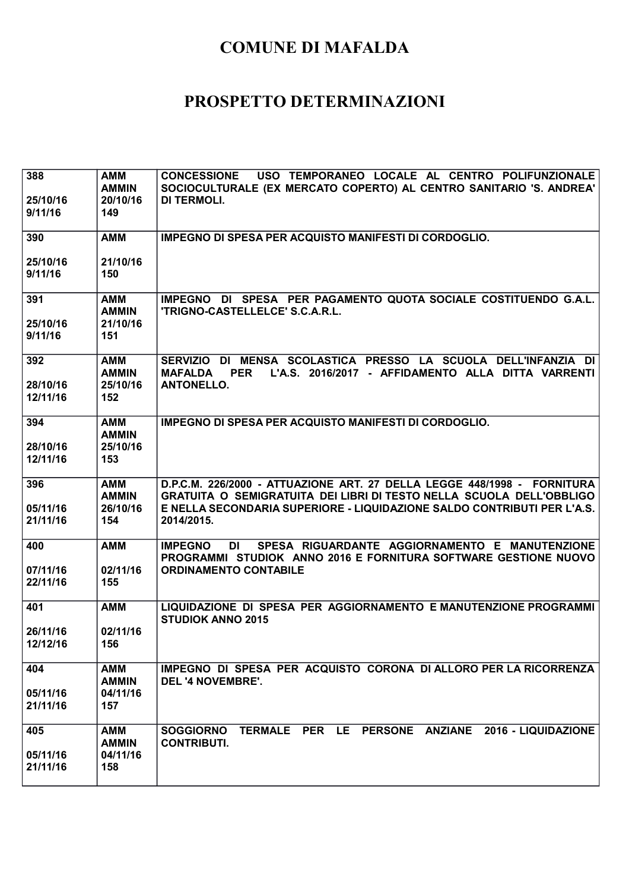| 388<br>25/10/16<br>9/11/16  | <b>AMM</b><br><b>AMMIN</b><br>20/10/16<br>149 | <b>CONCESSIONE</b><br>USO TEMPORANEO LOCALE AL CENTRO POLIFUNZIONALE<br>SOCIOCULTURALE (EX MERCATO COPERTO) AL CENTRO SANITARIO 'S. ANDREA'<br><b>DI TERMOLI.</b>                                                                        |
|-----------------------------|-----------------------------------------------|------------------------------------------------------------------------------------------------------------------------------------------------------------------------------------------------------------------------------------------|
| 390                         | <b>AMM</b>                                    | IMPEGNO DI SPESA PER ACQUISTO MANIFESTI DI CORDOGLIO.                                                                                                                                                                                    |
| 25/10/16<br>9/11/16         | 21/10/16<br>150                               |                                                                                                                                                                                                                                          |
| 391<br>25/10/16<br>9/11/16  | <b>AMM</b><br><b>AMMIN</b><br>21/10/16<br>151 | IMPEGNO DI SPESA PER PAGAMENTO QUOTA SOCIALE COSTITUENDO G.A.L.<br>'TRIGNO-CASTELLELCE' S.C.A.R.L.                                                                                                                                       |
| 392<br>28/10/16<br>12/11/16 | <b>AMM</b><br><b>AMMIN</b><br>25/10/16<br>152 | SERVIZIO DI MENSA SCOLASTICA PRESSO LA SCUOLA DELL'INFANZIA DI<br>L'A.S. 2016/2017 - AFFIDAMENTO ALLA DITTA VARRENTI<br><b>MAFALDA</b><br><b>PER</b><br><b>ANTONELLO.</b>                                                                |
| 394<br>28/10/16<br>12/11/16 | <b>AMM</b><br><b>AMMIN</b><br>25/10/16<br>153 | <b>IMPEGNO DI SPESA PER ACQUISTO MANIFESTI DI CORDOGLIO.</b>                                                                                                                                                                             |
| 396<br>05/11/16<br>21/11/16 | AMM<br><b>AMMIN</b><br>26/10/16<br>154        | D.P.C.M. 226/2000 - ATTUAZIONE ART. 27 DELLA LEGGE 448/1998 - FORNITURA<br>GRATUITA O SEMIGRATUITA DEI LIBRI DI TESTO NELLA SCUOLA DELL'OBBLIGO<br>E NELLA SECONDARIA SUPERIORE - LIQUIDAZIONE SALDO CONTRIBUTI PER L'A.S.<br>2014/2015. |
| 400<br>07/11/16<br>22/11/16 | <b>AMM</b><br>02/11/16<br>155                 | SPESA RIGUARDANTE AGGIORNAMENTO E MANUTENZIONE<br><b>IMPEGNO</b><br>DI<br>PROGRAMMI STUDIOK ANNO 2016 E FORNITURA SOFTWARE GESTIONE NUOVO<br><b>ORDINAMENTO CONTABILE</b>                                                                |
| 401<br>26/11/16<br>12/12/16 | <b>AMM</b><br>02/11/16<br>156                 | LIQUIDAZIONE DI SPESA PER AGGIORNAMENTO E MANUTENZIONE PROGRAMMI<br><b>STUDIOK ANNO 2015</b>                                                                                                                                             |
| 404<br>05/11/16<br>21/11/16 | <b>AMM</b><br><b>AMMIN</b><br>04/11/16<br>157 | IMPEGNO DI SPESA PER ACQUISTO CORONA DI ALLORO PER LA RICORRENZA<br><b>DEL '4 NOVEMBRE'.</b>                                                                                                                                             |
| 405<br>05/11/16<br>21/11/16 | <b>AMM</b><br><b>AMMIN</b><br>04/11/16<br>158 | TERMALE PER LE PERSONE ANZIANE 2016 - LIQUIDAZIONE<br><b>SOGGIORNO</b><br><b>CONTRIBUTI.</b>                                                                                                                                             |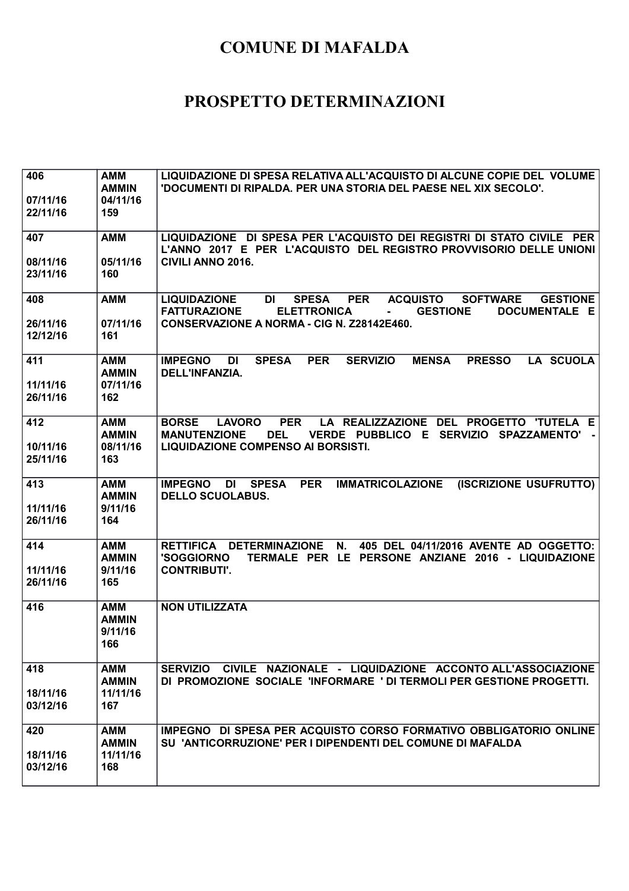| 406<br>07/11/16<br>22/11/16 | <b>AMM</b><br><b>AMMIN</b><br>04/11/16<br>159 | LIQUIDAZIONE DI SPESA RELATIVA ALL'ACQUISTO DI ALCUNE COPIE DEL VOLUME<br>'DOCUMENTI DI RIPALDA. PER UNA STORIA DEL PAESE NEL XIX SECOLO'.                                                                                 |
|-----------------------------|-----------------------------------------------|----------------------------------------------------------------------------------------------------------------------------------------------------------------------------------------------------------------------------|
| 407                         | <b>AMM</b>                                    | LIQUIDAZIONE DI SPESA PER L'ACQUISTO DEI REGISTRI DI STATO CIVILE PER                                                                                                                                                      |
| 08/11/16                    | 05/11/16                                      | L'ANNO 2017 E PER L'ACQUISTO DEL REGISTRO PROVVISORIO DELLE UNIONI<br>CIVILI ANNO 2016.                                                                                                                                    |
| 23/11/16                    | 160                                           |                                                                                                                                                                                                                            |
| 408                         | <b>AMM</b>                                    | <b>ACQUISTO</b><br><b>LIQUIDAZIONE</b><br><b>DI</b><br><b>SPESA</b><br><b>PER</b><br><b>SOFTWARE</b><br><b>GESTIONE</b><br><b>FATTURAZIONE</b><br><b>ELETTRONICA</b><br><b>GESTIONE</b><br>DOCUMENTALE E<br>$\blacksquare$ |
| 26/11/16<br>12/12/16        | 07/11/16<br>161                               | CONSERVAZIONE A NORMA - CIG N. Z28142E460.                                                                                                                                                                                 |
| 411                         | <b>AMM</b><br><b>AMMIN</b>                    | <b>PER</b><br><b>PRESSO</b><br><b>LA SCUOLA</b><br><b>IMPEGNO</b><br><b>SPESA</b><br><b>SERVIZIO</b><br><b>MENSA</b><br>DI<br>DELL'INFANZIA.                                                                               |
| 11/11/16<br>26/11/16        | 07/11/16<br>162                               |                                                                                                                                                                                                                            |
| 412                         | <b>AMM</b><br><b>AMMIN</b>                    | LA REALIZZAZIONE DEL PROGETTO 'TUTELA E<br><b>BORSE</b><br><b>LAVORO</b><br><b>PER</b><br><b>DEL</b><br>VERDE PUBBLICO E SERVIZIO SPAZZAMENTO'<br><b>MANUTENZIONE</b>                                                      |
| 10/11/16<br>25/11/16        | 08/11/16<br>163                               | <b>LIQUIDAZIONE COMPENSO AI BORSISTI.</b>                                                                                                                                                                                  |
| 413                         | AMM<br><b>AMMIN</b>                           | (ISCRIZIONE USUFRUTTO)<br><b>IMPEGNO</b><br><b>SPESA</b><br><b>PER</b><br><b>IMMATRICOLAZIONE</b><br>DI<br><b>DELLO SCUOLABUS.</b>                                                                                         |
| 11/11/16<br>26/11/16        | 9/11/16<br>164                                |                                                                                                                                                                                                                            |
| 414                         | <b>AMM</b><br><b>AMMIN</b>                    | RETTIFICA DETERMINAZIONE<br>N.<br>405 DEL 04/11/2016 AVENTE AD OGGETTO:<br>'SOGGIORNO<br>TERMALE PER LE PERSONE ANZIANE 2016 - LIQUIDAZIONE                                                                                |
| 11/11/16<br>26/11/16        | 9/11/16<br>165                                | <b>CONTRIBUTI'.</b>                                                                                                                                                                                                        |
| 416                         | <b>AMM</b><br><b>AMMIN</b><br>9/11/16<br>166  | <b>NON UTILIZZATA</b>                                                                                                                                                                                                      |
| 418                         | <b>AMM</b>                                    | SERVIZIO CIVILE NAZIONALE - LIQUIDAZIONE ACCONTO ALL'ASSOCIAZIONE                                                                                                                                                          |
| 18/11/16<br>03/12/16        | <b>AMMIN</b><br>11/11/16<br>167               | DI PROMOZIONE SOCIALE 'INFORMARE ' DI TERMOLI PER GESTIONE PROGETTI.                                                                                                                                                       |
| 420                         | <b>AMM</b><br><b>AMMIN</b>                    | IMPEGNO DI SPESA PER ACQUISTO CORSO FORMATIVO OBBLIGATORIO ONLINE<br>SU 'ANTICORRUZIONE' PER I DIPENDENTI DEL COMUNE DI MAFALDA                                                                                            |
| 18/11/16<br>03/12/16        | 11/11/16<br>168                               |                                                                                                                                                                                                                            |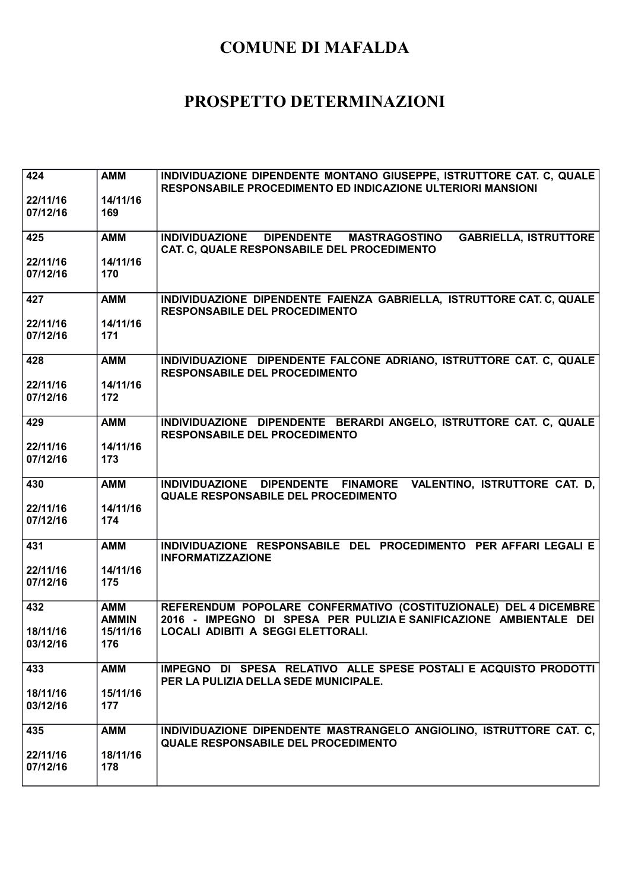| 424<br>22/11/16<br>07/12/16 | <b>AMM</b><br>14/11/16<br>169 | INDIVIDUAZIONE DIPENDENTE MONTANO GIUSEPPE, ISTRUTTORE CAT. C, QUALE<br>RESPONSABILE PROCEDIMENTO ED INDICAZIONE ULTERIORI MANSIONI    |
|-----------------------------|-------------------------------|----------------------------------------------------------------------------------------------------------------------------------------|
| 425                         | <b>AMM</b>                    | INDIVIDUAZIONE DIPENDENTE MASTRAGOSTINO<br><b>GABRIELLA, ISTRUTTORE</b><br>CAT. C, QUALE RESPONSABILE DEL PROCEDIMENTO                 |
| 22/11/16<br>07/12/16        | 14/11/16<br>170               |                                                                                                                                        |
| 427                         | <b>AMM</b>                    | INDIVIDUAZIONE DIPENDENTE FAIENZA GABRIELLA, ISTRUTTORE CAT. C, QUALE<br><b>RESPONSABILE DEL PROCEDIMENTO</b>                          |
| 22/11/16<br>07/12/16        | 14/11/16<br>171               |                                                                                                                                        |
| 428                         | <b>AMM</b>                    | INDIVIDUAZIONE DIPENDENTE FALCONE ADRIANO, ISTRUTTORE CAT. C. QUALE<br><b>RESPONSABILE DEL PROCEDIMENTO</b>                            |
| 22/11/16<br>07/12/16        | 14/11/16<br>172               |                                                                                                                                        |
| 429                         | <b>AMM</b>                    | INDIVIDUAZIONE DIPENDENTE BERARDI ANGELO, ISTRUTTORE CAT. C, QUALE<br><b>RESPONSABILE DEL PROCEDIMENTO</b>                             |
| 22/11/16<br>07/12/16        | 14/11/16<br>173               |                                                                                                                                        |
| 430                         | <b>AMM</b>                    | INDIVIDUAZIONE DIPENDENTE FINAMORE VALENTINO, ISTRUTTORE CAT. D.<br><b>QUALE RESPONSABILE DEL PROCEDIMENTO</b>                         |
| 22/11/16<br>07/12/16        | 14/11/16<br>174               |                                                                                                                                        |
| 431                         | <b>AMM</b>                    | INDIVIDUAZIONE RESPONSABILE DEL PROCEDIMENTO PER AFFARI LEGALI E<br><b>INFORMATIZZAZIONE</b>                                           |
| 22/11/16<br>07/12/16        | 14/11/16<br>175               |                                                                                                                                        |
| 432                         | <b>AMM</b><br><b>AMMIN</b>    | REFERENDUM POPOLARE CONFERMATIVO (COSTITUZIONALE) DEL 4 DICEMBRE<br>2016 - IMPEGNO DI SPESA PER PULIZIA E SANIFICAZIONE AMBIENTALE DEI |
| 18/11/16<br>03/12/16        | 15/11/16<br>176               | LOCALI ADIBITI A SEGGI ELETTORALI.                                                                                                     |
| 433                         | <b>AMM</b>                    | IMPEGNO DI SPESA RELATIVO ALLE SPESE POSTALI E ACQUISTO PRODOTTI<br>PER LA PULIZIA DELLA SEDE MUNICIPALE.                              |
| 18/11/16<br>03/12/16        | 15/11/16<br>177               |                                                                                                                                        |
| 435                         | <b>AMM</b>                    | INDIVIDUAZIONE DIPENDENTE MASTRANGELO ANGIOLINO, ISTRUTTORE CAT. C.<br><b>QUALE RESPONSABILE DEL PROCEDIMENTO</b>                      |
| 22/11/16<br>07/12/16        | 18/11/16<br>178               |                                                                                                                                        |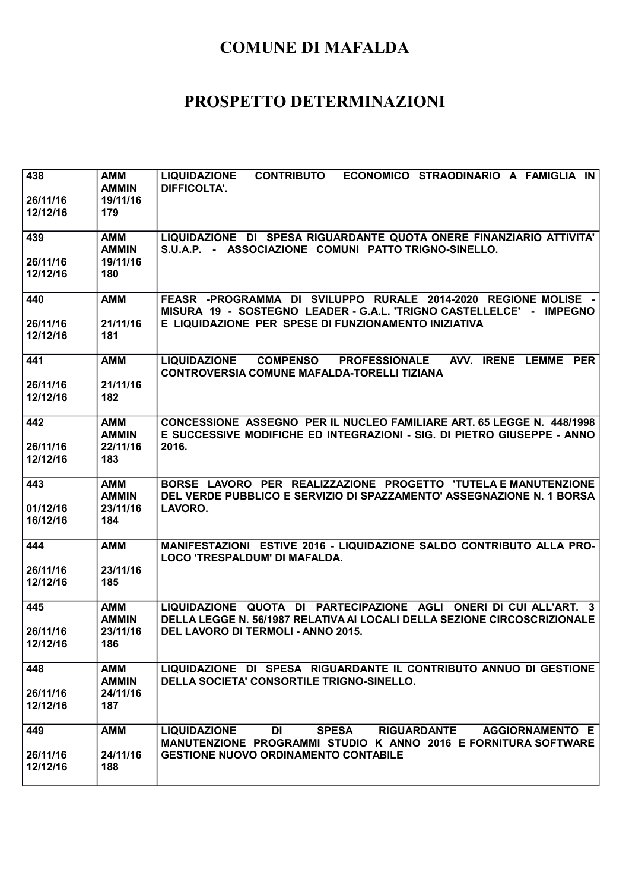| 438<br>26/11/16<br>12/12/16 | AMM<br><b>AMMIN</b><br>19/11/16<br>179        | <b>CONTRIBUTO</b><br><b>LIQUIDAZIONE</b><br>ECONOMICO STRAODINARIO A FAMIGLIA IN<br><b>DIFFICOLTA'.</b>                                                                                                 |
|-----------------------------|-----------------------------------------------|---------------------------------------------------------------------------------------------------------------------------------------------------------------------------------------------------------|
| 439<br>26/11/16<br>12/12/16 | <b>AMM</b><br><b>AMMIN</b><br>19/11/16<br>180 | LIQUIDAZIONE DI SPESA RIGUARDANTE QUOTA ONERE FINANZIARIO ATTIVITA'<br>S.U.A.P. - ASSOCIAZIONE COMUNI PATTO TRIGNO-SINELLO.                                                                             |
| 440<br>26/11/16<br>12/12/16 | <b>AMM</b><br>21/11/16<br>181                 | FEASR -PROGRAMMA DI SVILUPPO RURALE 2014-2020 REGIONE MOLISE -<br>MISURA 19 - SOSTEGNO LEADER - G.A.L. 'TRIGNO CASTELLELCE' -<br><b>IMPEGNO</b><br>E LIQUIDAZIONE PER SPESE DI FUNZIONAMENTO INIZIATIVA |
| 441<br>26/11/16<br>12/12/16 | <b>AMM</b><br>21/11/16<br>182                 | AVV. IRENE LEMME PER<br><b>LIQUIDAZIONE</b><br><b>COMPENSO</b><br><b>PROFESSIONALE</b><br>CONTROVERSIA COMUNE MAFALDA-TORELLI TIZIANA                                                                   |
| 442<br>26/11/16<br>12/12/16 | <b>AMM</b><br><b>AMMIN</b><br>22/11/16<br>183 | CONCESSIONE ASSEGNO PER IL NUCLEO FAMILIARE ART. 65 LEGGE N. 448/1998<br>E SUCCESSIVE MODIFICHE ED INTEGRAZIONI - SIG. DI PIETRO GIUSEPPE - ANNO<br>2016.                                               |
| 443<br>01/12/16<br>16/12/16 | <b>AMM</b><br><b>AMMIN</b><br>23/11/16<br>184 | BORSE LAVORO PER REALIZZAZIONE PROGETTO 'TUTELA E MANUTENZIONE<br>DEL VERDE PUBBLICO E SERVIZIO DI SPAZZAMENTO' ASSEGNAZIONE N. 1 BORSA<br>LAVORO.                                                      |
| 444<br>26/11/16<br>12/12/16 | <b>AMM</b><br>23/11/16<br>185                 | MANIFESTAZIONI ESTIVE 2016 - LIQUIDAZIONE SALDO CONTRIBUTO ALLA PRO-<br>LOCO 'TRESPALDUM' DI MAFALDA.                                                                                                   |
| 445<br>26/11/16<br>12/12/16 | <b>AMM</b><br><b>AMMIN</b><br>23/11/16<br>186 | LIQUIDAZIONE QUOTA DI PARTECIPAZIONE AGLI ONERI DI CUI ALL'ART. 3<br>DELLA LEGGE N. 56/1987 RELATIVA AI LOCALI DELLA SEZIONE CIRCOSCRIZIONALE<br>DEL LAVORO DI TERMOLI - ANNO 2015.                     |
| 448<br>26/11/16<br>12/12/16 | <b>AMM</b><br><b>AMMIN</b><br>24/11/16<br>187 | LIQUIDAZIONE DI SPESA RIGUARDANTE IL CONTRIBUTO ANNUO DI GESTIONE<br>DELLA SOCIETA' CONSORTILE TRIGNO-SINELLO.                                                                                          |
| 449<br>26/11/16<br>12/12/16 | <b>AMM</b><br>24/11/16<br>188                 | <b>LIQUIDAZIONE</b><br>DI<br><b>SPESA</b><br>RIGUARDANTE AGGIORNAMENTO E<br>MANUTENZIONE PROGRAMMI STUDIO K ANNO 2016 E FORNITURA SOFTWARE<br><b>GESTIONE NUOVO ORDINAMENTO CONTABILE</b>               |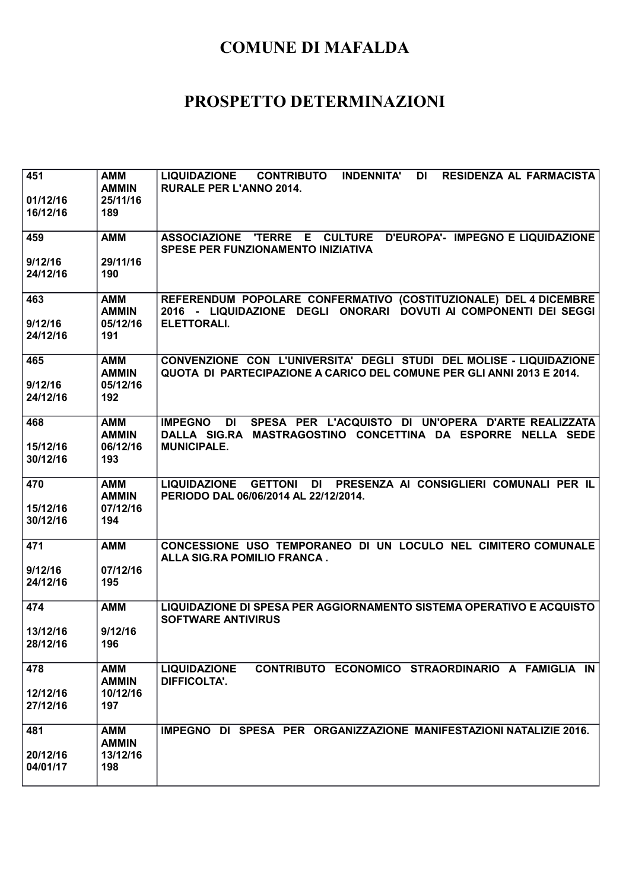| 451      | <b>AMM</b><br><b>AMMIN</b> | LIQUIDAZIONE CONTRIBUTO INDENNITA'<br><b>RESIDENZA AL FARMACISTA</b><br>DI<br><b>RURALE PER L'ANNO 2014.</b>                                 |
|----------|----------------------------|----------------------------------------------------------------------------------------------------------------------------------------------|
| 01/12/16 | 25/11/16                   |                                                                                                                                              |
| 16/12/16 | 189                        |                                                                                                                                              |
| 459      | <b>AMM</b>                 | ASSOCIAZIONE 'TERRE E CULTURE D'EUROPA'- IMPEGNO E LIQUIDAZIONE<br>SPESE PER FUNZIONAMENTO INIZIATIVA                                        |
| 9/12/16  | 29/11/16                   |                                                                                                                                              |
| 24/12/16 | 190                        |                                                                                                                                              |
| 463      | <b>AMM</b><br><b>AMMIN</b> | REFERENDUM POPOLARE CONFERMATIVO (COSTITUZIONALE) DEL 4 DICEMBRE<br>2016 - LIQUIDAZIONE DEGLI ONORARI DOVUTI AI COMPONENTI DEI SEGGI         |
| 9/12/16  | 05/12/16                   | ELETTORALI.                                                                                                                                  |
| 24/12/16 | 191                        |                                                                                                                                              |
| 465      | <b>AMM</b><br><b>AMMIN</b> | CONVENZIONE CON L'UNIVERSITA' DEGLI STUDI DEL MOLISE - LIQUIDAZIONE<br>QUOTA DI PARTECIPAZIONE A CARICO DEL COMUNE PER GLI ANNI 2013 E 2014. |
| 9/12/16  | 05/12/16                   |                                                                                                                                              |
| 24/12/16 | 192                        |                                                                                                                                              |
| 468      | <b>AMM</b><br><b>AMMIN</b> | DI SPESA PER L'ACQUISTO DI UN'OPERA D'ARTE REALIZZATA<br><b>IMPEGNO</b><br>DALLA SIG.RA MASTRAGOSTINO CONCETTINA DA ESPORRE NELLA SEDE       |
| 15/12/16 | 06/12/16                   | <b>MUNICIPALE.</b>                                                                                                                           |
| 30/12/16 | 193                        |                                                                                                                                              |
| 470      | <b>AMM</b><br><b>AMMIN</b> | LIQUIDAZIONE GETTONI DI PRESENZA AI CONSIGLIERI COMUNALI PER IL<br>PERIODO DAL 06/06/2014 AL 22/12/2014.                                     |
| 15/12/16 | 07/12/16                   |                                                                                                                                              |
| 30/12/16 | 194                        |                                                                                                                                              |
| 471      | <b>AMM</b>                 | CONCESSIONE USO TEMPORANEO DI UN LOCULO NEL CIMITERO COMUNALE<br>ALLA SIG.RA POMILIO FRANCA.                                                 |
| 9/12/16  | 07/12/16                   |                                                                                                                                              |
| 24/12/16 | 195                        |                                                                                                                                              |
| 474      | <b>AMM</b>                 | LIQUIDAZIONE DI SPESA PER AGGIORNAMENTO SISTEMA OPERATIVO E ACQUISTO<br><b>SOFTWARE ANTIVIRUS</b>                                            |
| 13/12/16 | 9/12/16                    |                                                                                                                                              |
| 28/12/16 | 196                        |                                                                                                                                              |
| 478      | <b>AMM</b><br><b>AMMIN</b> | CONTRIBUTO ECONOMICO STRAORDINARIO A FAMIGLIA IN<br><b>LIQUIDAZIONE</b><br><b>DIFFICOLTA'.</b>                                               |
| 12/12/16 | 10/12/16                   |                                                                                                                                              |
| 27/12/16 | 197                        |                                                                                                                                              |
| 481      | <b>AMM</b><br><b>AMMIN</b> | IMPEGNO DI SPESA PER ORGANIZZAZIONE MANIFESTAZIONI NATALIZIE 2016.                                                                           |
| 20/12/16 | 13/12/16                   |                                                                                                                                              |
| 04/01/17 | 198                        |                                                                                                                                              |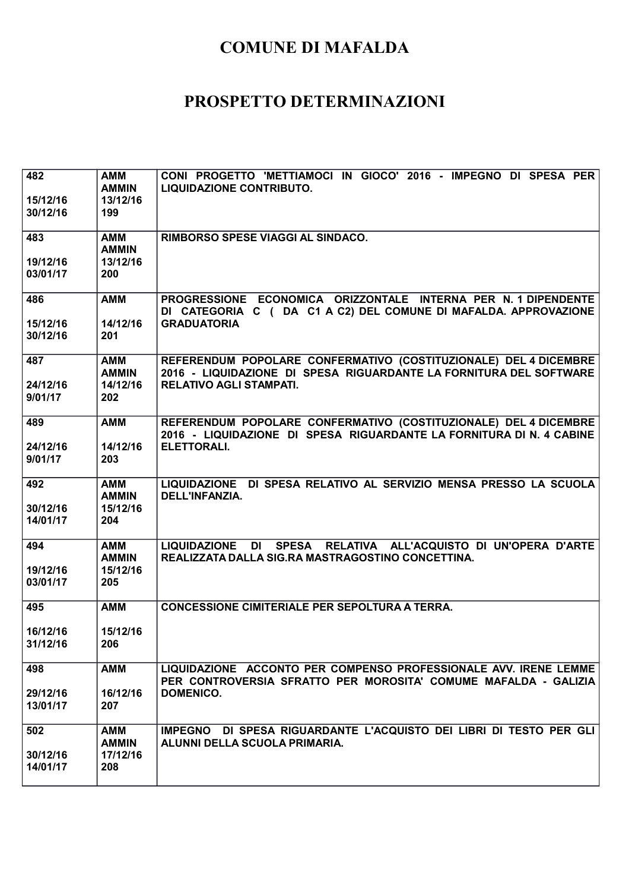| 482<br>15/12/16<br>30/12/16 | <b>AMM</b><br><b>AMMIN</b><br>13/12/16<br>199 | CONI PROGETTO 'METTIAMOCI IN GIOCO' 2016 - IMPEGNO DI SPESA PER<br><b>LIQUIDAZIONE CONTRIBUTO.</b>                                                                       |
|-----------------------------|-----------------------------------------------|--------------------------------------------------------------------------------------------------------------------------------------------------------------------------|
| 483                         | <b>AMM</b><br><b>AMMIN</b>                    | <b>RIMBORSO SPESE VIAGGI AL SINDACO.</b>                                                                                                                                 |
| 19/12/16<br>03/01/17        | 13/12/16<br>200                               |                                                                                                                                                                          |
| 486<br>15/12/16             | <b>AMM</b><br>14/12/16                        | PROGRESSIONE ECONOMICA ORIZZONTALE INTERNA PER N. 1 DIPENDENTE<br>DI CATEGORIA C ( DA C1 A C2) DEL COMUNE DI MAFALDA. APPROVAZIONE<br><b>GRADUATORIA</b>                 |
| 30/12/16                    | 201                                           |                                                                                                                                                                          |
| 487<br>24/12/16<br>9/01/17  | <b>AMM</b><br><b>AMMIN</b><br>14/12/16<br>202 | REFERENDUM POPOLARE CONFERMATIVO (COSTITUZIONALE) DEL 4 DICEMBRE<br>2016 - LIQUIDAZIONE DI SPESA RIGUARDANTE LA FORNITURA DEL SOFTWARE<br><b>RELATIVO AGLI STAMPATI.</b> |
| 489                         | <b>AMM</b>                                    | REFERENDUM POPOLARE CONFERMATIVO (COSTITUZIONALE) DEL 4 DICEMBRE<br>2016 - LIQUIDAZIONE DI SPESA RIGUARDANTE LA FORNITURA DI N. 4 CABINE                                 |
| 24/12/16<br>9/01/17         | 14/12/16<br>203                               | <b>ELETTORALI.</b>                                                                                                                                                       |
| 492<br>30/12/16<br>14/01/17 | <b>AMM</b><br><b>AMMIN</b><br>15/12/16<br>204 | LIQUIDAZIONE DI SPESA RELATIVO AL SERVIZIO MENSA PRESSO LA SCUOLA<br>DELL'INFANZIA.                                                                                      |
| 494                         | <b>AMM</b><br><b>AMMIN</b>                    | LIQUIDAZIONE DI SPESA RELATIVA ALL'ACQUISTO DI UN'OPERA D'ARTE<br>REALIZZATA DALLA SIG.RA MASTRAGOSTINO CONCETTINA.                                                      |
| 19/12/16<br>03/01/17        | 15/12/16<br>205                               |                                                                                                                                                                          |
| 495                         | <b>AMM</b>                                    | <b>CONCESSIONE CIMITERIALE PER SEPOLTURA A TERRA.</b>                                                                                                                    |
| 16/12/16<br>31/12/16        | 15/12/16<br>206                               |                                                                                                                                                                          |
| 498                         | <b>AMM</b>                                    | LIQUIDAZIONE ACCONTO PER COMPENSO PROFESSIONALE AVV. IRENE LEMME<br>PER CONTROVERSIA SFRATTO PER MOROSITA' COMUME MAFALDA - GALIZIA                                      |
| 29/12/16<br>13/01/17        | 16/12/16<br>207                               | DOMENICO.                                                                                                                                                                |
| 502                         | AMM<br><b>AMMIN</b>                           | IMPEGNO DI SPESA RIGUARDANTE L'ACQUISTO DEI LIBRI DI TESTO PER GLI<br>ALUNNI DELLA SCUOLA PRIMARIA.                                                                      |
| 30/12/16<br>14/01/17        | 17/12/16<br>208                               |                                                                                                                                                                          |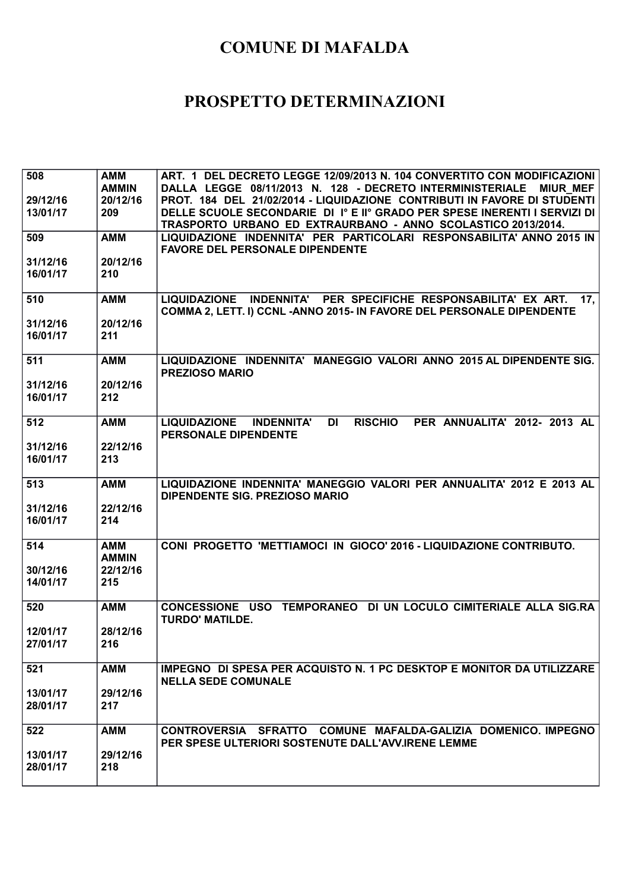| 508      | <b>AMM</b>   | ART. 1 DEL DECRETO LEGGE 12/09/2013 N. 104 CONVERTITO CON MODIFICAZIONI                          |
|----------|--------------|--------------------------------------------------------------------------------------------------|
|          | <b>AMMIN</b> | DALLA LEGGE 08/11/2013 N. 128 - DECRETO INTERMINISTERIALE<br><b>MIUR MEF</b>                     |
| 29/12/16 | 20/12/16     | PROT. 184 DEL 21/02/2014 - LIQUIDAZIONE CONTRIBUTI IN FAVORE DI STUDENTI                         |
| 13/01/17 | 209          | DELLE SCUOLE SECONDARIE DI 1º E IIº GRADO PER SPESE INERENTI I SERVIZI DI                        |
|          |              | TRASPORTO URBANO ED EXTRAURBANO - ANNO SCOLASTICO 2013/2014.                                     |
| 509      | <b>AMM</b>   | LIQUIDAZIONE INDENNITA' PER PARTICOLARI RESPONSABILITA' ANNO 2015 IN                             |
|          |              | <b>FAVORE DEL PERSONALE DIPENDENTE</b>                                                           |
| 31/12/16 | 20/12/16     |                                                                                                  |
| 16/01/17 | 210          |                                                                                                  |
|          |              |                                                                                                  |
| 510      | <b>AMM</b>   | LIQUIDAZIONE INDENNITA' PER SPECIFICHE RESPONSABILITA' EX ART.<br>17 <sub>1</sub>                |
|          |              | COMMA 2, LETT. I) CCNL - ANNO 2015- IN FAVORE DEL PERSONALE DIPENDENTE                           |
| 31/12/16 | 20/12/16     |                                                                                                  |
| 16/01/17 | 211          |                                                                                                  |
|          |              |                                                                                                  |
| 511      | <b>AMM</b>   | LIQUIDAZIONE INDENNITA' MANEGGIO VALORI ANNO 2015 AL DIPENDENTE SIG.                             |
|          |              | <b>PREZIOSO MARIO</b>                                                                            |
| 31/12/16 | 20/12/16     |                                                                                                  |
| 16/01/17 | 212          |                                                                                                  |
|          |              |                                                                                                  |
| 512      | <b>AMM</b>   | PER ANNUALITA' 2012- 2013 AL<br><b>LIQUIDAZIONE</b><br>DI<br><b>RISCHIO</b><br><b>INDENNITA'</b> |
|          |              | <b>PERSONALE DIPENDENTE</b>                                                                      |
| 31/12/16 | 22/12/16     |                                                                                                  |
| 16/01/17 | 213          |                                                                                                  |
|          |              |                                                                                                  |
| 513      | <b>AMM</b>   | LIQUIDAZIONE INDENNITA' MANEGGIO VALORI PER ANNUALITA' 2012 E 2013 AL                            |
|          |              |                                                                                                  |
|          |              |                                                                                                  |
|          |              | <b>DIPENDENTE SIG. PREZIOSO MARIO</b>                                                            |
| 31/12/16 | 22/12/16     |                                                                                                  |
| 16/01/17 | 214          |                                                                                                  |
|          |              |                                                                                                  |
| 514      | <b>AMM</b>   | CONI PROGETTO 'METTIAMOCI IN GIOCO' 2016 - LIQUIDAZIONE CONTRIBUTO.                              |
|          | <b>AMMIN</b> |                                                                                                  |
| 30/12/16 | 22/12/16     |                                                                                                  |
| 14/01/17 | 215          |                                                                                                  |
|          |              |                                                                                                  |
| 520      | <b>AMM</b>   | CONCESSIONE USO TEMPORANEO DI UN LOCULO CIMITERIALE ALLA SIG.RA                                  |
|          |              | <b>TURDO' MATILDE.</b>                                                                           |
| 12/01/17 | 28/12/16     |                                                                                                  |
| 27/01/17 | 216          |                                                                                                  |
|          |              |                                                                                                  |
| 521      | <b>AMM</b>   | IMPEGNO DI SPESA PER ACQUISTO N. 1 PC DESKTOP E MONITOR DA UTILIZZARE                            |
|          |              | <b>NELLA SEDE COMUNALE</b>                                                                       |
| 13/01/17 | 29/12/16     |                                                                                                  |
| 28/01/17 | 217          |                                                                                                  |
|          |              |                                                                                                  |
| 522      | <b>AMM</b>   | CONTROVERSIA SFRATTO COMUNE MAFALDA-GALIZIA DOMENICO. IMPEGNO                                    |
|          |              | PER SPESE ULTERIORI SOSTENUTE DALL'AVV.IRENE LEMME                                               |
| 13/01/17 | 29/12/16     |                                                                                                  |
| 28/01/17 | 218          |                                                                                                  |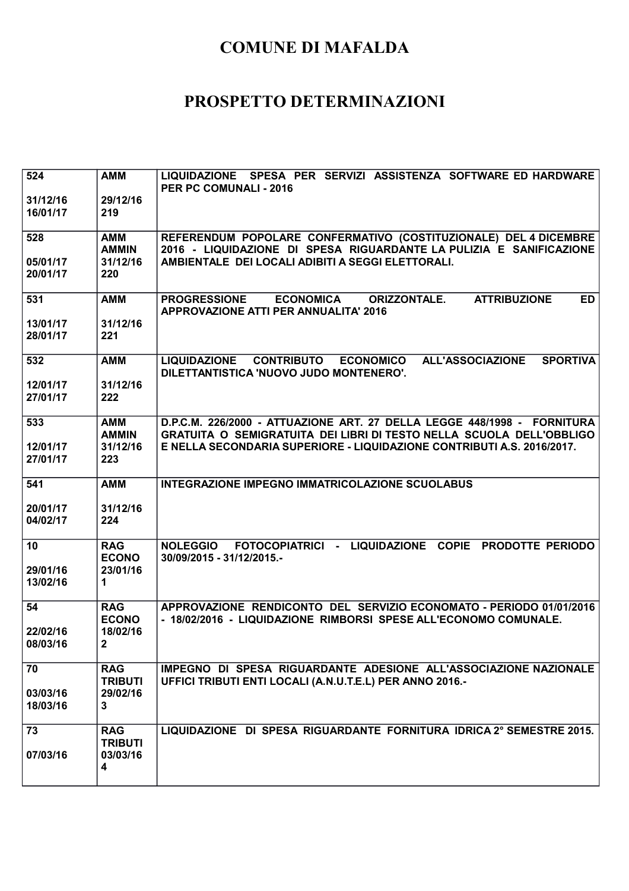| 524                  | <b>AMM</b>                   | LIQUIDAZIONE SPESA PER SERVIZI ASSISTENZA SOFTWARE ED HARDWARE<br>PER PC COMUNALI - 2016                                                              |
|----------------------|------------------------------|-------------------------------------------------------------------------------------------------------------------------------------------------------|
| 31/12/16<br>16/01/17 | 29/12/16<br>219              |                                                                                                                                                       |
| 528                  | AMM<br><b>AMMIN</b>          | REFERENDUM POPOLARE CONFERMATIVO (COSTITUZIONALE) DEL 4 DICEMBRE<br>2016 - LIQUIDAZIONE DI SPESA RIGUARDANTE LA PULIZIA E SANIFICAZIONE               |
| 05/01/17<br>20/01/17 | 31/12/16<br>220              | AMBIENTALE DEI LOCALI ADIBITI A SEGGI ELETTORALI.                                                                                                     |
| 531                  | <b>AMM</b>                   | <b>ATTRIBUZIONE</b><br>PROGRESSIONE ECONOMICA<br><b>ORIZZONTALE.</b><br><b>ED</b><br><b>APPROVAZIONE ATTI PER ANNUALITA' 2016</b>                     |
| 13/01/17<br>28/01/17 | 31/12/16<br>221              |                                                                                                                                                       |
| 532                  | <b>AMM</b>                   | <b>CONTRIBUTO</b><br><b>ALL'ASSOCIAZIONE</b><br><b>SPORTIVA</b><br><b>LIQUIDAZIONE</b><br><b>ECONOMICO</b><br>DILETTANTISTICA 'NUOVO JUDO MONTENERO'. |
| 12/01/17<br>27/01/17 | 31/12/16<br>222              |                                                                                                                                                       |
| 533                  | <b>AMM</b><br><b>AMMIN</b>   | D.P.C.M. 226/2000 - ATTUAZIONE ART. 27 DELLA LEGGE 448/1998 - FORNITURA<br>GRATUITA O SEMIGRATUITA DEI LIBRI DI TESTO NELLA SCUOLA DELL'OBBLIGO       |
| 12/01/17<br>27/01/17 | 31/12/16<br>223              | E NELLA SECONDARIA SUPERIORE - LIQUIDAZIONE CONTRIBUTI A.S. 2016/2017.                                                                                |
| 541                  | <b>AMM</b>                   | INTEGRAZIONE IMPEGNO IMMATRICOLAZIONE SCUOLABUS                                                                                                       |
| 20/01/17<br>04/02/17 | 31/12/16<br>224              |                                                                                                                                                       |
| 10                   | <b>RAG</b><br><b>ECONO</b>   | FOTOCOPIATRICI - LIQUIDAZIONE COPIE PRODOTTE PERIODO<br><b>NOLEGGIO</b><br>30/09/2015 - 31/12/2015.-                                                  |
| 29/01/16<br>13/02/16 | 23/01/16<br>$\mathbf 1$      |                                                                                                                                                       |
| 54                   | <b>RAG</b><br><b>ECONO</b>   | APPROVAZIONE RENDICONTO DEL SERVIZIO ECONOMATO - PERIODO 01/01/2016<br>- 18/02/2016 - LIQUIDAZIONE RIMBORSI SPESE ALL'ECONOMO COMUNALE.               |
| 22/02/16<br>08/03/16 | 18/02/16<br>2                |                                                                                                                                                       |
| 70                   | <b>RAG</b><br><b>TRIBUTI</b> | IMPEGNO DI SPESA RIGUARDANTE ADESIONE ALL'ASSOCIAZIONE NAZIONALE<br>UFFICI TRIBUTI ENTI LOCALI (A.N.U.T.E.L) PER ANNO 2016.-                          |
| 03/03/16<br>18/03/16 | 29/02/16<br>3                |                                                                                                                                                       |
| 73                   | <b>RAG</b><br><b>TRIBUTI</b> | LIQUIDAZIONE DI SPESA RIGUARDANTE FORNITURA IDRICA 2° SEMESTRE 2015.                                                                                  |
| 07/03/16             | 03/03/16<br>4                |                                                                                                                                                       |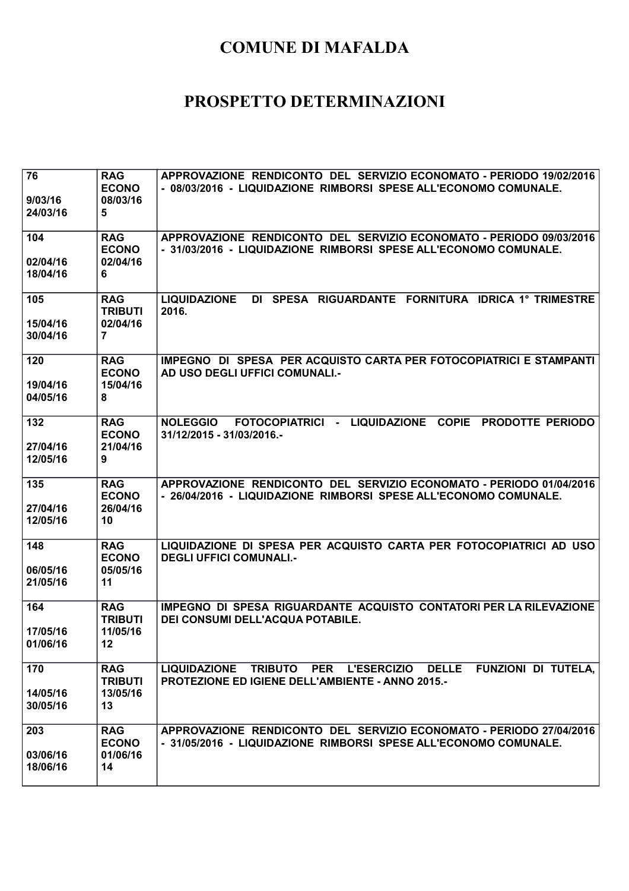| 76<br>9/03/16<br>24/03/16   | <b>RAG</b><br><b>ECONO</b><br>08/03/16<br>5                 | APPROVAZIONE RENDICONTO DEL SERVIZIO ECONOMATO - PERIODO 19/02/2016<br>- 08/03/2016 - LIQUIDAZIONE RIMBORSI SPESE ALL'ECONOMO COMUNALE. |
|-----------------------------|-------------------------------------------------------------|-----------------------------------------------------------------------------------------------------------------------------------------|
| 104<br>02/04/16<br>18/04/16 | <b>RAG</b><br><b>ECONO</b><br>02/04/16<br>6                 | APPROVAZIONE RENDICONTO DEL SERVIZIO ECONOMATO - PERIODO 09/03/2016<br>- 31/03/2016 - LIQUIDAZIONE RIMBORSI SPESE ALL'ECONOMO COMUNALE. |
| 105<br>15/04/16<br>30/04/16 | <b>RAG</b><br><b>TRIBUTI</b><br>02/04/16<br>7               | DI SPESA RIGUARDANTE FORNITURA IDRICA 1º TRIMESTRE<br><b>LIQUIDAZIONE</b><br>2016.                                                      |
| 120<br>19/04/16<br>04/05/16 | <b>RAG</b><br><b>ECONO</b><br>15/04/16<br>8                 | IMPEGNO DI SPESA PER ACQUISTO CARTA PER FOTOCOPIATRICI E STAMPANTI<br>AD USO DEGLI UFFICI COMUNALI.-                                    |
| 132<br>27/04/16<br>12/05/16 | <b>RAG</b><br><b>ECONO</b><br>21/04/16<br>9                 | NOLEGGIO FOTOCOPIATRICI - LIQUIDAZIONE COPIE PRODOTTE PERIODO<br>31/12/2015 - 31/03/2016.-                                              |
| 135<br>27/04/16<br>12/05/16 | <b>RAG</b><br><b>ECONO</b><br>26/04/16<br>10                | APPROVAZIONE RENDICONTO DEL SERVIZIO ECONOMATO - PERIODO 01/04/2016<br>- 26/04/2016 - LIQUIDAZIONE RIMBORSI SPESE ALL'ECONOMO COMUNALE. |
| 148<br>06/05/16<br>21/05/16 | <b>RAG</b><br><b>ECONO</b><br>05/05/16<br>11                | LIQUIDAZIONE DI SPESA PER ACQUISTO CARTA PER FOTOCOPIATRICI AD USO<br><b>DEGLI UFFICI COMUNALI.-</b>                                    |
| 164<br>17/05/16<br>01/06/16 | <b>RAG</b><br><b>TRIBUTI</b><br>11/05/16<br>12 <sub>1</sub> | IMPEGNO DI SPESA RIGUARDANTE ACQUISTO CONTATORI PER LA RILEVAZIONE<br>DEI CONSUMI DELL'ACQUA POTABILE.                                  |
| 170<br>14/05/16<br>30/05/16 | <b>RAG</b><br><b>TRIBUTI</b><br>13/05/16<br>13              | LIQUIDAZIONE TRIBUTO PER L'ESERCIZIO DELLE FUNZIONI DI TUTELA,<br>PROTEZIONE ED IGIENE DELL'AMBIENTE - ANNO 2015.-                      |
| 203<br>03/06/16<br>18/06/16 | <b>RAG</b><br><b>ECONO</b><br>01/06/16<br>14                | APPROVAZIONE RENDICONTO DEL SERVIZIO ECONOMATO - PERIODO 27/04/2016<br>- 31/05/2016 - LIQUIDAZIONE RIMBORSI SPESE ALL'ECONOMO COMUNALE. |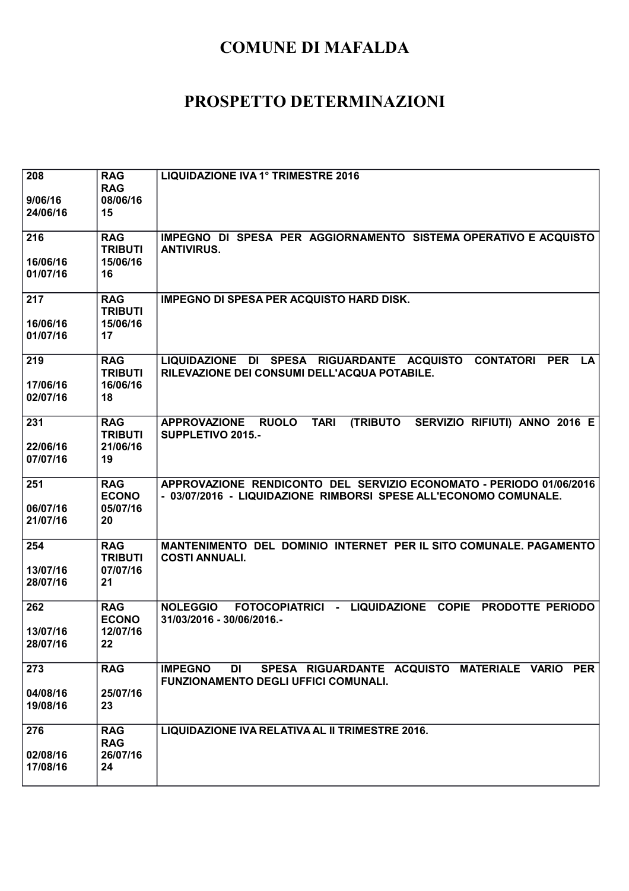| 208<br>9/06/16<br>24/06/16  | <b>RAG</b><br><b>RAG</b><br>08/06/16<br>15     | LIQUIDAZIONE IVA 1° TRIMESTRE 2016                                                                                                      |
|-----------------------------|------------------------------------------------|-----------------------------------------------------------------------------------------------------------------------------------------|
| 216<br>16/06/16<br>01/07/16 | <b>RAG</b><br><b>TRIBUTI</b><br>15/06/16<br>16 | IMPEGNO DI SPESA PER AGGIORNAMENTO SISTEMA OPERATIVO E ACQUISTO<br><b>ANTIVIRUS.</b>                                                    |
| 217<br>16/06/16<br>01/07/16 | <b>RAG</b><br><b>TRIBUTI</b><br>15/06/16<br>17 | <b>IMPEGNO DI SPESA PER ACQUISTO HARD DISK.</b>                                                                                         |
| 219<br>17/06/16<br>02/07/16 | <b>RAG</b><br><b>TRIBUTI</b><br>16/06/16<br>18 | LIQUIDAZIONE DI SPESA RIGUARDANTE ACQUISTO CONTATORI<br><b>PER</b><br><b>LA</b><br>RILEVAZIONE DEI CONSUMI DELL'ACQUA POTABILE.         |
| 231<br>22/06/16<br>07/07/16 | <b>RAG</b><br><b>TRIBUTI</b><br>21/06/16<br>19 | <b>RUOLO</b><br><b>TARI</b><br><b>(TRIBUTO</b><br>SERVIZIO RIFIUTI) ANNO 2016 E<br><b>APPROVAZIONE</b><br>SUPPLETIVO 2015.-             |
| 251<br>06/07/16<br>21/07/16 | <b>RAG</b><br><b>ECONO</b><br>05/07/16<br>20   | APPROVAZIONE RENDICONTO DEL SERVIZIO ECONOMATO - PERIODO 01/06/2016<br>- 03/07/2016 - LIQUIDAZIONE RIMBORSI SPESE ALL'ECONOMO COMUNALE. |
| 254<br>13/07/16<br>28/07/16 | <b>RAG</b><br><b>TRIBUTI</b><br>07/07/16<br>21 | MANTENIMENTO DEL DOMINIO INTERNET PER IL SITO COMUNALE. PAGAMENTO<br><b>COSTI ANNUALI.</b>                                              |
| 262<br>13/07/16<br>28/07/16 | <b>RAG</b><br><b>ECONO</b><br>12/07/16<br>22   | <b>NOLEGGIO</b><br>FOTOCOPIATRICI - LIQUIDAZIONE COPIE<br><b>PRODOTTE PERIODO</b><br>31/03/2016 - 30/06/2016.-                          |
| 273<br>04/08/16<br>19/08/16 | <b>RAG</b><br>25/07/16<br>23                   | <b>IMPEGNO</b><br>SPESA RIGUARDANTE ACQUISTO MATERIALE VARIO PER<br>DI<br><b>FUNZIONAMENTO DEGLI UFFICI COMUNALI.</b>                   |
| 276<br>02/08/16<br>17/08/16 | <b>RAG</b><br><b>RAG</b><br>26/07/16<br>24     | LIQUIDAZIONE IVA RELATIVA AL II TRIMESTRE 2016.                                                                                         |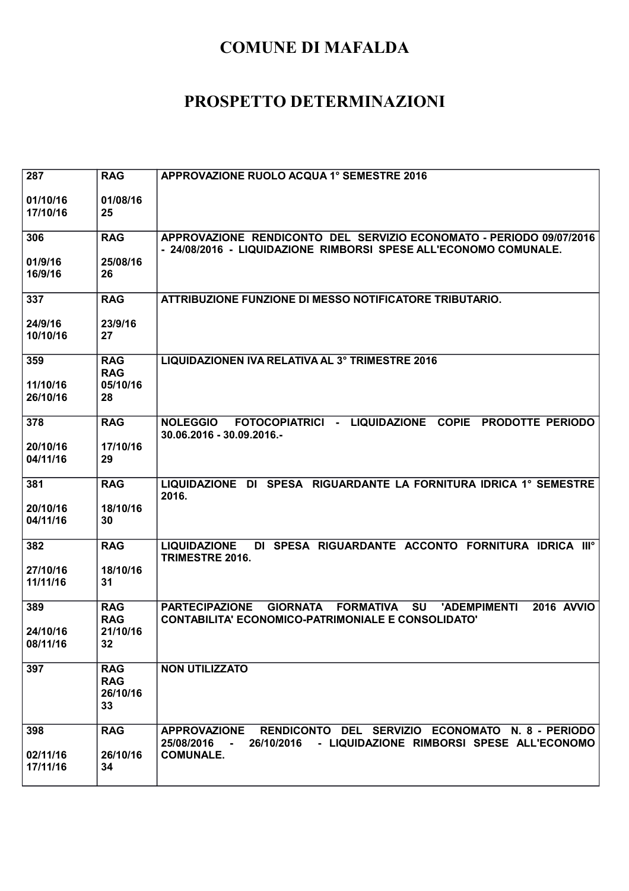| 287                  | <b>RAG</b>             | APPROVAZIONE RUOLO ACQUA 1° SEMESTRE 2016                                                                                               |
|----------------------|------------------------|-----------------------------------------------------------------------------------------------------------------------------------------|
| 01/10/16<br>17/10/16 | 01/08/16<br>25         |                                                                                                                                         |
|                      |                        |                                                                                                                                         |
| 306                  | <b>RAG</b>             | APPROVAZIONE RENDICONTO DEL SERVIZIO ECONOMATO - PERIODO 09/07/2016<br>- 24/08/2016 - LIQUIDAZIONE RIMBORSI SPESE ALL'ECONOMO COMUNALE. |
| 01/9/16              | 25/08/16               |                                                                                                                                         |
| 16/9/16              | 26                     |                                                                                                                                         |
| 337                  | <b>RAG</b>             | ATTRIBUZIONE FUNZIONE DI MESSO NOTIFICATORE TRIBUTARIO.                                                                                 |
| 24/9/16              | 23/9/16                |                                                                                                                                         |
| 10/10/16             | 27                     |                                                                                                                                         |
| 359                  | <b>RAG</b>             | LIQUIDAZIONEN IVA RELATIVA AL 3° TRIMESTRE 2016                                                                                         |
| 11/10/16             | <b>RAG</b><br>05/10/16 |                                                                                                                                         |
| 26/10/16             | 28                     |                                                                                                                                         |
| 378                  | <b>RAG</b>             | <b>NOLEGGIO</b><br>FOTOCOPIATRICI - LIQUIDAZIONE COPIE<br>PRODOTTE PERIODO                                                              |
|                      |                        | 30.06.2016 - 30.09.2016.-                                                                                                               |
| 20/10/16             | 17/10/16               |                                                                                                                                         |
| 04/11/16             | 29                     |                                                                                                                                         |
| 381                  | <b>RAG</b>             | LIQUIDAZIONE DI SPESA RIGUARDANTE LA FORNITURA IDRICA 1° SEMESTRE<br>2016.                                                              |
| 20/10/16             | 18/10/16               |                                                                                                                                         |
| 04/11/16             | 30                     |                                                                                                                                         |
| 382                  | <b>RAG</b>             | DI SPESA RIGUARDANTE ACCONTO FORNITURA IDRICA IIIº<br><b>LIQUIDAZIONE</b><br>TRIMESTRE 2016.                                            |
| 27/10/16             | 18/10/16               |                                                                                                                                         |
| 11/11/16             | 31                     |                                                                                                                                         |
| 389                  | <b>RAG</b>             | <b>PARTECIPAZIONE</b><br><b>GIORNATA</b><br><b>FORMATIVA</b><br><b>SU</b><br><b>2016 AVVIO</b><br>'ADEMPIMENTI                          |
| 24/10/16             | <b>RAG</b><br>21/10/16 | <b>CONTABILITA' ECONOMICO-PATRIMONIALE E CONSOLIDATO'</b>                                                                               |
| 08/11/16             | 32                     |                                                                                                                                         |
| 397                  | <b>RAG</b>             | <b>NON UTILIZZATO</b>                                                                                                                   |
|                      | <b>RAG</b>             |                                                                                                                                         |
|                      | 26/10/16               |                                                                                                                                         |
|                      | 33                     |                                                                                                                                         |
| 398                  | <b>RAG</b>             | RENDICONTO DEL SERVIZIO ECONOMATO N. 8 - PERIODO<br><b>APPROVAZIONE</b>                                                                 |
| 02/11/16             | 26/10/16               | 26/10/2016 - LIQUIDAZIONE RIMBORSI SPESE ALL'ECONOMO<br>25/08/2016<br>$\sim 100$<br><b>COMUNALE.</b>                                    |
| 17/11/16             | 34                     |                                                                                                                                         |
|                      |                        |                                                                                                                                         |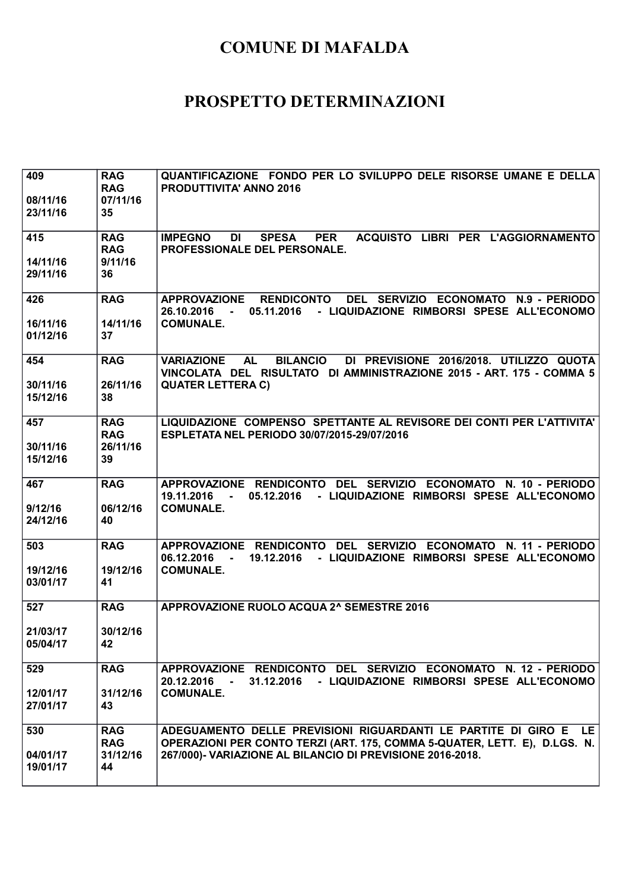| 409<br>08/11/16<br>23/11/16 | <b>RAG</b><br><b>RAG</b><br>07/11/16<br>35 | QUANTIFICAZIONE FONDO PER LO SVILUPPO DELE RISORSE UMANE E DELLA<br><b>PRODUTTIVITA' ANNO 2016</b>                                                                                                             |
|-----------------------------|--------------------------------------------|----------------------------------------------------------------------------------------------------------------------------------------------------------------------------------------------------------------|
| 415<br>14/11/16<br>29/11/16 | <b>RAG</b><br><b>RAG</b><br>9/11/16<br>36  | <b>PER</b><br>ACQUISTO LIBRI PER L'AGGIORNAMENTO<br><b>IMPEGNO</b><br>DI<br><b>SPESA</b><br>PROFESSIONALE DEL PERSONALE.                                                                                       |
| 426<br>16/11/16<br>01/12/16 | <b>RAG</b><br>14/11/16<br>37               | <b>RENDICONTO</b><br>DEL SERVIZIO ECONOMATO N.9 - PERIODO<br><b>APPROVAZIONE</b><br>- LIQUIDAZIONE RIMBORSI SPESE ALL'ECONOMO<br>26.10.2016<br>05.11.2016<br><b>Contract Contract</b><br><b>COMUNALE.</b>      |
| 454<br>30/11/16<br>15/12/16 | <b>RAG</b><br>26/11/16<br>38               | <b>AL</b><br><b>BILANCIO</b><br>DI PREVISIONE 2016/2018. UTILIZZO QUOTA<br><b>VARIAZIONE</b><br>VINCOLATA DEL RISULTATO DI AMMINISTRAZIONE 2015 - ART. 175 - COMMA 5<br><b>QUATER LETTERA C)</b>               |
| 457<br>30/11/16<br>15/12/16 | <b>RAG</b><br><b>RAG</b><br>26/11/16<br>39 | LIQUIDAZIONE COMPENSO SPETTANTE AL REVISORE DEI CONTI PER L'ATTIVITA'<br>ESPLETATA NEL PERIODO 30/07/2015-29/07/2016                                                                                           |
| 467<br>9/12/16<br>24/12/16  | <b>RAG</b><br>06/12/16<br>40               | APPROVAZIONE RENDICONTO DEL SERVIZIO ECONOMATO N. 10 - PERIODO<br>05.12.2016<br>- LIQUIDAZIONE RIMBORSI SPESE ALL'ECONOMO<br>19.11.2016<br><b>COMUNALE.</b>                                                    |
| 503<br>19/12/16<br>03/01/17 | <b>RAG</b><br>19/12/16<br>41               | APPROVAZIONE RENDICONTO DEL SERVIZIO ECONOMATO N. 11 - PERIODO<br>19.12.2016 - LIQUIDAZIONE RIMBORSI SPESE ALL'ECONOMO<br>06.12.2016<br>$\sim$<br><b>COMUNALE.</b>                                             |
| 527<br>21/03/17<br>05/04/17 | <b>RAG</b><br>30/12/16<br>42               | APPROVAZIONE RUOLO ACQUA 2^ SEMESTRE 2016                                                                                                                                                                      |
| 529<br>12/01/17<br>27/01/17 | <b>RAG</b><br>31/12/16<br>43               | APPROVAZIONE RENDICONTO DEL SERVIZIO ECONOMATO N. 12 - PERIODO<br>31.12.2016 - LIQUIDAZIONE RIMBORSI SPESE ALL'ECONOMO<br>20.12.2016<br>$\sim 100$<br><b>COMUNALE.</b>                                         |
| 530<br>04/01/17<br>19/01/17 | <b>RAG</b><br><b>RAG</b><br>31/12/16<br>44 | ADEGUAMENTO DELLE PREVISIONI RIGUARDANTI LE PARTITE DI GIRO E<br>LE.<br>OPERAZIONI PER CONTO TERZI (ART. 175, COMMA 5-QUATER, LETT. E), D.LGS. N.<br>267/000)- VARIAZIONE AL BILANCIO DI PREVISIONE 2016-2018. |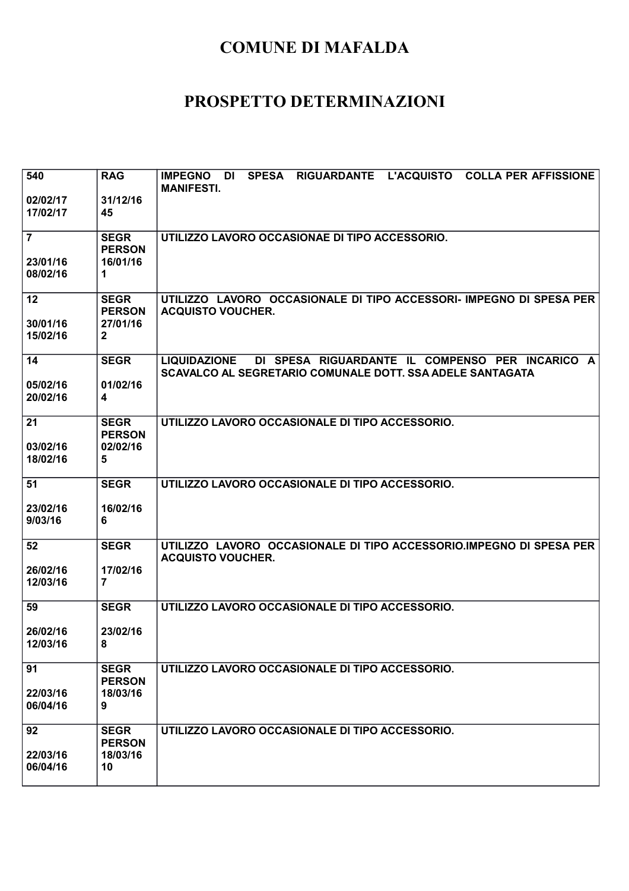| 540<br>02/02/17<br>17/02/17            | <b>RAG</b><br>31/12/16<br>45                             | SPESA RIGUARDANTE L'ACQUISTO COLLA PER AFFISSIONE<br><b>IMPEGNO DI</b><br><b>MANIFESTI.</b>                                         |
|----------------------------------------|----------------------------------------------------------|-------------------------------------------------------------------------------------------------------------------------------------|
| $\overline{7}$<br>23/01/16<br>08/02/16 | <b>SEGR</b><br><b>PERSON</b><br>16/01/16<br>1            | UTILIZZO LAVORO OCCASIONAE DI TIPO ACCESSORIO.                                                                                      |
| 12<br>30/01/16<br>15/02/16             | <b>SEGR</b><br><b>PERSON</b><br>27/01/16<br>$\mathbf{2}$ | UTILIZZO LAVORO OCCASIONALE DI TIPO ACCESSORI- IMPEGNO DI SPESA PER<br><b>ACQUISTO VOUCHER.</b>                                     |
| 14<br>05/02/16<br>20/02/16             | <b>SEGR</b><br>01/02/16<br>4                             | DI SPESA RIGUARDANTE IL COMPENSO PER INCARICO A<br><b>LIQUIDAZIONE</b><br>SCAVALCO AL SEGRETARIO COMUNALE DOTT. SSA ADELE SANTAGATA |
| 21<br>03/02/16<br>18/02/16             | <b>SEGR</b><br><b>PERSON</b><br>02/02/16<br>5            | UTILIZZO LAVORO OCCASIONALE DI TIPO ACCESSORIO.                                                                                     |
| 51<br>23/02/16<br>9/03/16              | <b>SEGR</b><br>16/02/16<br>6                             | UTILIZZO LAVORO OCCASIONALE DI TIPO ACCESSORIO.                                                                                     |
| 52<br>26/02/16<br>12/03/16             | <b>SEGR</b><br>17/02/16<br>$\overline{7}$                | UTILIZZO LAVORO OCCASIONALE DI TIPO ACCESSORIO.IMPEGNO DI SPESA PER<br><b>ACQUISTO VOUCHER.</b>                                     |
| 59<br>26/02/16<br>12/03/16             | <b>SEGR</b><br>23/02/16<br>8                             | UTILIZZO LAVORO OCCASIONALE DI TIPO ACCESSORIO.                                                                                     |
| 91<br>22/03/16<br>06/04/16             | <b>SEGR</b><br><b>PERSON</b><br>18/03/16<br>9            | UTILIZZO LAVORO OCCASIONALE DI TIPO ACCESSORIO.                                                                                     |
| 92<br>22/03/16<br>06/04/16             | <b>SEGR</b><br><b>PERSON</b><br>18/03/16<br>10           | UTILIZZO LAVORO OCCASIONALE DI TIPO ACCESSORIO.                                                                                     |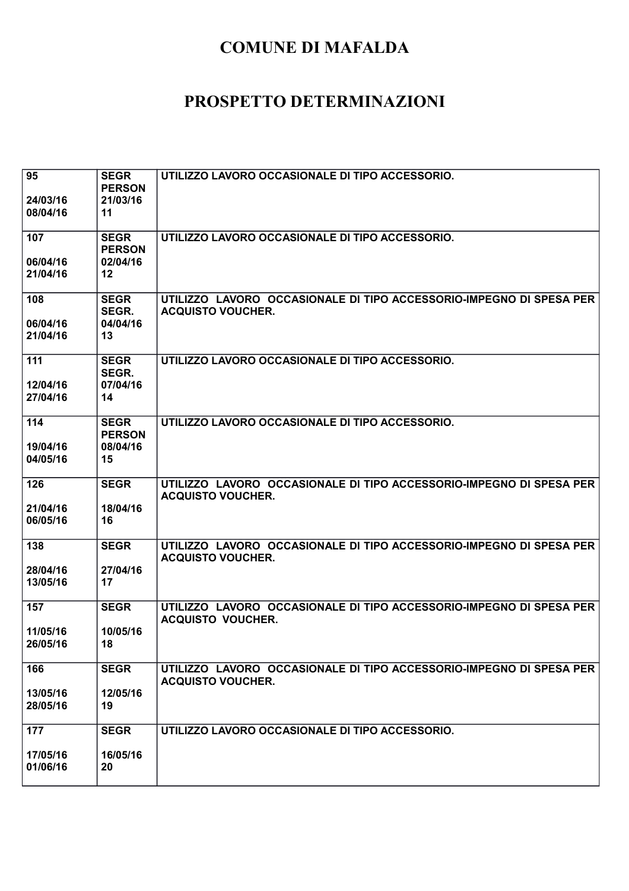| 95<br>24/03/16<br>08/04/16  | <b>SEGR</b><br><b>PERSON</b><br>21/03/16<br>11 | UTILIZZO LAVORO OCCASIONALE DI TIPO ACCESSORIO.                                                 |
|-----------------------------|------------------------------------------------|-------------------------------------------------------------------------------------------------|
| 107<br>06/04/16             | <b>SEGR</b><br><b>PERSON</b><br>02/04/16       | UTILIZZO LAVORO OCCASIONALE DI TIPO ACCESSORIO.                                                 |
| 21/04/16                    | 12                                             |                                                                                                 |
| 108<br>06/04/16<br>21/04/16 | <b>SEGR</b><br>SEGR.<br>04/04/16<br>13         | UTILIZZO LAVORO OCCASIONALE DI TIPO ACCESSORIO-IMPEGNO DI SPESA PER<br><b>ACQUISTO VOUCHER.</b> |
| 111<br>12/04/16<br>27/04/16 | <b>SEGR</b><br>SEGR.<br>07/04/16<br>14         | UTILIZZO LAVORO OCCASIONALE DI TIPO ACCESSORIO.                                                 |
| 114<br>19/04/16             | <b>SEGR</b><br><b>PERSON</b><br>08/04/16       | UTILIZZO LAVORO OCCASIONALE DI TIPO ACCESSORIO.                                                 |
| 04/05/16                    | 15                                             |                                                                                                 |
| 126                         | <b>SEGR</b>                                    | UTILIZZO LAVORO OCCASIONALE DI TIPO ACCESSORIO-IMPEGNO DI SPESA PER<br><b>ACQUISTO VOUCHER.</b> |
| 21/04/16<br>06/05/16        | 18/04/16<br>16                                 |                                                                                                 |
| 138                         | <b>SEGR</b>                                    | UTILIZZO LAVORO OCCASIONALE DI TIPO ACCESSORIO-IMPEGNO DI SPESA PER<br><b>ACQUISTO VOUCHER.</b> |
| 28/04/16<br>13/05/16        | 27/04/16<br>17                                 |                                                                                                 |
| 157                         | <b>SEGR</b>                                    | UTILIZZO LAVORO OCCASIONALE DI TIPO ACCESSORIO-IMPEGNO DI SPESA PER<br><b>ACQUISTO VOUCHER.</b> |
| 11/05/16<br>26/05/16        | 10/05/16<br>18                                 |                                                                                                 |
| 166                         | <b>SEGR</b>                                    | UTILIZZO LAVORO OCCASIONALE DI TIPO ACCESSORIO-IMPEGNO DI SPESA PER<br><b>ACQUISTO VOUCHER.</b> |
| 13/05/16<br>28/05/16        | 12/05/16<br>19                                 |                                                                                                 |
| 177                         | <b>SEGR</b>                                    | UTILIZZO LAVORO OCCASIONALE DI TIPO ACCESSORIO.                                                 |
| 17/05/16<br>01/06/16        | 16/05/16<br>20                                 |                                                                                                 |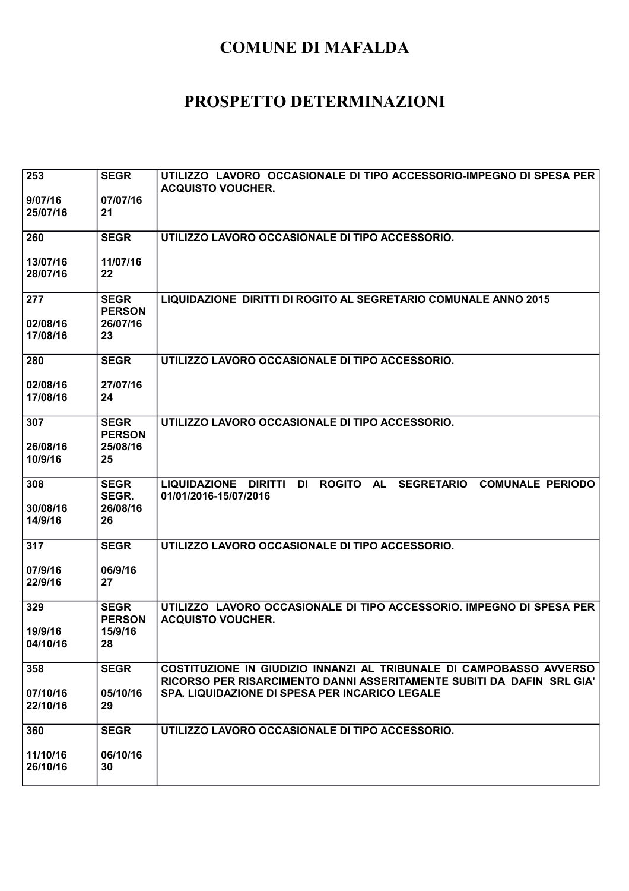| 253<br>9/07/16             | <b>SEGR</b><br>07/07/16                  | UTILIZZO LAVORO OCCASIONALE DI TIPO ACCESSORIO-IMPEGNO DI SPESA PER<br><b>ACQUISTO VOUCHER.</b>                                              |
|----------------------------|------------------------------------------|----------------------------------------------------------------------------------------------------------------------------------------------|
| 25/07/16                   | 21                                       |                                                                                                                                              |
| 260                        | <b>SEGR</b>                              | UTILIZZO LAVORO OCCASIONALE DI TIPO ACCESSORIO.                                                                                              |
| 13/07/16<br>28/07/16       | 11/07/16<br>22                           |                                                                                                                                              |
| 277<br>02/08/16            | <b>SEGR</b><br><b>PERSON</b><br>26/07/16 | LIQUIDAZIONE DIRITTI DI ROGITO AL SEGRETARIO COMUNALE ANNO 2015                                                                              |
| 17/08/16                   | 23                                       |                                                                                                                                              |
| 280                        | <b>SEGR</b>                              | UTILIZZO LAVORO OCCASIONALE DI TIPO ACCESSORIO.                                                                                              |
| 02/08/16<br>17/08/16       | 27/07/16<br>24                           |                                                                                                                                              |
| 307                        | <b>SEGR</b><br><b>PERSON</b>             | UTILIZZO LAVORO OCCASIONALE DI TIPO ACCESSORIO.                                                                                              |
| 26/08/16<br>10/9/16        | 25/08/16<br>25                           |                                                                                                                                              |
| 308<br>30/08/16<br>14/9/16 | <b>SEGR</b><br>SEGR.<br>26/08/16<br>26   | <b>ROGITO</b><br><b>AL</b><br><b>SEGRETARIO</b><br><b>COMUNALE PERIODO</b><br>LIQUIDAZIONE DIRITTI<br><b>DI</b><br>01/01/2016-15/07/2016     |
| 317                        | <b>SEGR</b>                              | UTILIZZO LAVORO OCCASIONALE DI TIPO ACCESSORIO.                                                                                              |
| 07/9/16<br>22/9/16         | 06/9/16<br>27                            |                                                                                                                                              |
| 329                        | <b>SEGR</b><br><b>PERSON</b>             | UTILIZZO LAVORO OCCASIONALE DI TIPO ACCESSORIO. IMPEGNO DI SPESA PER<br><b>ACQUISTO VOUCHER.</b>                                             |
| 19/9/16<br>04/10/16        | 15/9/16<br>28                            |                                                                                                                                              |
| 358                        | <b>SEGR</b>                              | COSTITUZIONE IN GIUDIZIO INNANZI AL TRIBUNALE DI CAMPOBASSO AVVERSO<br>RICORSO PER RISARCIMENTO DANNI ASSERITAMENTE SUBITI DA DAFIN SRL GIA' |
| 07/10/16<br>22/10/16       | 05/10/16<br>29                           | SPA. LIQUIDAZIONE DI SPESA PER INCARICO LEGALE                                                                                               |
| 360                        | <b>SEGR</b>                              | UTILIZZO LAVORO OCCASIONALE DI TIPO ACCESSORIO.                                                                                              |
| 11/10/16<br>26/10/16       | 06/10/16<br>30                           |                                                                                                                                              |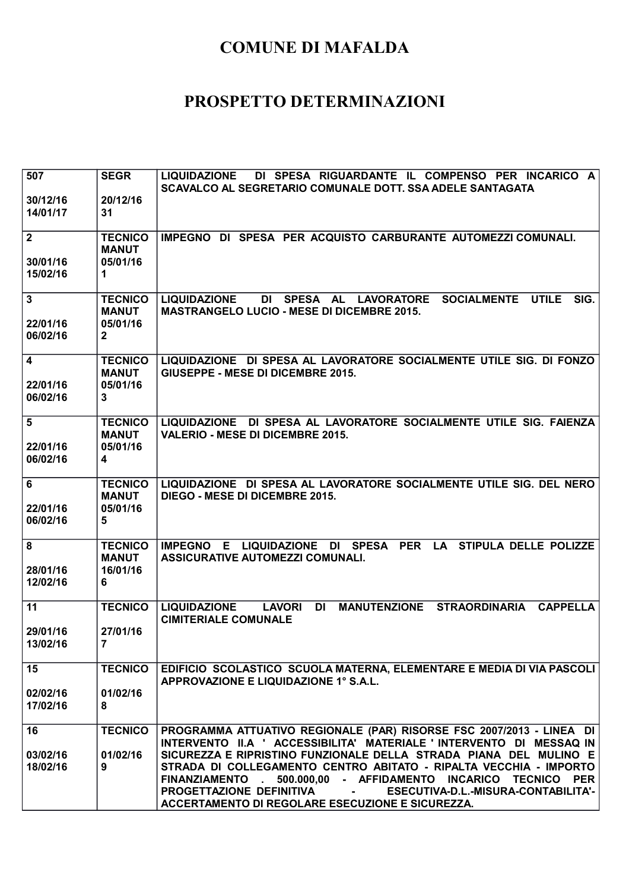| 507<br>30/12/16<br>14/01/17            | <b>SEGR</b><br>20/12/16<br>31                              | DI SPESA RIGUARDANTE IL COMPENSO PER INCARICO A<br><b>LIQUIDAZIONE</b><br>SCAVALCO AL SEGRETARIO COMUNALE DOTT. SSA ADELE SANTAGATA                                                                                                                                                                                                                                                                                                                                                        |
|----------------------------------------|------------------------------------------------------------|--------------------------------------------------------------------------------------------------------------------------------------------------------------------------------------------------------------------------------------------------------------------------------------------------------------------------------------------------------------------------------------------------------------------------------------------------------------------------------------------|
| $\overline{2}$<br>30/01/16<br>15/02/16 | <b>TECNICO</b><br><b>MANUT</b><br>05/01/16<br>1            | IMPEGNO DI SPESA PER ACQUISTO CARBURANTE AUTOMEZZI COMUNALI.                                                                                                                                                                                                                                                                                                                                                                                                                               |
| $\mathbf{3}$<br>22/01/16<br>06/02/16   | <b>TECNICO</b><br><b>MANUT</b><br>05/01/16<br>$\mathbf{2}$ | <b>SOCIALMENTE</b><br><b>UTILE</b><br><b>LIQUIDAZIONE</b><br>DI SPESA AL LAVORATORE<br>SIG.<br><b>MASTRANGELO LUCIO - MESE DI DICEMBRE 2015.</b>                                                                                                                                                                                                                                                                                                                                           |
| 4<br>22/01/16<br>06/02/16              | <b>TECNICO</b><br><b>MANUT</b><br>05/01/16<br>3            | LIQUIDAZIONE DI SPESA AL LAVORATORE SOCIALMENTE UTILE SIG. DI FONZO<br>GIUSEPPE - MESE DI DICEMBRE 2015.                                                                                                                                                                                                                                                                                                                                                                                   |
| 5<br>22/01/16<br>06/02/16              | <b>TECNICO</b><br><b>MANUT</b><br>05/01/16<br>4            | LIQUIDAZIONE DI SPESA AL LAVORATORE SOCIALMENTE UTILE SIG. FAIENZA<br><b>VALERIO - MESE DI DICEMBRE 2015.</b>                                                                                                                                                                                                                                                                                                                                                                              |
| 6<br>22/01/16<br>06/02/16              | <b>TECNICO</b><br><b>MANUT</b><br>05/01/16<br>5            | LIQUIDAZIONE DI SPESA AL LAVORATORE SOCIALMENTE UTILE SIG. DEL NERO<br><b>DIEGO - MESE DI DICEMBRE 2015.</b>                                                                                                                                                                                                                                                                                                                                                                               |
| 8<br>28/01/16<br>12/02/16              | <b>TECNICO</b><br><b>MANUT</b><br>16/01/16<br>6            | IMPEGNO E LIQUIDAZIONE DI SPESA PER LA STIPULA DELLE POLIZZE<br>ASSICURATIVE AUTOMEZZI COMUNALI.                                                                                                                                                                                                                                                                                                                                                                                           |
| 11<br>29/01/16<br>13/02/16             | <b>TECNICO</b><br>27/01/16<br>$\overline{7}$               | <b>CAPPELLA</b><br><b>LIQUIDAZIONE</b><br><b>LAVORI</b><br><b>DI</b><br><b>MANUTENZIONE</b><br><b>STRAORDINARIA</b><br><b>CIMITERIALE COMUNALE</b>                                                                                                                                                                                                                                                                                                                                         |
| 15<br>02/02/16<br>17/02/16             | <b>TECNICO</b><br>01/02/16<br>8                            | EDIFICIO SCOLASTICO SCUOLA MATERNA, ELEMENTARE E MEDIA DI VIA PASCOLI<br>APPROVAZIONE E LIQUIDAZIONE 1° S.A.L.                                                                                                                                                                                                                                                                                                                                                                             |
| 16<br>03/02/16<br>18/02/16             | <b>TECNICO</b><br>01/02/16<br>9                            | PROGRAMMA ATTUATIVO REGIONALE (PAR) RISORSE FSC 2007/2013 - LINEA DI<br>INTERVENTO II.A ' ACCESSIBILITA' MATERIALE ' INTERVENTO DI MESSAQ IN<br>SICUREZZA E RIPRISTINO FUNZIONALE DELLA STRADA PIANA DEL MULINO E<br>STRADA DI COLLEGAMENTO CENTRO ABITATO - RIPALTA VECCHIA - IMPORTO<br>500.000,00 - AFFIDAMENTO INCARICO TECNICO<br>FINANZIAMENTO.<br><b>PER</b><br>PROGETTAZIONE DEFINITIVA<br>ESECUTIVA-D.L.-MISURA-CONTABILITA'-<br>ACCERTAMENTO DI REGOLARE ESECUZIONE E SICUREZZA. |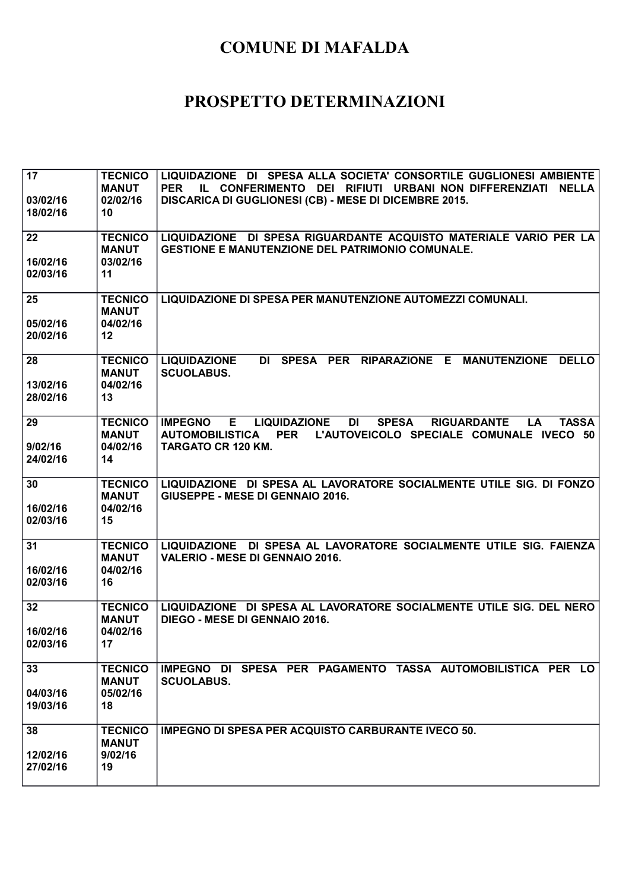| 17<br>03/02/16<br>18/02/16 | <b>TECNICO</b><br><b>MANUT</b><br>02/02/16<br>10              | LIQUIDAZIONE DI SPESA ALLA SOCIETA' CONSORTILE GUGLIONESI AMBIENTE<br>IL CONFERIMENTO DEI RIFIUTI URBANI NON DIFFERENZIATI NELLA<br><b>PER</b><br>DISCARICA DI GUGLIONESI (CB) - MESE DI DICEMBRE 2015.                               |
|----------------------------|---------------------------------------------------------------|---------------------------------------------------------------------------------------------------------------------------------------------------------------------------------------------------------------------------------------|
| 22<br>16/02/16<br>02/03/16 | <b>TECNICO</b><br><b>MANUT</b><br>03/02/16<br>11              | LIQUIDAZIONE DI SPESA RIGUARDANTE ACQUISTO MATERIALE VARIO PER LA<br><b>GESTIONE E MANUTENZIONE DEL PATRIMONIO COMUNALE.</b>                                                                                                          |
| 25<br>05/02/16<br>20/02/16 | <b>TECNICO</b><br><b>MANUT</b><br>04/02/16<br>12              | LIQUIDAZIONE DI SPESA PER MANUTENZIONE AUTOMEZZI COMUNALI.                                                                                                                                                                            |
| 28<br>13/02/16<br>28/02/16 | <b>TECNICO</b><br><b>MANUT</b><br>04/02/16<br>13              | DI SPESA PER RIPARAZIONE E<br><b>LIQUIDAZIONE</b><br><b>MANUTENZIONE</b><br><b>DELLO</b><br><b>SCUOLABUS.</b>                                                                                                                         |
| 29<br>9/02/16<br>24/02/16  | <b>TECNICO</b><br><b>MANUT</b><br>04/02/16<br>14              | <b>DI</b><br>E.<br><b>LIQUIDAZIONE</b><br><b>SPESA</b><br><b>RIGUARDANTE</b><br>LA<br><b>TASSA</b><br><b>IMPEGNO</b><br>L'AUTOVEICOLO SPECIALE COMUNALE IVECO 50<br><b>AUTOMOBILISTICA</b><br><b>PER</b><br><b>TARGATO CR 120 KM.</b> |
| 30<br>16/02/16<br>02/03/16 | <b>TECNICO</b><br><b>MANUT</b><br>04/02/16<br>15              | LIQUIDAZIONE DI SPESA AL LAVORATORE SOCIALMENTE UTILE SIG. DI FONZO<br>GIUSEPPE - MESE DI GENNAIO 2016.                                                                                                                               |
| 31<br>16/02/16<br>02/03/16 | <b>TECNICO</b><br><b>MANUT</b><br>04/02/16<br>16              | LIQUIDAZIONE DI SPESA AL LAVORATORE SOCIALMENTE UTILE SIG. FAIENZA<br><b>VALERIO - MESE DI GENNAIO 2016.</b>                                                                                                                          |
| 32<br>16/02/16<br>02/03/16 | <b>TECNICO</b><br><b>MANUT</b><br>04/02/16<br>17 <sub>2</sub> | LIQUIDAZIONE DI SPESA AL LAVORATORE SOCIALMENTE UTILE SIG. DEL NERO<br>DIEGO - MESE DI GENNAIO 2016.                                                                                                                                  |
| 33<br>04/03/16<br>19/03/16 | <b>TECNICO</b><br><b>MANUT</b><br>05/02/16<br>18              | IMPEGNO DI SPESA PER PAGAMENTO TASSA AUTOMOBILISTICA PER<br>LO.<br><b>SCUOLABUS.</b>                                                                                                                                                  |
| 38<br>12/02/16<br>27/02/16 | <b>TECNICO</b><br><b>MANUT</b><br>9/02/16<br>19               | <b>IMPEGNO DI SPESA PER ACQUISTO CARBURANTE IVECO 50.</b>                                                                                                                                                                             |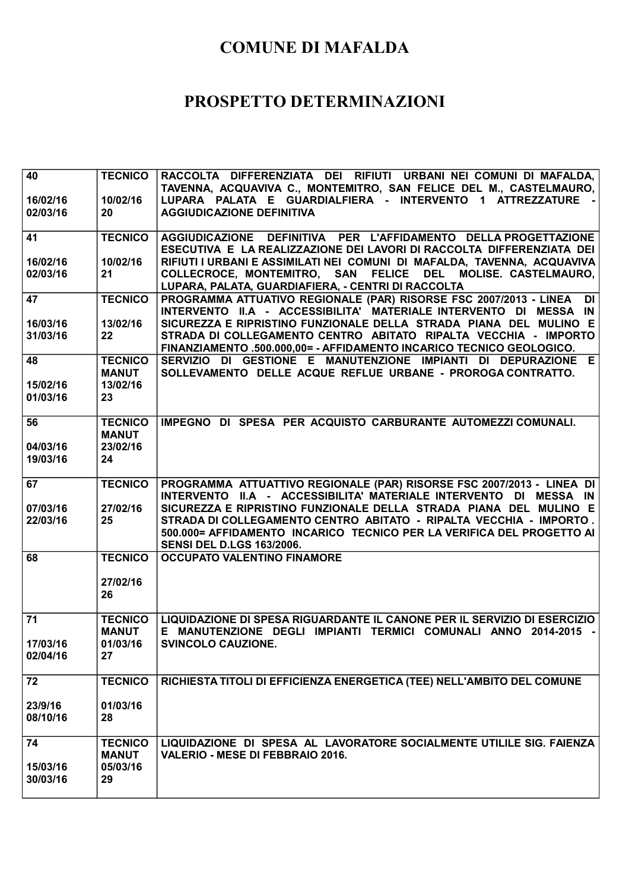| 40<br>16/02/16 | <b>TECNICO</b><br>10/02/16     | RACCOLTA DIFFERENZIATA DEI RIFIUTI URBANI NEI COMUNI DI MAFALDA,<br>TAVENNA, ACQUAVIVA C., MONTEMITRO, SAN FELICE DEL M., CASTELMAURO,<br>LUPARA PALATA E GUARDIALFIERA - INTERVENTO 1 ATTREZZATURE |
|----------------|--------------------------------|-----------------------------------------------------------------------------------------------------------------------------------------------------------------------------------------------------|
| 02/03/16       | 20                             | <b>AGGIUDICAZIONE DEFINITIVA</b>                                                                                                                                                                    |
| 41             | <b>TECNICO</b>                 | AGGIUDICAZIONE DEFINITIVA PER L'AFFIDAMENTO DELLA PROGETTAZIONE<br>ESECUTIVA E LA REALIZZAZIONE DEI LAVORI DI RACCOLTA DIFFERENZIATA DEI                                                            |
| 16/02/16       | 10/02/16                       | RIFIUTI I URBANI E ASSIMILATI NEI COMUNI DI MAFALDA, TAVENNA, ACQUAVIVA                                                                                                                             |
| 02/03/16       | 21                             | COLLECROCE, MONTEMITRO, SAN FELICE DEL MOLISE. CASTELMAURO,<br>LUPARA, PALATA, GUARDIAFIERA, - CENTRI DI RACCOLTA                                                                                   |
| 47             | <b>TECNICO</b>                 | PROGRAMMA ATTUATIVO REGIONALE (PAR) RISORSE FSC 2007/2013 - LINEA<br><b>DI</b><br>INTERVENTO II.A - ACCESSIBILITA' MATERIALE INTERVENTO DI MESSA IN                                                 |
| 16/03/16       | 13/02/16                       | SICUREZZA E RIPRISTINO FUNZIONALE DELLA STRADA PIANA DEL MULINO E                                                                                                                                   |
| 31/03/16       | 22                             | STRADA DI COLLEGAMENTO CENTRO ABITATO RIPALTA VECCHIA - IMPORTO<br>FINANZIAMENTO .500.000,00= - AFFIDAMENTO INCARICO TECNICO GEOLOGICO.                                                             |
| 48             | <b>TECNICO</b><br><b>MANUT</b> | SERVIZIO DI GESTIONE E MANUTENZIONE IMPIANTI DI DEPURAZIONE E<br>SOLLEVAMENTO DELLE ACQUE REFLUE URBANE - PROROGA CONTRATTO.                                                                        |
| 15/02/16       | 13/02/16                       |                                                                                                                                                                                                     |
| 01/03/16       | 23                             |                                                                                                                                                                                                     |
| 56             | <b>TECNICO</b><br><b>MANUT</b> | IMPEGNO DI SPESA PER ACQUISTO CARBURANTE AUTOMEZZI COMUNALI.                                                                                                                                        |
| 04/03/16       | 23/02/16                       |                                                                                                                                                                                                     |
| 19/03/16       | 24                             |                                                                                                                                                                                                     |
| 67             | <b>TECNICO</b>                 | PROGRAMMA ATTUATTIVO REGIONALE (PAR) RISORSE FSC 2007/2013 - LINEA DI<br>INTERVENTO II.A - ACCESSIBILITA' MATERIALE INTERVENTO DI MESSA IN                                                          |
| 07/03/16       | 27/02/16                       | SICUREZZA E RIPRISTINO FUNZIONALE DELLA STRADA PIANA DEL MULINO E                                                                                                                                   |
| 22/03/16       | 25                             | STRADA DI COLLEGAMENTO CENTRO ABITATO - RIPALTA VECCHIA - IMPORTO.<br>500.000= AFFIDAMENTO INCARICO TECNICO PER LA VERIFICA DEL PROGETTO AI<br><b>SENSI DEL D.LGS 163/2006.</b>                     |
| 68             | <b>TECNICO</b>                 | <b>OCCUPATO VALENTINO FINAMORE</b>                                                                                                                                                                  |
|                | 27/02/16                       |                                                                                                                                                                                                     |
|                | 26                             |                                                                                                                                                                                                     |
| 71             | <b>TECNICO</b><br><b>MANUT</b> | LIQUIDAZIONE DI SPESA RIGUARDANTE IL CANONE PER IL SERVIZIO DI ESERCIZIO<br>E MANUTENZIONE DEGLI IMPIANTI TERMICI COMUNALI ANNO 2014-2015 -                                                         |
| 17/03/16       | 01/03/16                       | <b>SVINCOLO CAUZIONE.</b>                                                                                                                                                                           |
| 02/04/16       | 27                             |                                                                                                                                                                                                     |
| 72             | <b>TECNICO</b>                 | RICHIESTA TITOLI DI EFFICIENZA ENERGETICA (TEE) NELL'AMBITO DEL COMUNE                                                                                                                              |
| 23/9/16        | 01/03/16                       |                                                                                                                                                                                                     |
| 08/10/16       | 28                             |                                                                                                                                                                                                     |
| 74             | <b>TECNICO</b><br><b>MANUT</b> | LIQUIDAZIONE DI SPESA AL LAVORATORE SOCIALMENTE UTILILE SIG. FAIENZA<br><b>VALERIO - MESE DI FEBBRAIO 2016.</b>                                                                                     |
| 15/03/16       | 05/03/16                       |                                                                                                                                                                                                     |
| 30/03/16       | 29                             |                                                                                                                                                                                                     |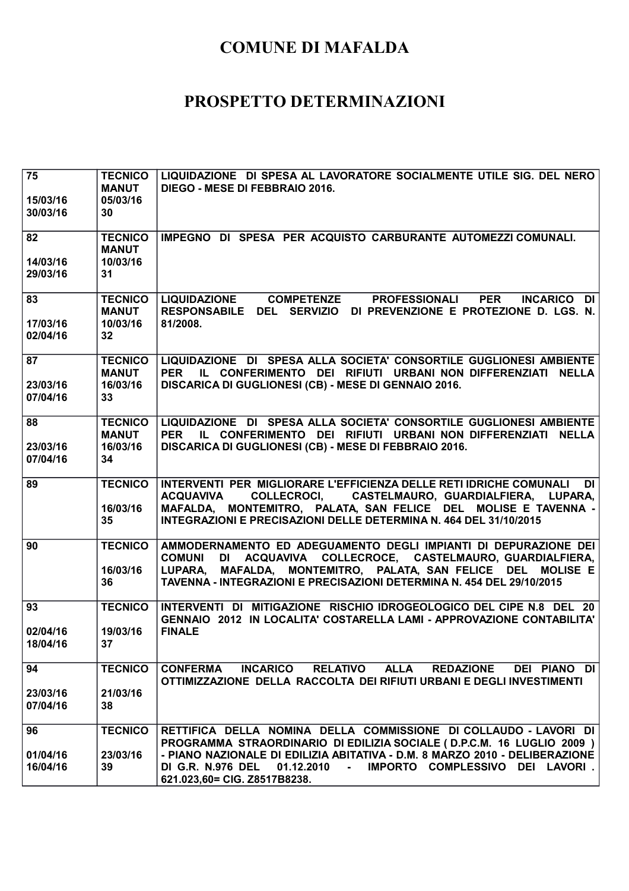| 75                   | <b>TECNICO</b>                 | LIQUIDAZIONE DI SPESA AL LAVORATORE SOCIALMENTE UTILE SIG. DEL NERO                                                                                          |
|----------------------|--------------------------------|--------------------------------------------------------------------------------------------------------------------------------------------------------------|
|                      | <b>MANUT</b>                   | DIEGO - MESE DI FEBBRAIO 2016.                                                                                                                               |
| 15/03/16             | 05/03/16                       |                                                                                                                                                              |
| 30/03/16             | 30                             |                                                                                                                                                              |
| 82                   | <b>TECNICO</b>                 | IMPEGNO DI SPESA PER ACQUISTO CARBURANTE AUTOMEZZI COMUNALI.                                                                                                 |
|                      | <b>MANUT</b>                   |                                                                                                                                                              |
| 14/03/16             | 10/03/16                       |                                                                                                                                                              |
| 29/03/16             | 31                             |                                                                                                                                                              |
|                      |                                |                                                                                                                                                              |
| 83                   | <b>TECNICO</b>                 | <b>COMPETENZE</b><br><b>LIQUIDAZIONE</b><br><b>PROFESSIONALI</b><br><b>PER</b><br><b>INCARICO</b><br>DI                                                      |
|                      | <b>MANUT</b>                   | RESPONSABILE DEL SERVIZIO DI PREVENZIONE E PROTEZIONE D. LGS. N.                                                                                             |
| 17/03/16             | 10/03/16                       | 81/2008.                                                                                                                                                     |
| 02/04/16             | 32                             |                                                                                                                                                              |
|                      |                                |                                                                                                                                                              |
| 87                   | <b>TECNICO</b><br><b>MANUT</b> | LIQUIDAZIONE DI SPESA ALLA SOCIETA' CONSORTILE GUGLIONESI AMBIENTE<br>IL CONFERIMENTO DEI RIFIUTI URBANI NON DIFFERENZIATI NELLA<br><b>PER</b>               |
| 23/03/16             | 16/03/16                       | DISCARICA DI GUGLIONESI (CB) - MESE DI GENNAIO 2016.                                                                                                         |
| 07/04/16             | 33                             |                                                                                                                                                              |
|                      |                                |                                                                                                                                                              |
| 88                   | <b>TECNICO</b>                 | LIQUIDAZIONE DI SPESA ALLA SOCIETA' CONSORTILE GUGLIONESI AMBIENTE                                                                                           |
|                      | <b>MANUT</b>                   | <b>PER</b><br>IL CONFERIMENTO DEI RIFIUTI URBANI NON DIFFERENZIATI NELLA                                                                                     |
| 23/03/16             | 16/03/16                       | DISCARICA DI GUGLIONESI (CB) - MESE DI FEBBRAIO 2016.                                                                                                        |
| 07/04/16             | 34                             |                                                                                                                                                              |
|                      | <b>TECNICO</b>                 | INTERVENTI PER MIGLIORARE L'EFFICIENZA DELLE RETI IDRICHE COMUNALI                                                                                           |
|                      |                                | DI                                                                                                                                                           |
| 89                   |                                |                                                                                                                                                              |
|                      |                                | COLLECROCI, CASTELMAURO, GUARDIALFIERA, LUPARA,<br><b>ACQUAVIVA</b>                                                                                          |
|                      | 16/03/16                       | MAFALDA, MONTEMITRO, PALATA, SAN FELICE DEL MOLISE E TAVENNA -                                                                                               |
|                      | 35                             | INTEGRAZIONI E PRECISAZIONI DELLE DETERMINA N. 464 DEL 31/10/2015                                                                                            |
| 90                   | <b>TECNICO</b>                 | AMMODERNAMENTO ED ADEGUAMENTO DEGLI IMPIANTI DI DEPURAZIONE DEI                                                                                              |
|                      |                                | DI ACQUAVIVA COLLECROCE, CASTELMAURO, GUARDIALFIERA,<br><b>COMUNI</b>                                                                                        |
|                      | 16/03/16                       | LUPARA, MAFALDA, MONTEMITRO, PALATA, SAN FELICE DEL MOLISE E                                                                                                 |
|                      | 36                             | TAVENNA - INTEGRAZIONI E PRECISAZIONI DETERMINA N. 454 DEL 29/10/2015                                                                                        |
|                      |                                |                                                                                                                                                              |
| 93                   | <b>TECNICO</b>                 | INTERVENTI DI MITIGAZIONE RISCHIO IDROGEOLOGICO DEL CIPE N.8 DEL 20                                                                                          |
|                      |                                | GENNAIO 2012 IN LOCALITA' COSTARELLA LAMI - APPROVAZIONE CONTABILITA'                                                                                        |
| 02/04/16             | 19/03/16                       | <b>FINALE</b>                                                                                                                                                |
| 18/04/16             | 37 <sub>2</sub>                |                                                                                                                                                              |
| 94                   | <b>TECNICO</b>                 | <b>ALLA</b><br><b>CONFERMA</b><br><b>INCARICO</b><br><b>RELATIVO</b><br><b>REDAZIONE</b><br>DEI PIANO DI                                                     |
|                      |                                | OTTIMIZZAZIONE DELLA RACCOLTA DEI RIFIUTI URBANI E DEGLI INVESTIMENTI                                                                                        |
| 23/03/16             | 21/03/16                       |                                                                                                                                                              |
| 07/04/16             | 38                             |                                                                                                                                                              |
|                      |                                |                                                                                                                                                              |
| 96                   | <b>TECNICO</b>                 | RETTIFICA DELLA NOMINA DELLA COMMISSIONE DI COLLAUDO - LAVORI DI                                                                                             |
|                      |                                | PROGRAMMA STRAORDINARIO DI EDILIZIA SOCIALE ( D.P.C.M. 16 LUGLIO 2009 )                                                                                      |
| 01/04/16<br>16/04/16 | 23/03/16<br>39                 | - PIANO NAZIONALE DI EDILIZIA ABITATIVA - D.M. 8 MARZO 2010 - DELIBERAZIONE<br><b>DI G.R. N.976 DEL</b><br>$01.12.2010 -$<br>IMPORTO COMPLESSIVO DEI LAVORI. |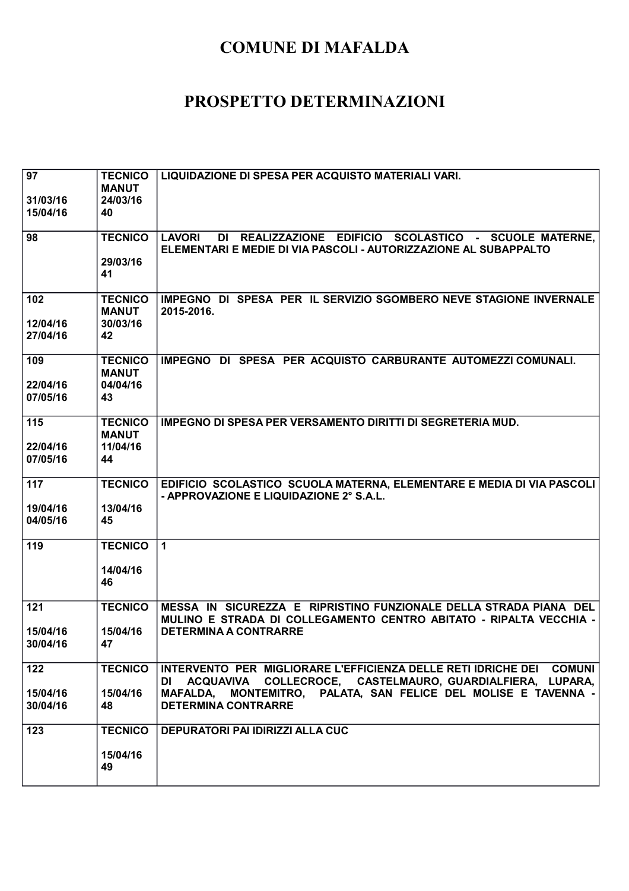| 97<br>31/03/16       | <b>TECNICO</b><br><b>MANUT</b><br>24/03/16 | LIQUIDAZIONE DI SPESA PER ACQUISTO MATERIALI VARI.                                                                                          |
|----------------------|--------------------------------------------|---------------------------------------------------------------------------------------------------------------------------------------------|
| 15/04/16             | 40                                         |                                                                                                                                             |
| 98                   | <b>TECNICO</b>                             | DI REALIZZAZIONE EDIFICIO SCOLASTICO - SCUOLE MATERNE,<br><b>LAVORI</b><br>ELEMENTARI E MEDIE DI VIA PASCOLI - AUTORIZZAZIONE AL SUBAPPALTO |
|                      | 29/03/16<br>41                             |                                                                                                                                             |
| 102                  | <b>TECNICO</b><br><b>MANUT</b>             | IMPEGNO DI SPESA PER IL SERVIZIO SGOMBERO NEVE STAGIONE INVERNALE<br>2015-2016.                                                             |
| 12/04/16<br>27/04/16 | 30/03/16<br>42                             |                                                                                                                                             |
| 109                  | <b>TECNICO</b><br><b>MANUT</b>             | IMPEGNO DI SPESA PER ACQUISTO CARBURANTE AUTOMEZZI COMUNALI.                                                                                |
| 22/04/16<br>07/05/16 | 04/04/16<br>43                             |                                                                                                                                             |
| 115                  | <b>TECNICO</b><br><b>MANUT</b>             | IMPEGNO DI SPESA PER VERSAMENTO DIRITTI DI SEGRETERIA MUD.                                                                                  |
| 22/04/16<br>07/05/16 | 11/04/16<br>44                             |                                                                                                                                             |
| 117                  | <b>TECNICO</b>                             | EDIFICIO SCOLASTICO SCUOLA MATERNA, ELEMENTARE E MEDIA DI VIA PASCOLI<br>- APPROVAZIONE E LIQUIDAZIONE 2° S.A.L.                            |
| 19/04/16<br>04/05/16 | 13/04/16<br>45                             |                                                                                                                                             |
| 119                  | <b>TECNICO</b>                             | $\mathbf{1}$                                                                                                                                |
|                      | 14/04/16<br>46                             |                                                                                                                                             |
| 121                  | <b>TECNICO</b>                             | MESSA IN SICUREZZA E RIPRISTINO FUNZIONALE DELLA STRADA PIANA DEL<br>MULINO E STRADA DI COLLEGAMENTO CENTRO ABITATO - RIPALTA VECCHIA -     |
| 15/04/16<br>30/04/16 | 15/04/16<br>47                             | <b>DETERMINA A CONTRARRE</b>                                                                                                                |
| 122                  | <b>TECNICO</b>                             | INTERVENTO PER MIGLIORARE L'EFFICIENZA DELLE RETI IDRICHE DEI COMUNI<br>DI ACQUAVIVA COLLECROCE, CASTELMAURO, GUARDIALFIERA, LUPARA,        |
| 15/04/16<br>30/04/16 | 15/04/16<br>48                             | MAFALDA, MONTEMITRO, PALATA, SAN FELICE DEL MOLISE E TAVENNA -<br><b>DETERMINA CONTRARRE</b>                                                |
| 123                  | <b>TECNICO</b>                             | <b>DEPURATORI PAI IDIRIZZI ALLA CUC</b>                                                                                                     |
|                      | 15/04/16<br>49                             |                                                                                                                                             |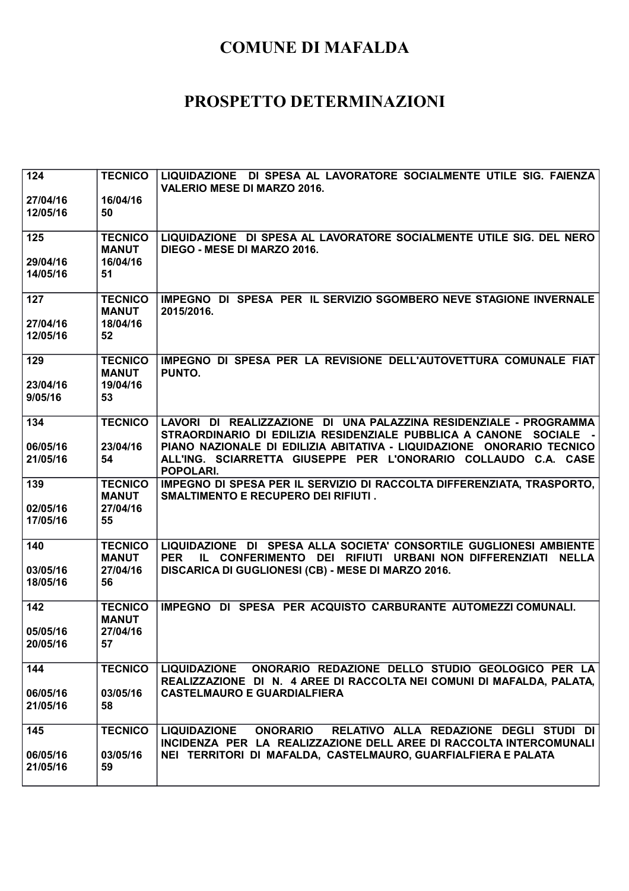| 124                         | <b>TECNICO</b>                                   | LIQUIDAZIONE DI SPESA AL LAVORATORE SOCIALMENTE UTILE SIG. FAIENZA<br><b>VALERIO MESE DI MARZO 2016.</b>                                                                                                       |
|-----------------------------|--------------------------------------------------|----------------------------------------------------------------------------------------------------------------------------------------------------------------------------------------------------------------|
| 27/04/16<br>12/05/16        | 16/04/16<br>50                                   |                                                                                                                                                                                                                |
| 125                         | <b>TECNICO</b><br><b>MANUT</b>                   | LIQUIDAZIONE DI SPESA AL LAVORATORE SOCIALMENTE UTILE SIG. DEL NERO<br>DIEGO - MESE DI MARZO 2016.                                                                                                             |
| 29/04/16<br>14/05/16        | 16/04/16<br>51                                   |                                                                                                                                                                                                                |
| 127<br>27/04/16<br>12/05/16 | <b>TECNICO</b><br><b>MANUT</b><br>18/04/16<br>52 | IMPEGNO DI SPESA PER IL SERVIZIO SGOMBERO NEVE STAGIONE INVERNALE<br>2015/2016.                                                                                                                                |
| 129<br>23/04/16<br>9/05/16  | <b>TECNICO</b><br><b>MANUT</b><br>19/04/16<br>53 | IMPEGNO DI SPESA PER LA REVISIONE DELL'AUTOVETTURA COMUNALE FIAT<br>PUNTO.                                                                                                                                     |
| 134                         | <b>TECNICO</b>                                   | LAVORI DI REALIZZAZIONE DI UNA PALAZZINA RESIDENZIALE - PROGRAMMA<br>STRAORDINARIO DI EDILIZIA RESIDENZIALE PUBBLICA A CANONE SOCIALE -                                                                        |
| 06/05/16<br>21/05/16        | 23/04/16<br>54                                   | PIANO NAZIONALE DI EDILIZIA ABITATIVA - LIQUIDAZIONE ONORARIO TECNICO<br>ALL'ING. SCIARRETTA GIUSEPPE PER L'ONORARIO COLLAUDO C.A. CASE<br>POPOLARI.                                                           |
| 139<br>02/05/16<br>17/05/16 | <b>TECNICO</b><br><b>MANUT</b><br>27/04/16<br>55 | IMPEGNO DI SPESA PER IL SERVIZIO DI RACCOLTA DIFFERENZIATA, TRASPORTO,<br><b>SMALTIMENTO E RECUPERO DEI RIFIUTI.</b>                                                                                           |
| 140<br>03/05/16             | <b>TECNICO</b><br><b>MANUT</b><br>27/04/16       | LIQUIDAZIONE DI SPESA ALLA SOCIETA' CONSORTILE GUGLIONESI AMBIENTE<br>IL CONFERIMENTO DEI RIFIUTI URBANI NON DIFFERENZIATI<br><b>PER</b><br><b>NELLA</b><br>DISCARICA DI GUGLIONESI (CB) - MESE DI MARZO 2016. |
| 18/05/16                    | 56                                               |                                                                                                                                                                                                                |
| 142                         | <b>TECNICO</b><br><b>MANUT</b>                   | IMPEGNO DI SPESA PER ACQUISTO CARBURANTE AUTOMEZZI COMUNALI.                                                                                                                                                   |
| 05/05/16<br>20/05/16        | 27/04/16<br>57                                   |                                                                                                                                                                                                                |
| 144                         | <b>TECNICO</b>                                   | LIQUIDAZIONE ONORARIO REDAZIONE DELLO STUDIO GEOLOGICO PER LA<br>REALIZZAZIONE DI N. 4 AREE DI RACCOLTA NEI COMUNI DI MAFALDA, PALATA,                                                                         |
| 06/05/16<br>21/05/16        | 03/05/16<br>58                                   | <b>CASTELMAURO E GUARDIALFIERA</b>                                                                                                                                                                             |
| 145                         | <b>TECNICO</b>                                   | RELATIVO ALLA REDAZIONE DEGLI STUDI DI<br><b>LIQUIDAZIONE</b><br><b>ONORARIO</b><br>INCIDENZA PER LA REALIZZAZIONE DELL AREE DI RACCOLTA INTERCOMUNALI                                                         |
| 06/05/16<br>21/05/16        | 03/05/16<br>59                                   | NEI TERRITORI DI MAFALDA, CASTELMAURO, GUARFIALFIERA E PALATA                                                                                                                                                  |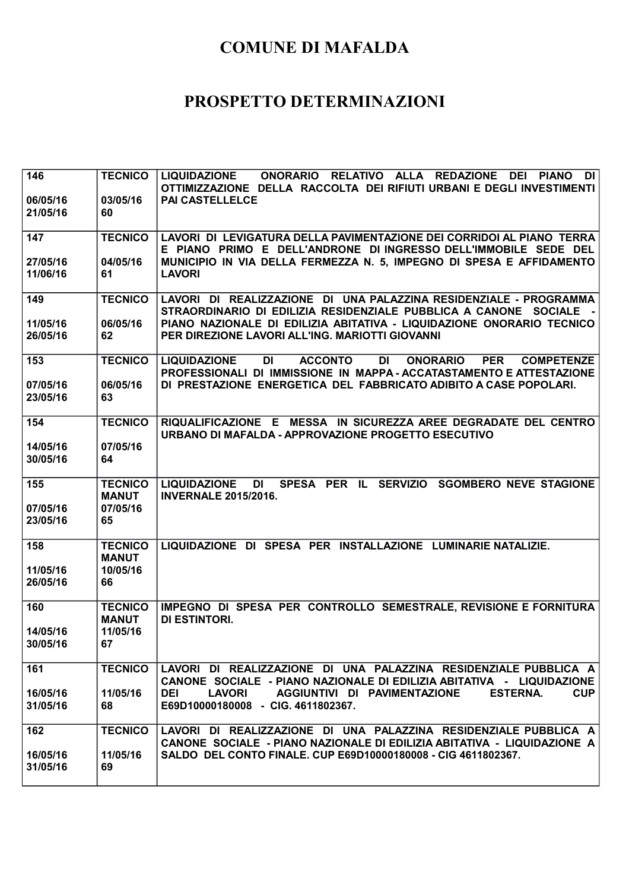| 146                  | <b>TECNICO</b>                 | ONORARIO RELATIVO ALLA REDAZIONE DEI PIANO<br><b>LIQUIDAZIONE</b><br>DI I                                                                                                              |
|----------------------|--------------------------------|----------------------------------------------------------------------------------------------------------------------------------------------------------------------------------------|
|                      |                                | OTTIMIZZAZIONE DELLA RACCOLTA DEI RIFIUTI URBANI E DEGLI INVESTIMENTI                                                                                                                  |
| 06/05/16             | 03/05/16                       | <b>PAI CASTELLELCE</b>                                                                                                                                                                 |
| 21/05/16             | 60                             |                                                                                                                                                                                        |
| 147                  | <b>TECNICO</b>                 | LAVORI DI LEVIGATURA DELLA PAVIMENTAZIONE DEI CORRIDOI AL PIANO TERRA                                                                                                                  |
|                      |                                | E PIANO PRIMO E DELL'ANDRONE DI INGRESSO DELL'IMMOBILE SEDE DEL                                                                                                                        |
| 27/05/16             | 04/05/16                       | MUNICIPIO IN VIA DELLA FERMEZZA N. 5, IMPEGNO DI SPESA E AFFIDAMENTO                                                                                                                   |
| 11/06/16             | 61                             | <b>LAVORI</b>                                                                                                                                                                          |
|                      |                                |                                                                                                                                                                                        |
| 149                  | <b>TECNICO</b>                 | LAVORI DI REALIZZAZIONE DI UNA PALAZZINA RESIDENZIALE - PROGRAMMA                                                                                                                      |
|                      |                                | STRAORDINARIO DI EDILIZIA RESIDENZIALE PUBBLICA A CANONE SOCIALE -                                                                                                                     |
| 11/05/16             | 06/05/16                       | PIANO NAZIONALE DI EDILIZIA ABITATIVA - LIQUIDAZIONE ONORARIO TECNICO                                                                                                                  |
| 26/05/16             | 62                             | PER DIREZIONE LAVORI ALL'ING. MARIOTTI GIOVANNI                                                                                                                                        |
|                      |                                |                                                                                                                                                                                        |
| 153                  | <b>TECNICO</b>                 | <b>DI</b><br><b>ACCONTO</b><br>DI<br><b>PER</b><br><b>LIQUIDAZIONE</b><br><b>ONORARIO</b><br><b>COMPETENZE</b><br>PROFESSIONALI DI IMMISSIONE IN MAPPA - ACCATASTAMENTO E ATTESTAZIONE |
| 07/05/16             | 06/05/16                       | DI PRESTAZIONE ENERGETICA DEL FABBRICATO ADIBITO A CASE POPOLARI.                                                                                                                      |
| 23/05/16             | 63                             |                                                                                                                                                                                        |
|                      |                                |                                                                                                                                                                                        |
| 154                  | <b>TECNICO</b>                 | RIQUALIFICAZIONE E MESSA IN SICUREZZA AREE DEGRADATE DEL CENTRO                                                                                                                        |
|                      |                                | URBANO DI MAFALDA - APPROVAZIONE PROGETTO ESECUTIVO                                                                                                                                    |
| 14/05/16             | 07/05/16                       |                                                                                                                                                                                        |
| 30/05/16             | 64                             |                                                                                                                                                                                        |
|                      |                                |                                                                                                                                                                                        |
| 155                  | <b>TECNICO</b>                 | SPESA PER IL SERVIZIO SGOMBERO NEVE STAGIONE<br><b>LIQUIDAZIONE</b><br>DI<br><b>INVERNALE 2015/2016.</b>                                                                               |
| 07/05/16             | <b>MANUT</b><br>07/05/16       |                                                                                                                                                                                        |
| 23/05/16             | 65                             |                                                                                                                                                                                        |
|                      |                                |                                                                                                                                                                                        |
| 158                  | <b>TECNICO</b>                 | LIQUIDAZIONE DI SPESA PER INSTALLAZIONE LUMINARIE NATALIZIE.                                                                                                                           |
|                      | <b>MANUT</b>                   |                                                                                                                                                                                        |
| 11/05/16             | 10/05/16                       |                                                                                                                                                                                        |
| 26/05/16             | 66                             |                                                                                                                                                                                        |
|                      |                                |                                                                                                                                                                                        |
| 160                  | <b>TECNICO</b><br><b>MANUT</b> | IMPEGNO DI SPESA PER CONTROLLO SEMESTRALE, REVISIONE E FORNITURA<br><b>DI ESTINTORI.</b>                                                                                               |
| 14/05/16             | 11/05/16                       |                                                                                                                                                                                        |
| 30/05/16             | 67                             |                                                                                                                                                                                        |
|                      |                                |                                                                                                                                                                                        |
| 161                  |                                |                                                                                                                                                                                        |
|                      | <b>TECNICO</b>                 | LAVORI DI REALIZZAZIONE DI UNA PALAZZINA RESIDENZIALE PUBBLICA A                                                                                                                       |
|                      |                                | CANONE SOCIALE - PIANO NAZIONALE DI EDILIZIA ABITATIVA - LIQUIDAZIONE                                                                                                                  |
| 16/05/16             | 11/05/16                       | AGGIUNTIVI DI PAVIMENTAZIONE<br><b>ESTERNA.</b><br><b>DEI</b><br><b>LAVORI</b><br><b>CUP</b>                                                                                           |
| 31/05/16             | 68                             | E69D10000180008 - CIG. 4611802367.                                                                                                                                                     |
|                      |                                |                                                                                                                                                                                        |
| 162                  | <b>TECNICO</b>                 | LAVORI DI REALIZZAZIONE DI UNA PALAZZINA RESIDENZIALE PUBBLICA A                                                                                                                       |
|                      |                                | CANONE SOCIALE - PIANO NAZIONALE DI EDILIZIA ABITATIVA - LIQUIDAZIONE A                                                                                                                |
| 16/05/16<br>31/05/16 | 11/05/16<br>69                 | SALDO DEL CONTO FINALE. CUP E69D10000180008 - CIG 4611802367.                                                                                                                          |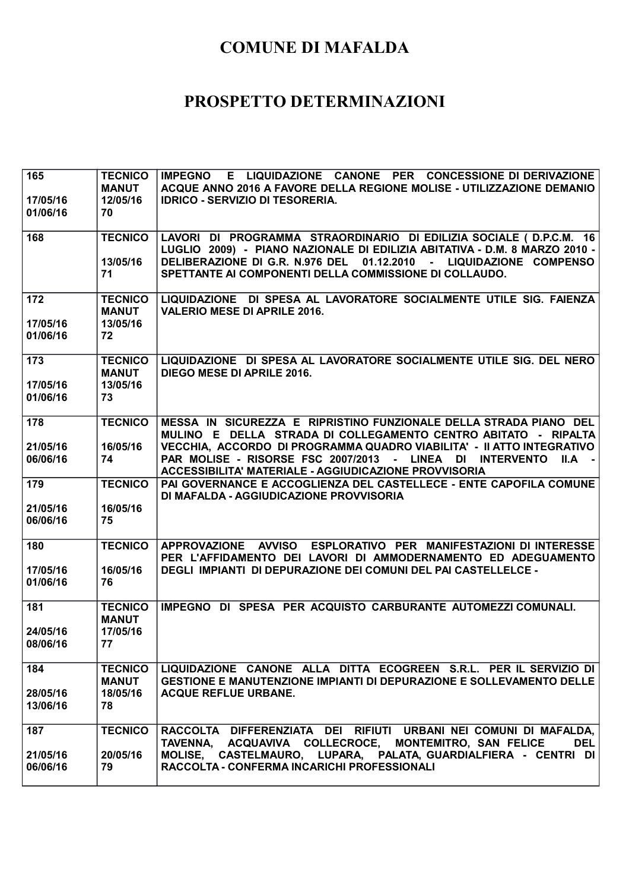| 165<br>17/05/16<br>01/06/16 | <b>TECNICO</b><br><b>MANUT</b><br>12/05/16<br>70 | IMPEGNO E LIQUIDAZIONE CANONE PER CONCESSIONE DI DERIVAZIONE<br>ACQUE ANNO 2016 A FAVORE DELLA REGIONE MOLISE - UTILIZZAZIONE DEMANIO<br><b>IDRICO - SERVIZIO DI TESORERIA.</b>                          |
|-----------------------------|--------------------------------------------------|----------------------------------------------------------------------------------------------------------------------------------------------------------------------------------------------------------|
| 168                         | <b>TECNICO</b>                                   | LAVORI DI PROGRAMMA STRAORDINARIO DI EDILIZIA SOCIALE ( D.P.C.M. 16<br>LUGLIO 2009) - PIANO NAZIONALE DI EDILIZIA ABITATIVA - D.M. 8 MARZO 2010 -                                                        |
|                             | 13/05/16<br>71                                   | DELIBERAZIONE DI G.R. N.976 DEL 01.12.2010 - LIQUIDAZIONE COMPENSO<br>SPETTANTE AI COMPONENTI DELLA COMMISSIONE DI COLLAUDO.                                                                             |
| 172<br>17/05/16             | <b>TECNICO</b><br><b>MANUT</b><br>13/05/16       | LIQUIDAZIONE DI SPESA AL LAVORATORE SOCIALMENTE UTILE SIG. FAIENZA<br><b>VALERIO MESE DI APRILE 2016.</b>                                                                                                |
| 01/06/16                    | 72                                               |                                                                                                                                                                                                          |
| 173<br>17/05/16             | <b>TECNICO</b><br><b>MANUT</b><br>13/05/16       | LIQUIDAZIONE DI SPESA AL LAVORATORE SOCIALMENTE UTILE SIG. DEL NERO<br><b>DIEGO MESE DI APRILE 2016.</b>                                                                                                 |
| 01/06/16                    | 73                                               |                                                                                                                                                                                                          |
| 178                         | <b>TECNICO</b>                                   | MESSA IN SICUREZZA E RIPRISTINO FUNZIONALE DELLA STRADA PIANO DEL<br>MULINO E DELLA STRADA DI COLLEGAMENTO CENTRO ABITATO - RIPALTA                                                                      |
| 21/05/16<br>06/06/16        | 16/05/16<br>74                                   | VECCHIA, ACCORDO DI PROGRAMMA QUADRO VIABILITA' - II ATTO INTEGRATIVO<br>PAR MOLISE - RISORSE FSC 2007/2013 - LINEA DI INTERVENTO<br>$  A -   $<br>ACCESSIBILITA' MATERIALE - AGGIUDICAZIONE PROVVISORIA |
| 179                         | <b>TECNICO</b>                                   | PAI GOVERNANCE E ACCOGLIENZA DEL CASTELLECE - ENTE CAPOFILA COMUNE<br>DI MAFALDA - AGGIUDICAZIONE PROVVISORIA                                                                                            |
| 21/05/16<br>06/06/16        | 16/05/16<br>75                                   |                                                                                                                                                                                                          |
| 180                         | <b>TECNICO</b>                                   | APPROVAZIONE AVVISO ESPLORATIVO PER MANIFESTAZIONI DI INTERESSE<br>PER L'AFFIDAMENTO DEI LAVORI DI AMMODERNAMENTO ED ADEGUAMENTO                                                                         |
| 17/05/16<br>01/06/16        | 16/05/16<br>76                                   | <b>DEGLI IMPIANTI DI DEPURAZIONE DEI COMUNI DEL PAI CASTELLELCE -</b>                                                                                                                                    |
| 181                         | <b>TECNICO</b><br><b>MANUT</b>                   | IMPEGNO DI SPESA PER ACQUISTO CARBURANTE AUTOMEZZI COMUNALI.                                                                                                                                             |
| 24/05/16<br>08/06/16        | 17/05/16<br>77                                   |                                                                                                                                                                                                          |
| 184                         | <b>TECNICO</b><br><b>MANUT</b>                   | LIQUIDAZIONE CANONE ALLA DITTA ECOGREEN S.R.L. PER IL SERVIZIO DI<br><b>GESTIONE E MANUTENZIONE IMPIANTI DI DEPURAZIONE E SOLLEVAMENTO DELLE</b>                                                         |
| 28/05/16<br>13/06/16        | 18/05/16<br>78                                   | <b>ACQUE REFLUE URBANE.</b>                                                                                                                                                                              |
| 187                         | <b>TECNICO</b>                                   | RACCOLTA DIFFERENZIATA DEI RIFIUTI URBANI NEI COMUNI DI MAFALDA,<br>TAVENNA, ACQUAVIVA COLLECROCE, MONTEMITRO, SAN FELICE<br><b>DEL</b>                                                                  |
| 21/05/16<br>06/06/16        | 20/05/16<br>79                                   | MOLISE, CASTELMAURO, LUPARA, PALATA, GUARDIALFIERA - CENTRI DI<br>RACCOLTA - CONFERMA INCARICHI PROFESSIONALI                                                                                            |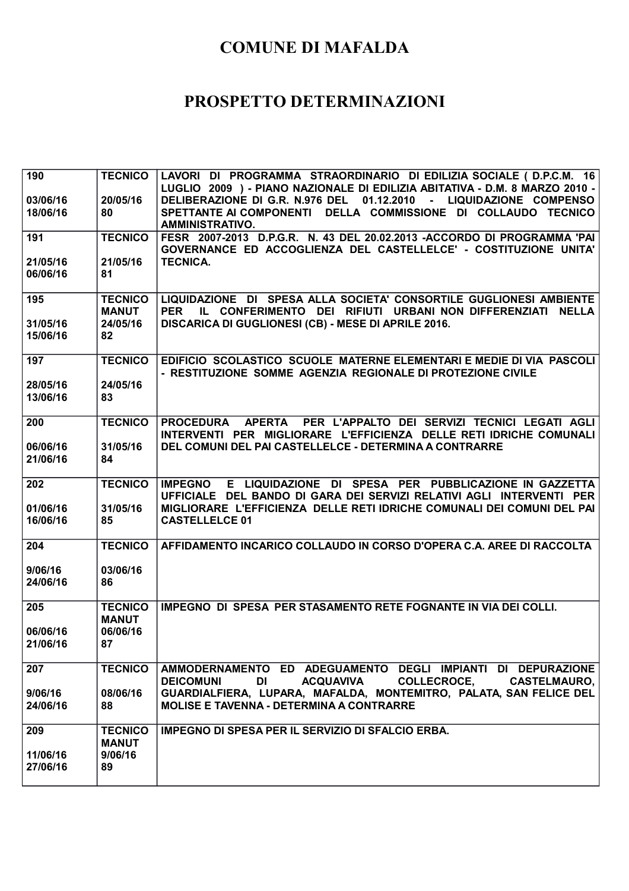| 190<br>03/06/16<br>18/06/16 | <b>TECNICO</b><br>20/05/16<br>80                 | LAVORI DI PROGRAMMA STRAORDINARIO DI EDILIZIA SOCIALE ( D.P.C.M. 16<br>LUGLIO 2009 ) - PIANO NAZIONALE DI EDILIZIA ABITATIVA - D.M. 8 MARZO 2010 -<br>DELIBERAZIONE DI G.R. N.976 DEL 01.12.2010 - LIQUIDAZIONE COMPENSO<br>SPETTANTE AI COMPONENTI DELLA COMMISSIONE DI COLLAUDO TECNICO<br><b>AMMINISTRATIVO.</b> |
|-----------------------------|--------------------------------------------------|---------------------------------------------------------------------------------------------------------------------------------------------------------------------------------------------------------------------------------------------------------------------------------------------------------------------|
| 191                         | <b>TECNICO</b>                                   | FESR 2007-2013 D.P.G.R. N. 43 DEL 20.02.2013 -ACCORDO DI PROGRAMMA 'PAI<br>GOVERNANCE ED ACCOGLIENZA DEL CASTELLELCE' - COSTITUZIONE UNITA'                                                                                                                                                                         |
| 21/05/16<br>06/06/16        | 21/05/16<br>81                                   | <b>TECNICA.</b>                                                                                                                                                                                                                                                                                                     |
| 195<br>31/05/16<br>15/06/16 | <b>TECNICO</b><br><b>MANUT</b><br>24/05/16<br>82 | LIQUIDAZIONE DI SPESA ALLA SOCIETA' CONSORTILE GUGLIONESI AMBIENTE<br><b>PER</b><br>IL CONFERIMENTO DEI RIFIUTI URBANI NON DIFFERENZIATI NELLA<br>DISCARICA DI GUGLIONESI (CB) - MESE DI APRILE 2016.                                                                                                               |
| 197<br>28/05/16<br>13/06/16 | <b>TECNICO</b><br>24/05/16<br>83                 | EDIFICIO SCOLASTICO SCUOLE MATERNE ELEMENTARI E MEDIE DI VIA PASCOLI<br>- RESTITUZIONE SOMME AGENZIA REGIONALE DI PROTEZIONE CIVILE                                                                                                                                                                                 |
| 200<br>06/06/16<br>21/06/16 | <b>TECNICO</b><br>31/05/16<br>84                 | APERTA PER L'APPALTO DEI SERVIZI TECNICI LEGATI AGLI<br><b>PROCEDURA</b><br>INTERVENTI PER MIGLIORARE L'EFFICIENZA DELLE RETI IDRICHE COMUNALI<br>DEL COMUNI DEL PAI CASTELLELCE - DETERMINA A CONTRARRE                                                                                                            |
| 202<br>01/06/16<br>16/06/16 | <b>TECNICO</b><br>31/05/16<br>85                 | E LIQUIDAZIONE DI SPESA PER PUBBLICAZIONE IN GAZZETTA<br><b>IMPEGNO</b><br>UFFICIALE DEL BANDO DI GARA DEI SERVIZI RELATIVI AGLI INTERVENTI PER<br>MIGLIORARE L'EFFICIENZA DELLE RETI IDRICHE COMUNALI DEI COMUNI DEL PAI<br><b>CASTELLELCE 01</b>                                                                  |
| 204                         | <b>TECNICO</b>                                   | AFFIDAMENTO INCARICO COLLAUDO IN CORSO D'OPERA C.A. AREE DI RACCOLTA                                                                                                                                                                                                                                                |
| 9/06/16<br>24/06/16         | 03/06/16<br>86                                   |                                                                                                                                                                                                                                                                                                                     |
| 205<br>06/06/16<br>21/06/16 | <b>TECNICO</b><br><b>MANUT</b><br>06/06/16<br>87 | IMPEGNO DI SPESA PER STASAMENTO RETE FOGNANTE IN VIA DEI COLLI.                                                                                                                                                                                                                                                     |
| 207<br>9/06/16<br>24/06/16  | <b>TECNICO</b><br>08/06/16<br>88                 | AMMODERNAMENTO ED ADEGUAMENTO DEGLI IMPIANTI DI DEPURAZIONE<br>DI DI<br><b>ACQUAVIVA</b><br><b>COLLECROCE,</b><br><b>DEICOMUNI</b><br><b>CASTELMAURO,  </b><br>GUARDIALFIERA, LUPARA, MAFALDA, MONTEMITRO, PALATA, SAN FELICE DEL<br><b>MOLISE E TAVENNA - DETERMINA A CONTRARRE</b>                                |
| 209<br>11/06/16<br>27/06/16 | <b>TECNICO</b><br><b>MANUT</b><br>9/06/16<br>89  | IMPEGNO DI SPESA PER IL SERVIZIO DI SFALCIO ERBA.                                                                                                                                                                                                                                                                   |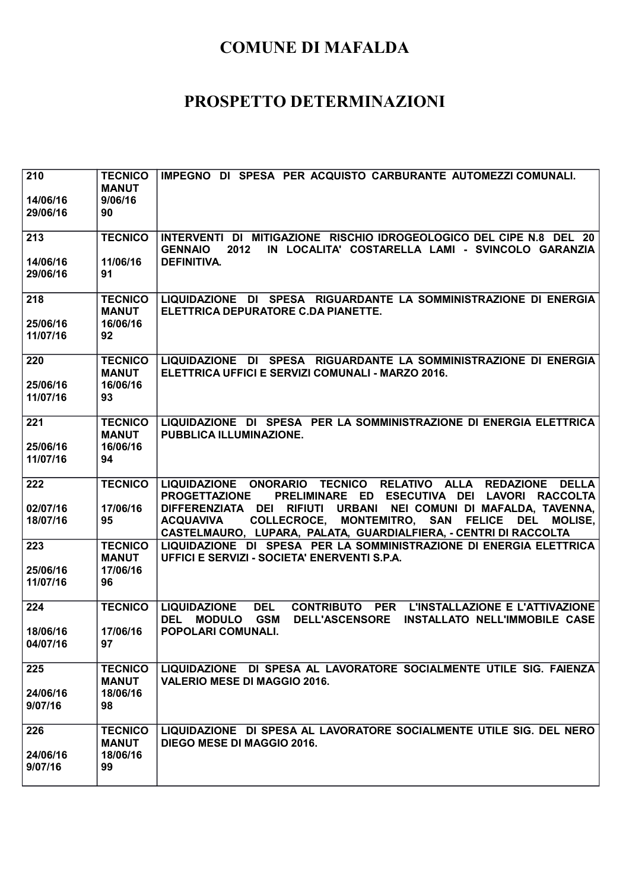| 210<br>14/06/16<br>29/06/16 | <b>TECNICO</b><br><b>MANUT</b><br>9/06/16<br>90 | IMPEGNO DI SPESA PER ACQUISTO CARBURANTE AUTOMEZZI COMUNALI.                                                                                                                                                         |
|-----------------------------|-------------------------------------------------|----------------------------------------------------------------------------------------------------------------------------------------------------------------------------------------------------------------------|
| 213                         | <b>TECNICO</b>                                  | INTERVENTI DI MITIGAZIONE RISCHIO IDROGEOLOGICO DEL CIPE N.8 DEL 20<br><b>GENNAIO</b><br>2012<br>IN LOCALITA' COSTARELLA LAMI - SVINCOLO GARANZIA                                                                    |
| 14/06/16<br>29/06/16        | 11/06/16<br>91                                  | <b>DEFINITIVA.</b>                                                                                                                                                                                                   |
| 218<br>25/06/16             | <b>TECNICO</b><br><b>MANUT</b><br>16/06/16      | LIQUIDAZIONE DI SPESA RIGUARDANTE LA SOMMINISTRAZIONE DI ENERGIA<br>ELETTRICA DEPURATORE C.DA PIANETTE.                                                                                                              |
| 11/07/16                    | 92                                              |                                                                                                                                                                                                                      |
| 220<br>25/06/16             | <b>TECNICO</b><br><b>MANUT</b><br>16/06/16      | LIQUIDAZIONE DI SPESA RIGUARDANTE LA SOMMINISTRAZIONE DI ENERGIA<br>ELETTRICA UFFICI E SERVIZI COMUNALI - MARZO 2016.                                                                                                |
| 11/07/16                    | 93                                              |                                                                                                                                                                                                                      |
| 221                         | <b>TECNICO</b><br><b>MANUT</b>                  | LIQUIDAZIONE DI SPESA PER LA SOMMINISTRAZIONE DI ENERGIA ELETTRICA<br>PUBBLICA ILLUMINAZIONE.                                                                                                                        |
| 25/06/16<br>11/07/16        | 16/06/16<br>94                                  |                                                                                                                                                                                                                      |
| 222                         | <b>TECNICO</b>                                  | LIQUIDAZIONE ONORARIO TECNICO RELATIVO ALLA REDAZIONE DELLA<br><b>PROGETTAZIONE</b><br>PRELIMINARE ED ESECUTIVA DEI LAVORI RACCOLTA                                                                                  |
| 02/07/16<br>18/07/16        | 17/06/16<br>95                                  | DIFFERENZIATA DEI RIFIUTI URBANI NEI COMUNI DI MAFALDA, TAVENNA,<br>COLLECROCE, MONTEMITRO, SAN FELICE DEL<br><b>ACQUAVIVA</b><br><b>MOLISE,</b><br>CASTELMAURO, LUPARA, PALATA, GUARDIALFIERA, - CENTRI DI RACCOLTA |
| 223                         | <b>TECNICO</b><br><b>MANUT</b>                  | LIQUIDAZIONE DI SPESA PER LA SOMMINISTRAZIONE DI ENERGIA ELETTRICA<br>UFFICI E SERVIZI - SOCIETA' ENERVENTI S.P.A.                                                                                                   |
| 25/06/16<br>11/07/16        | 17/06/16<br>96                                  |                                                                                                                                                                                                                      |
| 224                         | <b>TECNICO</b>                                  | <b>LIQUIDAZIONE</b><br><b>DEL</b><br>CONTRIBUTO PER L'INSTALLAZIONE E L'ATTIVAZIONE<br><b>GSM</b><br><b>DEL</b><br><b>MODULO</b><br><b>DELL'ASCENSORE</b><br>INSTALLATO NELL'IMMOBILE CASE                           |
| 18/06/16<br>04/07/16        | 17/06/16<br>97                                  | POPOLARI COMUNALI.                                                                                                                                                                                                   |
| 225                         | <b>TECNICO</b><br><b>MANUT</b>                  | LIQUIDAZIONE DI SPESA AL LAVORATORE SOCIALMENTE UTILE SIG. FAIENZA<br><b>VALERIO MESE DI MAGGIO 2016.</b>                                                                                                            |
| 24/06/16<br>9/07/16         | 18/06/16<br>98                                  |                                                                                                                                                                                                                      |
| 226                         | <b>TECNICO</b><br><b>MANUT</b>                  | LIQUIDAZIONE DI SPESA AL LAVORATORE SOCIALMENTE UTILE SIG. DEL NERO<br>DIEGO MESE DI MAGGIO 2016.                                                                                                                    |
| 24/06/16<br>9/07/16         | 18/06/16<br>99                                  |                                                                                                                                                                                                                      |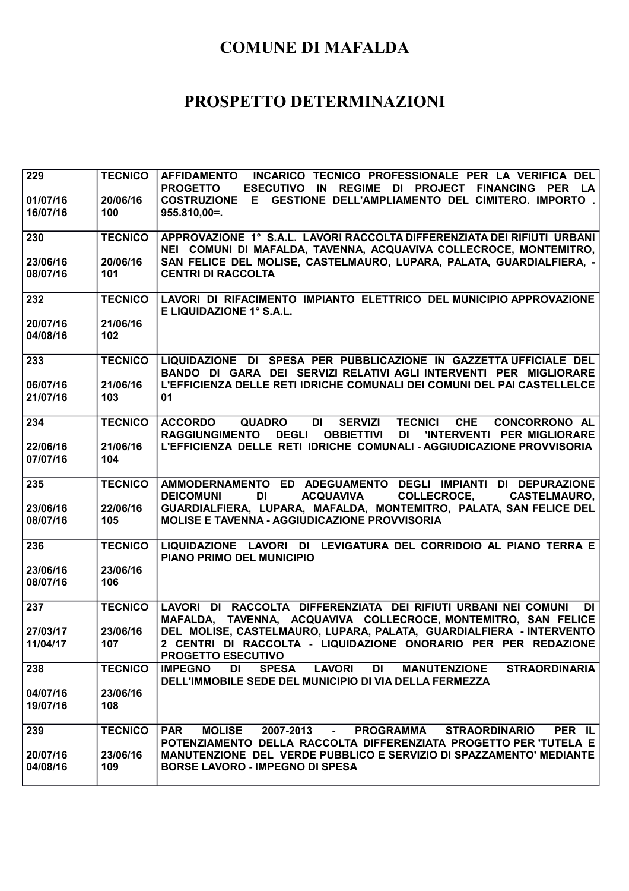| 229                  | <b>TECNICO</b>  | INCARICO TECNICO PROFESSIONALE PER LA VERIFICA DEL<br><b>AFFIDAMENTO</b>                                                                                                      |
|----------------------|-----------------|-------------------------------------------------------------------------------------------------------------------------------------------------------------------------------|
| 01/07/16             | 20/06/16        | <b>PROGETTO</b><br>ESECUTIVO IN REGIME DI PROJECT FINANCING PER LA<br>COSTRUZIONE E GESTIONE DELL'AMPLIAMENTO DEL CIMITERO. IMPORTO .                                         |
| 16/07/16             | 100             | $955.810,00 =$ .                                                                                                                                                              |
|                      |                 |                                                                                                                                                                               |
| 230                  | <b>TECNICO</b>  | APPROVAZIONE 1° S.A.L. LAVORI RACCOLTA DIFFERENZIATA DEI RIFIUTI URBANI                                                                                                       |
|                      |                 | NEI COMUNI DI MAFALDA, TAVENNA, ACQUAVIVA COLLECROCE, MONTEMITRO,                                                                                                             |
| 23/06/16<br>08/07/16 | 20/06/16<br>101 | SAN FELICE DEL MOLISE, CASTELMAURO, LUPARA, PALATA, GUARDIALFIERA, -<br><b>CENTRI DI RACCOLTA</b>                                                                             |
|                      |                 |                                                                                                                                                                               |
| 232                  | <b>TECNICO</b>  | LAVORI DI RIFACIMENTO IMPIANTO ELETTRICO DEL MUNICIPIO APPROVAZIONE                                                                                                           |
|                      |                 | E LIQUIDAZIONE 1° S.A.L.                                                                                                                                                      |
| 20/07/16             | 21/06/16        |                                                                                                                                                                               |
| 04/08/16             | 102             |                                                                                                                                                                               |
| 233                  | <b>TECNICO</b>  | LIQUIDAZIONE DI SPESA PER PUBBLICAZIONE IN GAZZETTA UFFICIALE DEL                                                                                                             |
|                      |                 | BANDO DI GARA DEI SERVIZI RELATIVI AGLI INTERVENTI PER MIGLIORARE                                                                                                             |
| 06/07/16             | 21/06/16        | L'EFFICIENZA DELLE RETI IDRICHE COMUNALI DEI COMUNI DEL PAI CASTELLELCE                                                                                                       |
| 21/07/16             | 103             | 01                                                                                                                                                                            |
| 234                  | <b>TECNICO</b>  | <b>SERVIZI</b><br><b>TECNICI</b><br><b>CHE</b><br><b>ACCORDO</b><br><b>QUADRO</b><br>DI L<br><b>CONCORRONO AL</b>                                                             |
|                      |                 | <b>RAGGIUNGIMENTO</b><br><b>DEGLI</b><br><b>OBBIETTIVI DI</b><br>'INTERVENTI PER MIGLIORARE                                                                                   |
| 22/06/16             | 21/06/16        | L'EFFICIENZA DELLE RETI IDRICHE COMUNALI - AGGIUDICAZIONE PROVVISORIA                                                                                                         |
| 07/07/16             | 104             |                                                                                                                                                                               |
| 235                  | <b>TECNICO</b>  | AMMODERNAMENTO ED ADEGUAMENTO DEGLI IMPIANTI DI DEPURAZIONE                                                                                                                   |
|                      |                 | <b>COLLECROCE.</b><br>DI<br><b>ACQUAVIVA</b><br><b>CASTELMAURO,  </b><br><b>DEICOMUNI</b>                                                                                     |
|                      | 22/06/16        | GUARDIALFIERA, LUPARA, MAFALDA, MONTEMITRO, PALATA, SAN FELICE DEL                                                                                                            |
| 23/06/16             |                 |                                                                                                                                                                               |
| 08/07/16             | 105             | <b>MOLISE E TAVENNA - AGGIUDICAZIONE PROVVISORIA</b>                                                                                                                          |
|                      | <b>TECNICO</b>  |                                                                                                                                                                               |
| 236                  |                 | LIQUIDAZIONE LAVORI DI LEVIGATURA DEL CORRIDOIO AL PIANO TERRA E<br><b>PIANO PRIMO DEL MUNICIPIO</b>                                                                          |
| 23/06/16             | 23/06/16        |                                                                                                                                                                               |
| 08/07/16             | 106             |                                                                                                                                                                               |
| 237                  | <b>TECNICO</b>  | LAVORI DI RACCOLTA DIFFERENZIATA DEI RIFIUTI URBANI NEI COMUNI<br>DI                                                                                                          |
|                      |                 | MAFALDA, TAVENNA, ACQUAVIVA COLLECROCE, MONTEMITRO, SAN FELICE                                                                                                                |
| 27/03/17             | 23/06/16        | DEL MOLISE, CASTELMAURO, LUPARA, PALATA, GUARDIALFIERA - INTERVENTO                                                                                                           |
| 11/04/17             | 107             | 2 CENTRI DI RACCOLTA - LIQUIDAZIONE ONORARIO PER PER REDAZIONE                                                                                                                |
|                      |                 | PROGETTO ESECUTIVO                                                                                                                                                            |
| 238                  | <b>TECNICO</b>  | <b>IMPEGNO</b><br>DI<br><b>SPESA</b><br><b>LAVORI</b><br>DI<br><b>MANUTENZIONE</b><br><b>STRAORDINARIA</b><br>DELL'IMMOBILE SEDE DEL MUNICIPIO DI VIA DELLA FERMEZZA          |
| 04/07/16             | 23/06/16        |                                                                                                                                                                               |
| 19/07/16             | 108             |                                                                                                                                                                               |
|                      |                 |                                                                                                                                                                               |
| 239                  | <b>TECNICO</b>  | <b>MOLISE</b><br>PER IL<br><b>PAR</b><br>2007-2013<br>PROGRAMMA STRAORDINARIO<br><b>Contract Contract</b><br>POTENZIAMENTO DELLA RACCOLTA DIFFERENZIATA PROGETTO PER TUTELA E |
| 20/07/16             | 23/06/16        | MANUTENZIONE DEL VERDE PUBBLICO E SERVIZIO DI SPAZZAMENTO' MEDIANTE                                                                                                           |
| 04/08/16             | 109             | <b>BORSE LAVORO - IMPEGNO DI SPESA</b>                                                                                                                                        |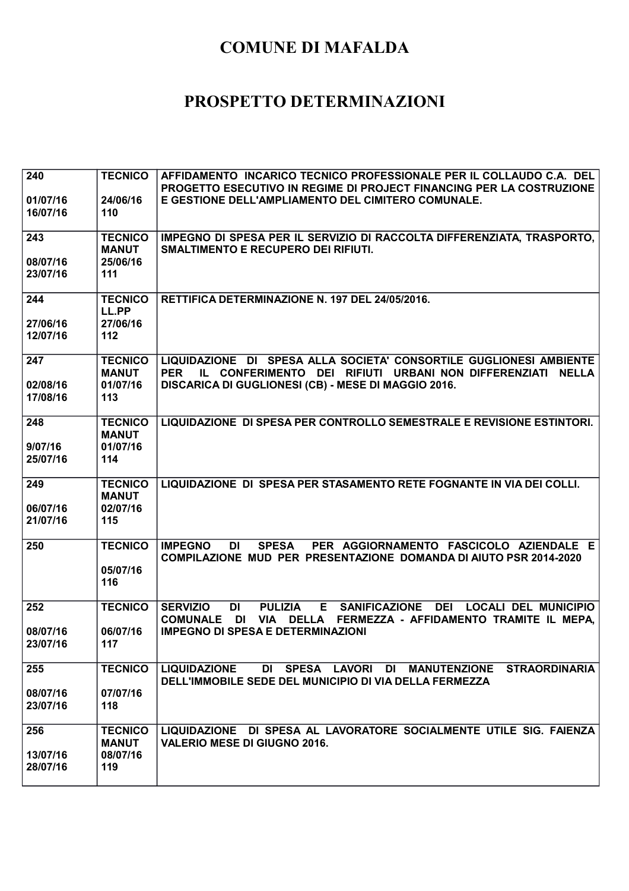| 240<br>01/07/16      | <b>TECNICO</b><br>24/06/16                 | AFFIDAMENTO INCARICO TECNICO PROFESSIONALE PER IL COLLAUDO C.A. DEL<br><b>PROGETTO ESECUTIVO IN REGIME DI PROJECT FINANCING PER LA COSTRUZIONE</b><br>E GESTIONE DELL'AMPLIAMENTO DEL CIMITERO COMUNALE.        |
|----------------------|--------------------------------------------|-----------------------------------------------------------------------------------------------------------------------------------------------------------------------------------------------------------------|
| 16/07/16             | 110                                        |                                                                                                                                                                                                                 |
| 243                  | <b>TECNICO</b><br><b>MANUT</b>             | IMPEGNO DI SPESA PER IL SERVIZIO DI RACCOLTA DIFFERENZIATA, TRASPORTO,<br><b>SMALTIMENTO E RECUPERO DEI RIFIUTI.</b>                                                                                            |
| 08/07/16<br>23/07/16 | 25/06/16<br>111                            |                                                                                                                                                                                                                 |
| 244                  | <b>TECNICO</b><br>LL.PP<br>27/06/16        | RETTIFICA DETERMINAZIONE N. 197 DEL 24/05/2016.                                                                                                                                                                 |
| 27/06/16<br>12/07/16 | 112                                        |                                                                                                                                                                                                                 |
| 247<br>02/08/16      | <b>TECNICO</b><br><b>MANUT</b><br>01/07/16 | LIQUIDAZIONE DI SPESA ALLA SOCIETA' CONSORTILE GUGLIONESI AMBIENTE<br><b>PER</b><br>IL CONFERIMENTO DEI RIFIUTI URBANI NON DIFFERENZIATI<br><b>NELLA</b><br>DISCARICA DI GUGLIONESI (CB) - MESE DI MAGGIO 2016. |
| 17/08/16             | 113                                        |                                                                                                                                                                                                                 |
| 248<br>9/07/16       | <b>TECNICO</b><br><b>MANUT</b><br>01/07/16 | LIQUIDAZIONE DI SPESA PER CONTROLLO SEMESTRALE E REVISIONE ESTINTORI.                                                                                                                                           |
| 25/07/16             | 114                                        |                                                                                                                                                                                                                 |
| 249<br>06/07/16      | <b>TECNICO</b><br><b>MANUT</b><br>02/07/16 | LIQUIDAZIONE DI SPESA PER STASAMENTO RETE FOGNANTE IN VIA DEI COLLI.                                                                                                                                            |
| 21/07/16             | 115                                        |                                                                                                                                                                                                                 |
| 250                  | <b>TECNICO</b><br>05/07/16<br>116          | <b>IMPEGNO</b><br><b>SPESA</b><br>PER AGGIORNAMENTO FASCICOLO AZIENDALE E<br>DI<br><b>COMPILAZIONE MUD PER PRESENTAZIONE DOMANDA DI AIUTO PSR 2014-2020</b>                                                     |
| 252                  | <b>TECNICO</b>                             | <b>SERVIZIO</b><br><b>PULIZIA</b><br><b>SANIFICAZIONE</b><br><b>DEI</b><br><b>LOCALI DEL MUNICIPIO</b><br><b>DI</b><br>Е                                                                                        |
| 08/07/16             | 06/07/16                                   | <b>DI</b><br><b>VIA</b><br><b>DELLA</b><br>FERMEZZA - AFFIDAMENTO TRAMITE IL MEPA.<br><b>COMUNALE</b><br><b>IMPEGNO DI SPESA E DETERMINAZIONI</b>                                                               |
| 23/07/16             | 117                                        |                                                                                                                                                                                                                 |
| 255                  | <b>TECNICO</b>                             | DI SPESA LAVORI DI MANUTENZIONE STRAORDINARIA<br><b>LIQUIDAZIONE</b><br>DELL'IMMOBILE SEDE DEL MUNICIPIO DI VIA DELLA FERMEZZA                                                                                  |
| 08/07/16<br>23/07/16 | 07/07/16<br>118                            |                                                                                                                                                                                                                 |
| 256                  | <b>TECNICO</b><br><b>MANUT</b>             | LIQUIDAZIONE DI SPESA AL LAVORATORE SOCIALMENTE UTILE SIG. FAIENZA<br><b>VALERIO MESE DI GIUGNO 2016.</b>                                                                                                       |
| 13/07/16<br>28/07/16 | 08/07/16<br>119                            |                                                                                                                                                                                                                 |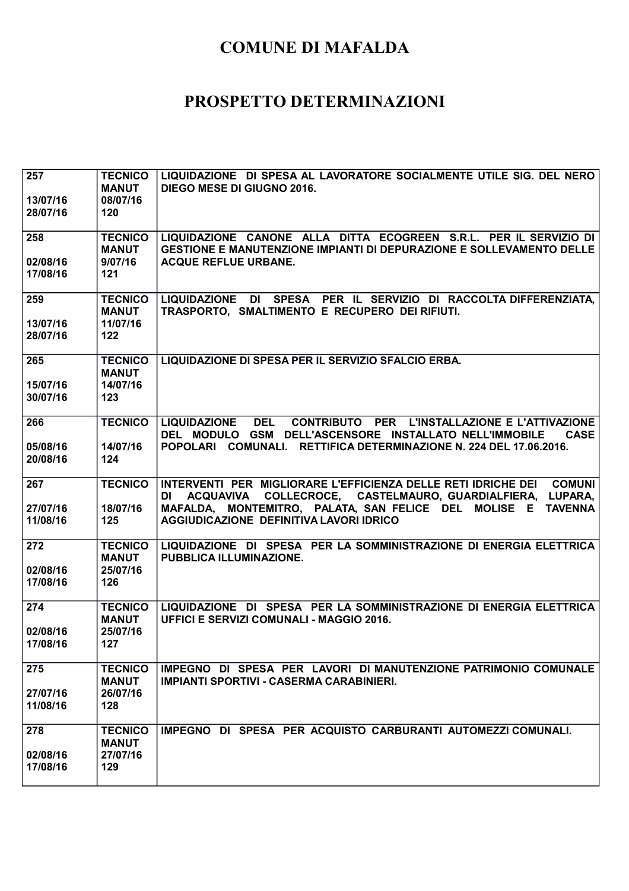| 257<br>13/07/16<br>28/07/16 | <b>TECNICO</b><br><b>MANUT</b><br>08/07/16<br>120   | LIQUIDAZIONE DI SPESA AL LAVORATORE SOCIALMENTE UTILE SIG. DEL NERO<br><b>DIEGO MESE DI GIUGNO 2016.</b>                                                                                                                                                            |
|-----------------------------|-----------------------------------------------------|---------------------------------------------------------------------------------------------------------------------------------------------------------------------------------------------------------------------------------------------------------------------|
| 258<br>02/08/16<br>17/08/16 | <b>TECNICO</b><br><b>MANUT</b><br>9/07/16<br>$121$  | LIQUIDAZIONE CANONE ALLA DITTA ECOGREEN S.R.L. PER IL SERVIZIO DI<br><b>GESTIONE E MANUTENZIONE IMPIANTI DI DEPURAZIONE E SOLLEVAMENTO DELLE</b><br><b>ACQUE REFLUE URBANE.</b>                                                                                     |
| 259<br>13/07/16<br>28/07/16 | <b>TECNICO</b><br><b>MANUT</b><br>11/07/16<br>$122$ | LIQUIDAZIONE DI SPESA PER IL SERVIZIO DI RACCOLTA DIFFERENZIATA,<br>TRASPORTO, SMALTIMENTO E RECUPERO DEI RIFIUTI.                                                                                                                                                  |
| 265<br>15/07/16<br>30/07/16 | <b>TECNICO</b><br><b>MANUT</b><br>14/07/16<br>123   | LIQUIDAZIONE DI SPESA PER IL SERVIZIO SFALCIO ERBA.                                                                                                                                                                                                                 |
| 266<br>05/08/16<br>20/08/16 | <b>TECNICO</b><br>14/07/16<br>124                   | DEL CONTRIBUTO PER L'INSTALLAZIONE E L'ATTIVAZIONE<br><b>LIQUIDAZIONE</b><br>DEL MODULO GSM DELL'ASCENSORE INSTALLATO NELL'IMMOBILE<br><b>CASE</b><br>POPOLARI COMUNALI. RETTIFICA DETERMINAZIONE N. 224 DEL 17.06.2016.                                            |
| 267<br>27/07/16<br>11/08/16 | <b>TECNICO</b><br>18/07/16<br>125                   | INTERVENTI PER MIGLIORARE L'EFFICIENZA DELLE RETI IDRICHE DEI<br><b>COMUNI</b><br>DI ACQUAVIVA COLLECROCE, CASTELMAURO, GUARDIALFIERA, LUPARA,<br>MAFALDA, MONTEMITRO, PALATA, SAN FELICE DEL MOLISE E<br><b>TAVENNA</b><br>AGGIUDICAZIONE DEFINITIVA LAVORI IDRICO |
| 272<br>02/08/16<br>17/08/16 | <b>TECNICO</b><br><b>MANUT</b><br>25/07/16<br>126   | LIQUIDAZIONE DI SPESA PER LA SOMMINISTRAZIONE DI ENERGIA ELETTRICA<br>PUBBLICA ILLUMINAZIONE.                                                                                                                                                                       |
| 274<br>02/08/16<br>17/08/16 | <b>TECNICO</b><br><b>MANUT</b><br>25/07/16<br>127   | LIQUIDAZIONE DI SPESA PER LA SOMMINISTRAZIONE DI ENERGIA ELETTRICA<br>UFFICI E SERVIZI COMUNALI - MAGGIO 2016.                                                                                                                                                      |
| 275<br>27/07/16<br>11/08/16 | <b>TECNICO</b><br><b>MANUT</b><br>26/07/16<br>128   | IMPEGNO DI SPESA PER LAVORI DI MANUTENZIONE PATRIMONIO COMUNALE<br>IMPIANTI SPORTIVI - CASERMA CARABINIERI.                                                                                                                                                         |
| 278<br>02/08/16<br>17/08/16 | <b>TECNICO</b><br><b>MANUT</b><br>27/07/16<br>129   | IMPEGNO DI SPESA PER ACQUISTO CARBURANTI AUTOMEZZI COMUNALI.                                                                                                                                                                                                        |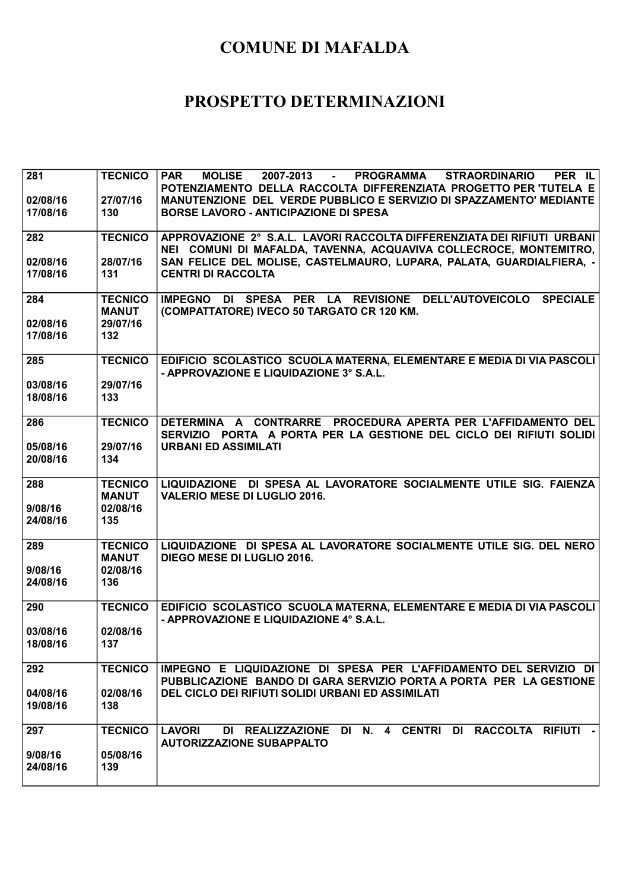| 281                 | <b>TECNICO</b>                 | <b>PAR</b><br><b>MOLISE</b><br>2007-2013 -<br>PROGRAMMA<br><b>STRAORDINARIO</b><br>PER IL                                                    |
|---------------------|--------------------------------|----------------------------------------------------------------------------------------------------------------------------------------------|
| 02/08/16            | 27/07/16                       | POTENZIAMENTO DELLA RACCOLTA DIFFERENZIATA PROGETTO PER TUTELA E<br>MANUTENZIONE DEL VERDE PUBBLICO E SERVIZIO DI SPAZZAMENTO' MEDIANTE      |
| 17/08/16            | 130                            | <b>BORSE LAVORO - ANTICIPAZIONE DI SPESA</b>                                                                                                 |
| 282                 | <b>TECNICO</b>                 | APPROVAZIONE 2° S.A.L. LAVORI RACCOLTA DIFFERENZIATA DEI RIFIUTI URBANI<br>NEI COMUNI DI MAFALDA, TAVENNA, ACQUAVIVA COLLECROCE, MONTEMITRO, |
| 02/08/16            | 28/07/16                       | SAN FELICE DEL MOLISE, CASTELMAURO, LUPARA, PALATA, GUARDIALFIERA, -                                                                         |
| 17/08/16            | 131                            | <b>CENTRI DI RACCOLTA</b>                                                                                                                    |
| 284                 | <b>TECNICO</b>                 | IMPEGNO DI SPESA PER LA REVISIONE DELL'AUTOVEICOLO SPECIALE                                                                                  |
| 02/08/16            | <b>MANUT</b><br>29/07/16       | (COMPATTATORE) IVECO 50 TARGATO CR 120 KM.                                                                                                   |
| 17/08/16            | 132                            |                                                                                                                                              |
|                     |                                |                                                                                                                                              |
| 285                 | <b>TECNICO</b>                 | EDIFICIO SCOLASTICO SCUOLA MATERNA, ELEMENTARE E MEDIA DI VIA PASCOLI<br>- APPROVAZIONE E LIQUIDAZIONE 3° S.A.L.                             |
| 03/08/16            | 29/07/16                       |                                                                                                                                              |
| 18/08/16            | 133                            |                                                                                                                                              |
| 286                 | <b>TECNICO</b>                 | DETERMINA A CONTRARRE PROCEDURA APERTA PER L'AFFIDAMENTO DEL<br>SERVIZIO PORTA A PORTA PER LA GESTIONE DEL CICLO DEI RIFIUTI SOLIDI          |
| 05/08/16            | 29/07/16                       | <b>URBANI ED ASSIMILATI</b>                                                                                                                  |
| 20/08/16            | 134                            |                                                                                                                                              |
|                     |                                |                                                                                                                                              |
|                     |                                |                                                                                                                                              |
| 288                 | <b>TECNICO</b><br><b>MANUT</b> | LIQUIDAZIONE DI SPESA AL LAVORATORE SOCIALMENTE UTILE SIG. FAIENZA<br><b>VALERIO MESE DI LUGLIO 2016.</b>                                    |
| 9/08/16             | 02/08/16                       |                                                                                                                                              |
| 24/08/16            | 135                            |                                                                                                                                              |
| 289                 | <b>TECNICO</b>                 | LIQUIDAZIONE DI SPESA AL LAVORATORE SOCIALMENTE UTILE SIG. DEL NERO                                                                          |
| 9/08/16             | <b>MANUT</b><br>02/08/16       | DIEGO MESE DI LUGLIO 2016.                                                                                                                   |
| 24/08/16            | 136                            |                                                                                                                                              |
| 290                 | <b>TECNICO</b>                 | EDIFICIO SCOLASTICO SCUOLA MATERNA, ELEMENTARE E MEDIA DI VIA PASCOLI                                                                        |
|                     |                                | - APPROVAZIONE E LIQUIDAZIONE 4° S.A.L.                                                                                                      |
| 03/08/16            | 02/08/16                       |                                                                                                                                              |
| 18/08/16            | 137                            |                                                                                                                                              |
| 292                 | <b>TECNICO</b>                 | IMPEGNO E LIQUIDAZIONE DI SPESA PER L'AFFIDAMENTO DEL SERVIZIO DI                                                                            |
| 04/08/16            | 02/08/16                       | PUBBLICAZIONE BANDO DI GARA SERVIZIO PORTA A PORTA PER LA GESTIONE<br>DEL CICLO DEI RIFIUTI SOLIDI URBANI ED ASSIMILATI                      |
| 19/08/16            | 138                            |                                                                                                                                              |
| 297                 | <b>TECNICO</b>                 | DI REALIZZAZIONE DI N. 4 CENTRI DI RACCOLTA RIFIUTI -<br><b>LAVORI</b>                                                                       |
|                     |                                | <b>AUTORIZZAZIONE SUBAPPALTO</b>                                                                                                             |
| 9/08/16<br>24/08/16 | 05/08/16<br>139                |                                                                                                                                              |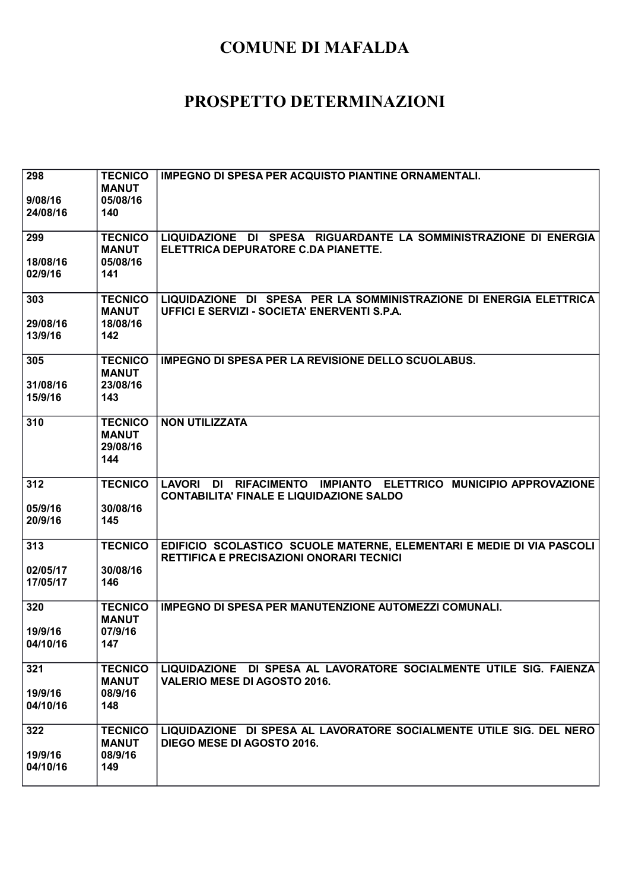| 298<br>9/08/16<br>24/08/16  | <b>TECNICO</b><br><b>MANUT</b><br>05/08/16<br>140 | <b>IMPEGNO DI SPESA PER ACQUISTO PIANTINE ORNAMENTALI.</b>                                                               |
|-----------------------------|---------------------------------------------------|--------------------------------------------------------------------------------------------------------------------------|
| 299<br>18/08/16<br>02/9/16  | <b>TECNICO</b><br><b>MANUT</b><br>05/08/16<br>141 | LIQUIDAZIONE DI SPESA RIGUARDANTE LA SOMMINISTRAZIONE DI ENERGIA<br>ELETTRICA DEPURATORE C.DA PIANETTE.                  |
| 303<br>29/08/16<br>13/9/16  | <b>TECNICO</b><br><b>MANUT</b><br>18/08/16<br>142 | LIQUIDAZIONE DI SPESA PER LA SOMMINISTRAZIONE DI ENERGIA ELETTRICA<br>UFFICI E SERVIZI - SOCIETA' ENERVENTI S.P.A.       |
| 305<br>31/08/16<br>15/9/16  | <b>TECNICO</b><br><b>MANUT</b><br>23/08/16<br>143 | <b>IMPEGNO DI SPESA PER LA REVISIONE DELLO SCUOLABUS.</b>                                                                |
| 310                         | <b>TECNICO</b><br><b>MANUT</b><br>29/08/16<br>144 | <b>NON UTILIZZATA</b>                                                                                                    |
| 312<br>05/9/16<br>20/9/16   | <b>TECNICO</b><br>30/08/16<br>145                 | LAVORI DI RIFACIMENTO IMPIANTO ELETTRICO MUNICIPIO APPROVAZIONE<br><b>CONTABILITA' FINALE E LIQUIDAZIONE SALDO</b>       |
| 313<br>02/05/17<br>17/05/17 | <b>TECNICO</b><br>30/08/16<br>146                 | EDIFICIO SCOLASTICO SCUOLE MATERNE, ELEMENTARI E MEDIE DI VIA PASCOLI<br><b>RETTIFICA E PRECISAZIONI ONORARI TECNICI</b> |
| 320<br>19/9/16<br>04/10/16  | <b>TECNICO</b><br><b>MANUT</b><br>07/9/16<br>147  | <b>IMPEGNO DI SPESA PER MANUTENZIONE AUTOMEZZI COMUNALI.</b>                                                             |
| 321<br>19/9/16<br>04/10/16  | <b>TECNICO</b><br><b>MANUT</b><br>08/9/16<br>148  | LIQUIDAZIONE DI SPESA AL LAVORATORE SOCIALMENTE UTILE SIG. FAIENZA<br><b>VALERIO MESE DI AGOSTO 2016.</b>                |
| 322<br>19/9/16<br>04/10/16  | <b>TECNICO</b><br><b>MANUT</b><br>08/9/16<br>149  | LIQUIDAZIONE DI SPESA AL LAVORATORE SOCIALMENTE UTILE SIG. DEL NERO<br>DIEGO MESE DI AGOSTO 2016.                        |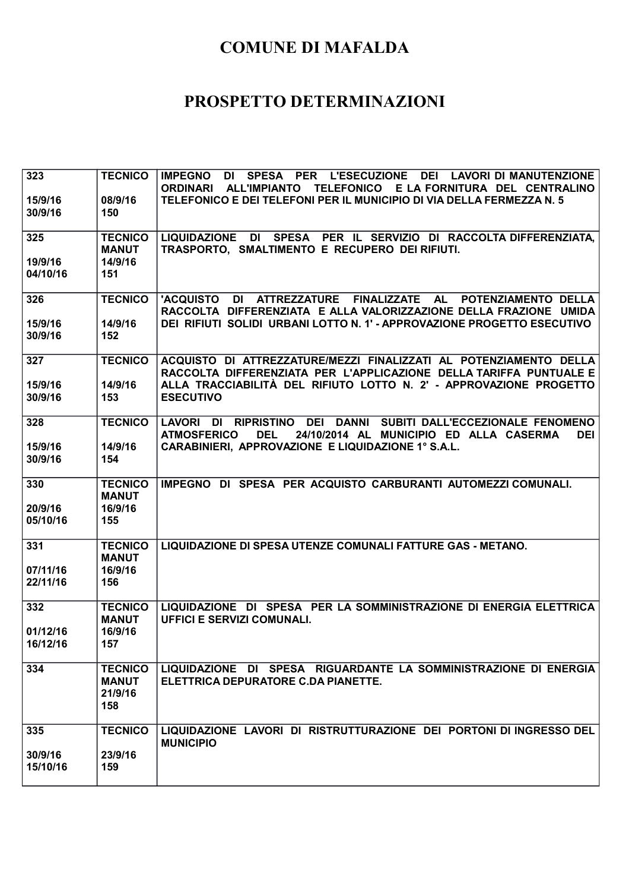| 323<br>15/9/16<br>30/9/16   | <b>TECNICO</b><br>08/9/16<br>150                 | DI SPESA PER L'ESECUZIONE DEI LAVORI DI MANUTENZIONE<br><b>IMPEGNO</b><br><b>ORDINARI</b><br>TELEFONICO E LA FORNITURA DEL CENTRALINO<br><b>ALL'IMPIANTO</b><br>TELEFONICO E DEI TELEFONI PER IL MUNICIPIO DI VIA DELLA FERMEZZA N. 5 |
|-----------------------------|--------------------------------------------------|---------------------------------------------------------------------------------------------------------------------------------------------------------------------------------------------------------------------------------------|
| 325<br>19/9/16<br>04/10/16  | <b>TECNICO</b><br><b>MANUT</b><br>14/9/16<br>151 | LIQUIDAZIONE DI SPESA PER IL SERVIZIO DI RACCOLTA DIFFERENZIATA,<br>TRASPORTO, SMALTIMENTO E RECUPERO DEI RIFIUTI.                                                                                                                    |
| 326<br>15/9/16<br>30/9/16   | <b>TECNICO</b><br>14/9/16<br>152                 | <b>'ACQUISTO</b><br>DI<br>ATTREZZATURE<br>FINALIZZATE AL<br>POTENZIAMENTO DELLA<br>RACCOLTA DIFFERENZIATA E ALLA VALORIZZAZIONE DELLA FRAZIONE UMIDA<br>DEI RIFIUTI SOLIDI URBANI LOTTO N. 1' - APPROVAZIONE PROGETTO ESECUTIVO       |
| 327<br>15/9/16<br>30/9/16   | <b>TECNICO</b><br>14/9/16<br>153                 | ACQUISTO DI ATTREZZATURE/MEZZI FINALIZZATI AL POTENZIAMENTO DELLA<br>RACCOLTA DIFFERENZIATA PER L'APPLICAZIONE DELLA TARIFFA PUNTUALE E<br>ALLA TRACCIABILITÀ DEL RIFIUTO LOTTO N. 2' - APPROVAZIONE PROGETTO<br><b>ESECUTIVO</b>     |
| 328<br>15/9/16<br>30/9/16   | <b>TECNICO</b><br>14/9/16<br>154                 | DI RIPRISTINO DEI DANNI SUBITI-DALL'ECCEZIONALE FENOMENO<br><b>LAVORI</b><br><b>ATMOSFERICO</b><br><b>DEL</b><br>24/10/2014 AL MUNICIPIO ED ALLA CASERMA<br><b>DEI</b><br>CARABINIERI, APPROVAZIONE E LIQUIDAZIONE 1° S.A.L.          |
| 330<br>20/9/16<br>05/10/16  | <b>TECNICO</b><br><b>MANUT</b><br>16/9/16<br>155 | IMPEGNO DI SPESA PER ACQUISTO CARBURANTI AUTOMEZZI COMUNALI.                                                                                                                                                                          |
| 331<br>07/11/16<br>22/11/16 | <b>TECNICO</b><br><b>MANUT</b><br>16/9/16<br>156 | LIQUIDAZIONE DI SPESA UTENZE COMUNALI FATTURE GAS - METANO.                                                                                                                                                                           |
| 332<br>01/12/16<br>16/12/16 | <b>TECNICO</b><br><b>MANUT</b><br>16/9/16<br>157 | LIQUIDAZIONE DI SPESA PER LA SOMMINISTRAZIONE DI ENERGIA ELETTRICA<br><b>UFFICI E SERVIZI COMUNALI.</b>                                                                                                                               |
| 334                         | <b>TECNICO</b><br><b>MANUT</b><br>21/9/16<br>158 | LIQUIDAZIONE DI SPESA RIGUARDANTE LA SOMMINISTRAZIONE DI ENERGIA<br>ELETTRICA DEPURATORE C.DA PIANETTE.                                                                                                                               |
| 335<br>30/9/16<br>15/10/16  | <b>TECNICO</b><br>23/9/16<br>159                 | LIQUIDAZIONE LAVORI DI RISTRUTTURAZIONE DEI PORTONI DI INGRESSO DEL<br><b>MUNICIPIO</b>                                                                                                                                               |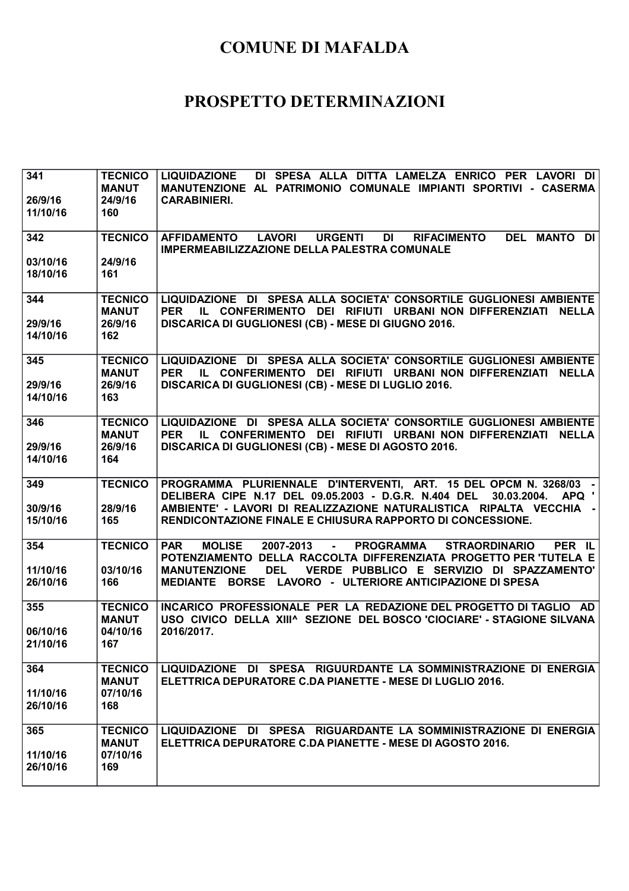| 341<br>26/9/16<br>11/10/16  | <b>TECNICO</b><br><b>MANUT</b><br>24/9/16<br>160  | <b>LIQUIDAZIONE</b><br>DI SPESA ALLA DITTA LAMELZA ENRICO PER LAVORI DI<br>MANUTENZIONE AL PATRIMONIO COMUNALE IMPIANTI SPORTIVI - CASERMA<br><b>CARABINIERI.</b>                                                                                                                                                     |
|-----------------------------|---------------------------------------------------|-----------------------------------------------------------------------------------------------------------------------------------------------------------------------------------------------------------------------------------------------------------------------------------------------------------------------|
| 342                         | <b>TECNICO</b>                                    | <b>LAVORI</b><br><b>URGENTI</b><br><b>DEL MANTO DI</b><br><b>AFFIDAMENTO</b><br>DI<br><b>RIFACIMENTO</b><br><b>IMPERMEABILIZZAZIONE DELLA PALESTRA COMUNALE</b>                                                                                                                                                       |
| 03/10/16<br>18/10/16        | 24/9/16<br>161                                    |                                                                                                                                                                                                                                                                                                                       |
| 344<br>29/9/16<br>14/10/16  | <b>TECNICO</b><br><b>MANUT</b><br>26/9/16<br>162  | LIQUIDAZIONE DI SPESA ALLA SOCIETA' CONSORTILE GUGLIONESI AMBIENTE<br><b>PER</b><br>IL CONFERIMENTO DEI RIFIUTI URBANI NON DIFFERENZIATI NELLA<br>DISCARICA DI GUGLIONESI (CB) - MESE DI GIUGNO 2016.                                                                                                                 |
| 345<br>29/9/16<br>14/10/16  | <b>TECNICO</b><br><b>MANUT</b><br>26/9/16<br>163  | LIQUIDAZIONE DI SPESA ALLA SOCIETA' CONSORTILE GUGLIONESI AMBIENTE<br><b>PER</b><br>IL CONFERIMENTO DEI RIFIUTI URBANI NON DIFFERENZIATI<br><b>NELLA</b><br>DISCARICA DI GUGLIONESI (CB) - MESE DI LUGLIO 2016.                                                                                                       |
| 346<br>29/9/16<br>14/10/16  | <b>TECNICO</b><br><b>MANUT</b><br>26/9/16<br>164  | LIQUIDAZIONE DI SPESA ALLA SOCIETA' CONSORTILE GUGLIONESI AMBIENTE<br>IL CONFERIMENTO DEI RIFIUTI URBANI NON DIFFERENZIATI NELLA<br><b>PER</b><br>DISCARICA DI GUGLIONESI (CB) - MESE DI AGOSTO 2016.                                                                                                                 |
| 349<br>30/9/16<br>15/10/16  | <b>TECNICO</b><br>28/9/16<br>165                  | PROGRAMMA PLURIENNALE D'INTERVENTI, ART. 15 DEL OPCM N. 3268/03 -<br>APQ '<br>DELIBERA CIPE N.17 DEL 09.05.2003 - D.G.R. N.404 DEL<br>30.03.2004.<br>AMBIENTE' - LAVORI DI REALIZZAZIONE NATURALISTICA RIPALTA VECCHIA -<br>RENDICONTAZIONE FINALE E CHIUSURA RAPPORTO DI CONCESSIONE.                                |
| 354<br>11/10/16<br>26/10/16 | <b>TECNICO</b><br>03/10/16<br>166                 | <b>MOLISE</b><br>2007-2013<br>PER IL<br><b>PAR</b><br>- PROGRAMMA<br><b>STRAORDINARIO</b><br>POTENZIAMENTO DELLA RACCOLTA DIFFERENZIATA PROGETTO PER TUTELA E<br>VERDE PUBBLICO E SERVIZIO DI SPAZZAMENTO'<br><b>MANUTENZIONE</b><br><b>DEL</b><br>BORSE LAVORO - ULTERIORE ANTICIPAZIONE DI SPESA<br><b>MEDIANTE</b> |
| 355<br>06/10/16<br>21/10/16 | <b>TECNICO</b><br><b>MANUT</b><br>04/10/16<br>167 | INCARICO PROFESSIONALE PER LA REDAZIONE DEL PROGETTO DI TAGLIO AD<br>USO CIVICO DELLA XIII^ SEZIONE DEL BOSCO 'CIOCIARE' - STAGIONE SILVANA<br>2016/2017.                                                                                                                                                             |
| 364<br>11/10/16<br>26/10/16 | <b>TECNICO</b><br><b>MANUT</b><br>07/10/16<br>168 | LIQUIDAZIONE DI SPESA RIGUURDANTE LA SOMMINISTRAZIONE DI ENERGIA<br>ELETTRICA DEPURATORE C.DA PIANETTE - MESE DI LUGLIO 2016.                                                                                                                                                                                         |
| 365<br>11/10/16<br>26/10/16 | <b>TECNICO</b><br><b>MANUT</b><br>07/10/16<br>169 | LIQUIDAZIONE DI SPESA RIGUARDANTE LA SOMMINISTRAZIONE DI ENERGIA<br>ELETTRICA DEPURATORE C.DA PIANETTE - MESE DI AGOSTO 2016.                                                                                                                                                                                         |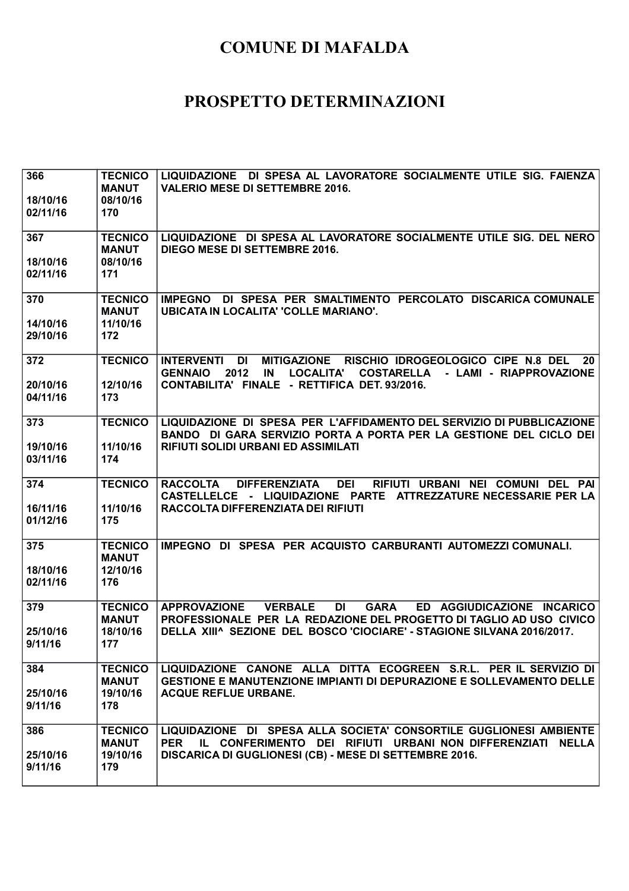| 366<br>18/10/16<br>02/11/16 | <b>TECNICO</b><br><b>MANUT</b><br>08/10/16<br>170 | LIQUIDAZIONE DI SPESA AL LAVORATORE SOCIALMENTE UTILE SIG. FAIENZA<br><b>VALERIO MESE DI SETTEMBRE 2016.</b>                                                                                  |
|-----------------------------|---------------------------------------------------|-----------------------------------------------------------------------------------------------------------------------------------------------------------------------------------------------|
| 367                         | <b>TECNICO</b><br><b>MANUT</b>                    | LIQUIDAZIONE DI SPESA AL LAVORATORE SOCIALMENTE UTILE SIG. DEL NERO<br>DIEGO MESE DI SETTEMBRE 2016.                                                                                          |
| 18/10/16<br>02/11/16        | 08/10/16<br>171                                   |                                                                                                                                                                                               |
| 370<br>14/10/16             | <b>TECNICO</b><br><b>MANUT</b><br>11/10/16        | <b>IMPEGNO</b><br>DI SPESA PER SMALTIMENTO PERCOLATO DISCARICA COMUNALE<br><b>UBICATA IN LOCALITA' 'COLLE MARIANO'.</b>                                                                       |
| 29/10/16                    | 172                                               |                                                                                                                                                                                               |
| 372                         | <b>TECNICO</b>                                    | DI<br><b>MITIGAZIONE</b><br>RISCHIO IDROGEOLOGICO CIPE N.8 DEL<br><b>INTERVENTI</b><br>20<br>2012<br><b>LOCALITA'</b><br><b>COSTARELLA</b><br>- LAMI - RIAPPROVAZIONE<br><b>GENNAIO</b><br>IN |
| 20/10/16<br>04/11/16        | 12/10/16<br>173                                   | CONTABILITA' FINALE - RETTIFICA DET. 93/2016.                                                                                                                                                 |
| 373                         | <b>TECNICO</b>                                    | LIQUIDAZIONE DI SPESA PER L'AFFIDAMENTO DEL SERVIZIO DI PUBBLICAZIONE<br>BANDO DI GARA SERVIZIO PORTA A PORTA PER LA GESTIONE DEL CICLO DEI                                                   |
| 19/10/16<br>03/11/16        | 11/10/16<br>174                                   | <b>RIFIUTI SOLIDI URBANI ED ASSIMILATI</b>                                                                                                                                                    |
| 374                         | <b>TECNICO</b>                                    | RIFIUTI URBANI NEI COMUNI DEL<br><b>RACCOLTA</b><br><b>DIFFERENZIATA</b><br><b>DEI</b><br>PAI<br>CASTELLELCE - LIQUIDAZIONE PARTE ATTREZZATURE NECESSARIE PER LA                              |
| 16/11/16<br>01/12/16        | 11/10/16<br>175                                   | RACCOLTA DIFFERENZIATA DEI RIFIUTI                                                                                                                                                            |
| 375                         | <b>TECNICO</b><br><b>MANUT</b>                    | IMPEGNO DI SPESA PER ACQUISTO CARBURANTI AUTOMEZZI COMUNALI.                                                                                                                                  |
| 18/10/16<br>02/11/16        | 12/10/16<br>176                                   |                                                                                                                                                                                               |
| 379                         | <b>TECNICO</b><br><b>MANUT</b>                    | <b>GARA</b><br>ED AGGIUDICAZIONE INCARICO<br><b>APPROVAZIONE</b><br><b>VERBALE</b><br><b>DI</b><br>PROFESSIONALE PER LA REDAZIONE DEL PROGETTO DI TAGLIO AD USO CIVICO                        |
| 25/10/16<br>9/11/16         | 18/10/16<br>177                                   | DELLA XIII^ SEZIONE DEL BOSCO 'CIOCIARE' - STAGIONE SILVANA 2016/2017.                                                                                                                        |
| 384<br>25/10/16<br>9/11/16  | <b>TECNICO</b><br><b>MANUT</b><br>19/10/16<br>178 | LIQUIDAZIONE CANONE ALLA DITTA ECOGREEN S.R.L. PER IL SERVIZIO DI<br><b>GESTIONE E MANUTENZIONE IMPIANTI DI DEPURAZIONE E SOLLEVAMENTO DELLE</b><br><b>ACQUE REFLUE URBANE.</b>               |
| 386                         | <b>TECNICO</b>                                    | LIQUIDAZIONE DI SPESA ALLA SOCIETA' CONSORTILE GUGLIONESI AMBIENTE                                                                                                                            |
| 25/10/16<br>9/11/16         | <b>MANUT</b><br>19/10/16<br>179                   | IL CONFERIMENTO DEI RIFIUTI URBANI NON DIFFERENZIATI NELLA<br><b>PER</b><br>DISCARICA DI GUGLIONESI (CB) - MESE DI SETTEMBRE 2016.                                                            |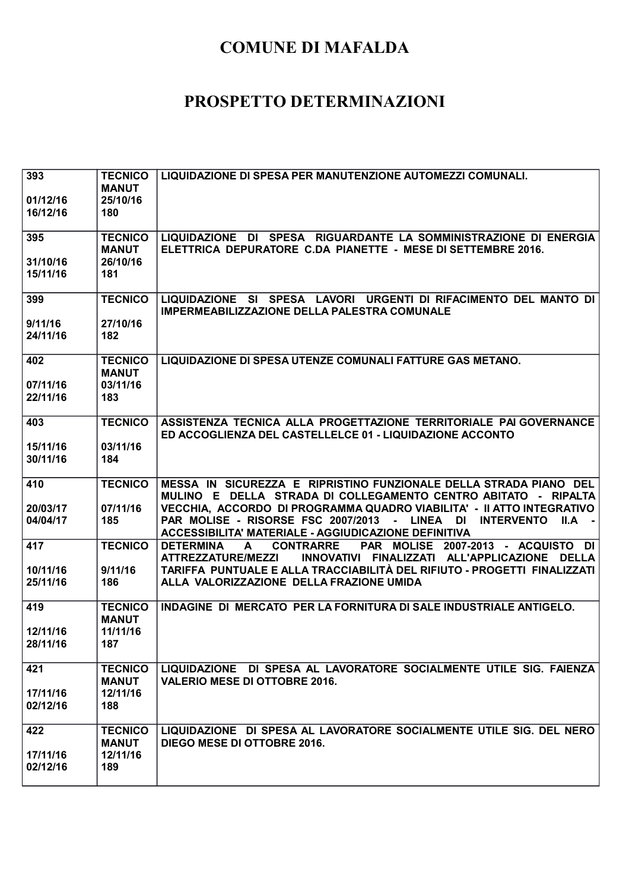| 393<br>01/12/16<br>16/12/16 | <b>TECNICO</b><br><b>MANUT</b><br>25/10/16<br>180 | LIQUIDAZIONE DI SPESA PER MANUTENZIONE AUTOMEZZI COMUNALI.                                                                                                                                                                                                                                                                                             |
|-----------------------------|---------------------------------------------------|--------------------------------------------------------------------------------------------------------------------------------------------------------------------------------------------------------------------------------------------------------------------------------------------------------------------------------------------------------|
| 395<br>31/10/16<br>15/11/16 | <b>TECNICO</b><br><b>MANUT</b><br>26/10/16<br>181 | LIQUIDAZIONE DI SPESA RIGUARDANTE LA SOMMINISTRAZIONE DI ENERGIA<br>ELETTRICA DEPURATORE C.DA PIANETTE - MESE DI SETTEMBRE 2016.                                                                                                                                                                                                                       |
| 399<br>9/11/16<br>24/11/16  | <b>TECNICO</b><br>27/10/16<br>182                 | LIQUIDAZIONE SI SPESA LAVORI URGENTI DI RIFACIMENTO DEL MANTO DI<br><b>IMPERMEABILIZZAZIONE DELLA PALESTRA COMUNALE</b>                                                                                                                                                                                                                                |
| 402<br>07/11/16<br>22/11/16 | <b>TECNICO</b><br><b>MANUT</b><br>03/11/16<br>183 | <b>LIQUIDAZIONE DI SPESA UTENZE COMUNALI FATTURE GAS METANO.</b>                                                                                                                                                                                                                                                                                       |
| 403<br>15/11/16<br>30/11/16 | <b>TECNICO</b><br>03/11/16<br>184                 | ASSISTENZA TECNICA ALLA PROGETTAZIONE TERRITORIALE PAI GOVERNANCE<br>ED ACCOGLIENZA DEL CASTELLELCE 01 - LIQUIDAZIONE ACCONTO                                                                                                                                                                                                                          |
| 410<br>20/03/17<br>04/04/17 | <b>TECNICO</b><br>07/11/16<br>185                 | MESSA IN SICUREZZA E RIPRISTINO FUNZIONALE DELLA STRADA PIANO DEL<br>MULINO E DELLA STRADA DI COLLEGAMENTO CENTRO ABITATO - RIPALTA<br>VECCHIA, ACCORDO DI PROGRAMMA QUADRO VIABILITA' - II ATTO INTEGRATIVO<br>PAR MOLISE - RISORSE FSC 2007/2013 - LINEA DI<br><b>INTERVENTO</b><br>$II.A -$<br>ACCESSIBILITA' MATERIALE - AGGIUDICAZIONE DEFINITIVA |
| 417<br>10/11/16<br>25/11/16 | <b>TECNICO</b><br>9/11/16<br>186                  | <b>CONTRARRE</b><br>PAR MOLISE 2007-2013 - ACQUISTO DI<br><b>DETERMINA</b><br>A<br>INNOVATIVI FINALIZZATI ALL'APPLICAZIONE DELLA<br><b>ATTREZZATURE/MEZZI</b><br>TARIFFA PUNTUALE E ALLA TRACCIABILITÀ DEL RIFIUTO - PROGETTI FINALIZZATI<br>ALLA VALORIZZAZIONE DELLA FRAZIONE UMIDA                                                                  |
| 419<br>12/11/16<br>28/11/16 | <b>TECNICO</b><br><b>MANUT</b><br>11/11/16<br>187 | INDAGINE DI MERCATO PER LA FORNITURA DI SALE INDUSTRIALE ANTIGELO.                                                                                                                                                                                                                                                                                     |
| 421<br>17/11/16<br>02/12/16 | <b>TECNICO</b><br><b>MANUT</b><br>12/11/16<br>188 | LIQUIDAZIONE DI SPESA AL LAVORATORE SOCIALMENTE UTILE SIG. FAIENZA<br><b>VALERIO MESE DI OTTOBRE 2016.</b>                                                                                                                                                                                                                                             |
| 422<br>17/11/16<br>02/12/16 | <b>TECNICO</b><br><b>MANUT</b><br>12/11/16<br>189 | LIQUIDAZIONE DI SPESA AL LAVORATORE SOCIALMENTE UTILE SIG. DEL NERO<br>DIEGO MESE DI OTTOBRE 2016.                                                                                                                                                                                                                                                     |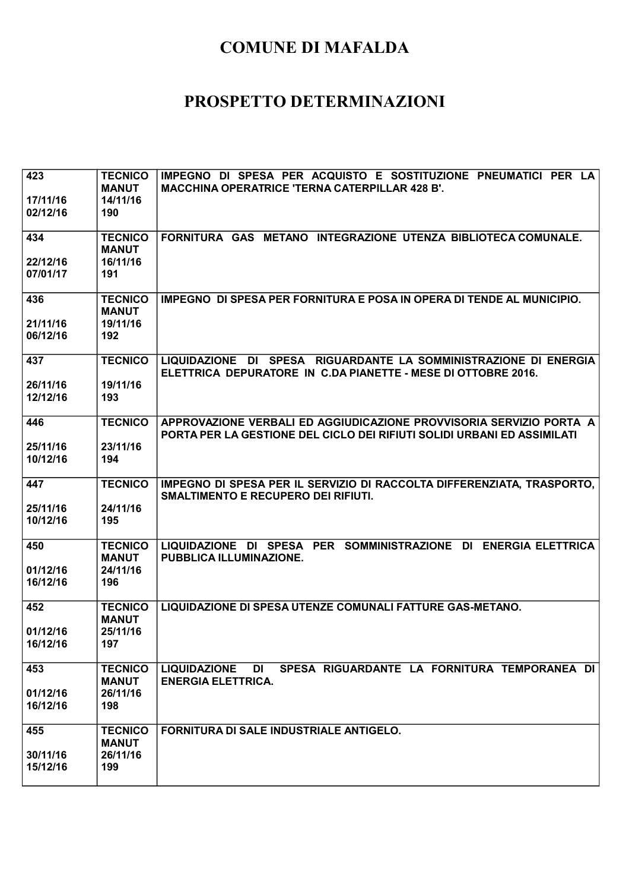| 423                  | <b>TECNICO</b><br><b>MANUT</b> | IMPEGNO DI SPESA PER ACQUISTO E SOSTITUZIONE PNEUMATICI PER LA<br><b>MACCHINA OPERATRICE 'TERNA CATERPILLAR 428 B'.</b>                        |
|----------------------|--------------------------------|------------------------------------------------------------------------------------------------------------------------------------------------|
| 17/11/16<br>02/12/16 | 14/11/16<br>190                |                                                                                                                                                |
| 434                  | <b>TECNICO</b><br><b>MANUT</b> | FORNITURA GAS METANO INTEGRAZIONE UTENZA BIBLIOTECA COMUNALE.                                                                                  |
| 22/12/16<br>07/01/17 | 16/11/16<br>191                |                                                                                                                                                |
| 436                  | <b>TECNICO</b><br><b>MANUT</b> | IMPEGNO DI SPESA PER FORNITURA E POSA IN OPERA DI TENDE AL MUNICIPIO.                                                                          |
| 21/11/16<br>06/12/16 | 19/11/16<br>192                |                                                                                                                                                |
| 437                  | <b>TECNICO</b>                 | LIQUIDAZIONE DI SPESA RIGUARDANTE LA SOMMINISTRAZIONE DI ENERGIA<br>ELETTRICA DEPURATORE IN C.DA PIANETTE - MESE DI OTTOBRE 2016.              |
| 26/11/16<br>12/12/16 | 19/11/16<br>193                |                                                                                                                                                |
| 446                  | <b>TECNICO</b>                 | APPROVAZIONE VERBALI ED AGGIUDICAZIONE PROVVISORIA SERVIZIO PORTA A<br>PORTA PER LA GESTIONE DEL CICLO DEI RIFIUTI SOLIDI URBANI ED ASSIMILATI |
| 25/11/16<br>10/12/16 | 23/11/16<br>194                |                                                                                                                                                |
| 447                  | <b>TECNICO</b>                 | IMPEGNO DI SPESA PER IL SERVIZIO DI RACCOLTA DIFFERENZIATA, TRASPORTO,<br><b>SMALTIMENTO E RECUPERO DEI RIFIUTI.</b>                           |
| 25/11/16<br>10/12/16 | 24/11/16<br>195                |                                                                                                                                                |
| 450                  | <b>TECNICO</b><br><b>MANUT</b> | LIQUIDAZIONE DI SPESA PER SOMMINISTRAZIONE DI ENERGIA ELETTRICA<br>PUBBLICA ILLUMINAZIONE.                                                     |
| 01/12/16<br>16/12/16 | 24/11/16<br>196                |                                                                                                                                                |
| 452                  | <b>TECNICO</b><br><b>MANUT</b> | LIQUIDAZIONE DI SPESA UTENZE COMUNALI FATTURE GAS-METANO.                                                                                      |
| 01/12/16<br>16/12/16 | 25/11/16<br>197                |                                                                                                                                                |
| 453                  | <b>TECNICO</b><br><b>MANUT</b> | SPESA RIGUARDANTE LA FORNITURA TEMPORANEA DI<br><b>LIQUIDAZIONE</b><br>DI<br><b>ENERGIA ELETTRICA.</b>                                         |
| 01/12/16<br>16/12/16 | 26/11/16<br>198                |                                                                                                                                                |
| 455                  | <b>TECNICO</b><br><b>MANUT</b> | <b>FORNITURA DI SALE INDUSTRIALE ANTIGELO.</b>                                                                                                 |
| 30/11/16<br>15/12/16 | 26/11/16<br>199                |                                                                                                                                                |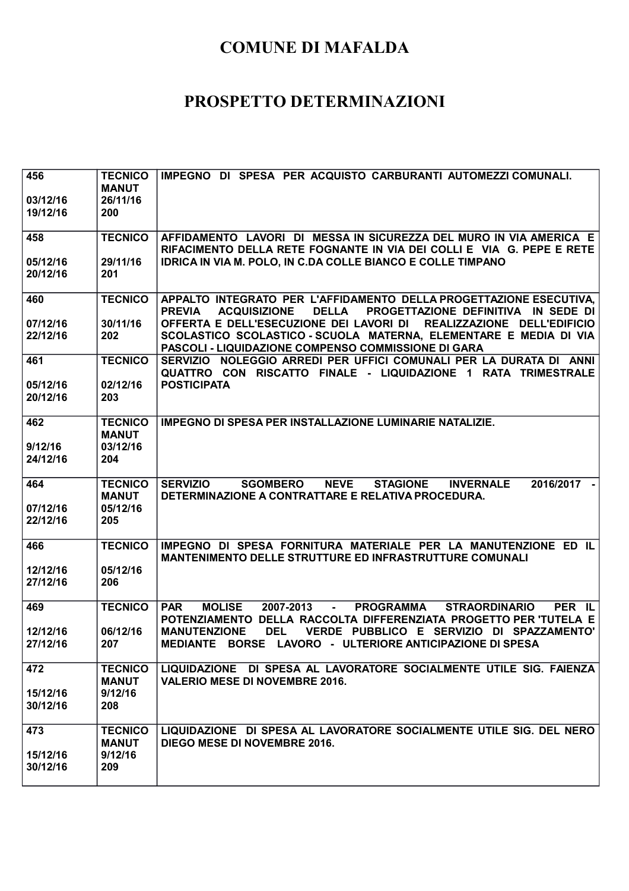| 456<br>03/12/16<br>19/12/16 | <b>TECNICO</b><br><b>MANUT</b><br>26/11/16<br>200 | IMPEGNO DI SPESA PER ACQUISTO CARBURANTI AUTOMEZZI COMUNALI.                                                                                                                                  |
|-----------------------------|---------------------------------------------------|-----------------------------------------------------------------------------------------------------------------------------------------------------------------------------------------------|
| 458                         | <b>TECNICO</b>                                    | AFFIDAMENTO LAVORI DI MESSA IN SICUREZZA DEL MURO IN VIA AMERICA E<br>RIFACIMENTO DELLA RETE FOGNANTE IN VIA DEI COLLI E VIA G. PEPE E RETE                                                   |
| 05/12/16<br>20/12/16        | 29/11/16<br>201                                   | <b>IDRICA IN VIA M. POLO, IN C.DA COLLE BIANCO E COLLE TIMPANO</b>                                                                                                                            |
| 460                         | <b>TECNICO</b>                                    | APPALTO INTEGRATO PER L'AFFIDAMENTO DELLA PROGETTAZIONE ESECUTIVA,<br><b>DELLA</b><br>PROGETTAZIONE DEFINITIVA IN SEDE DI<br><b>PREVIA</b><br><b>ACQUISIZIONE</b>                             |
| 07/12/16<br>22/12/16        | 30/11/16<br>202                                   | OFFERTA E DELL'ESECUZIONE DEI LAVORI DI REALIZZAZIONE DELL'EDIFICIO<br>SCOLASTICO SCOLASTICO-SCUOLA MATERNA, ELEMENTARE E MEDIA DI VIA<br>PASCOLI - LIQUIDAZIONE COMPENSO COMMISSIONE DI GARA |
| 461                         | <b>TECNICO</b>                                    | SERVIZIO NOLEGGIO ARREDI PER UFFICI COMUNALI PER LA DURATA DI ANNI<br>QUATTRO CON RISCATTO FINALE - LIQUIDAZIONE 1 RATA TRIMESTRALE                                                           |
| 05/12/16<br>20/12/16        | 02/12/16<br>203                                   | <b>POSTICIPATA</b>                                                                                                                                                                            |
| 462                         | <b>TECNICO</b><br><b>MANUT</b>                    | <b>IMPEGNO DI SPESA PER INSTALLAZIONE LUMINARIE NATALIZIE.</b>                                                                                                                                |
| 9/12/16<br>24/12/16         | 03/12/16<br>204                                   |                                                                                                                                                                                               |
| 464                         | <b>TECNICO</b><br><b>MANUT</b>                    | <b>SERVIZIO</b><br><b>SGOMBERO</b><br><b>NEVE</b><br><b>STAGIONE</b><br><b>INVERNALE</b><br>2016/2017 -<br>DETERMINAZIONE A CONTRATTARE E RELATIVA PROCEDURA.                                 |
| 07/12/16<br>22/12/16        | 05/12/16<br>205                                   |                                                                                                                                                                                               |
| 466                         | <b>TECNICO</b>                                    | IMPEGNO DI SPESA FORNITURA MATERIALE PER LA MANUTENZIONE ED IL<br><b>MANTENIMENTO DELLE STRUTTURE ED INFRASTRUTTURE COMUNALI</b>                                                              |
| 12/12/16<br>27/12/16        | 05/12/16<br>206                                   |                                                                                                                                                                                               |
| 469                         | <b>TECNICO</b>                                    | <b>PAR</b><br><b>MOLISE</b><br>2007-2013<br><b>PROGRAMMA</b><br><b>STRAORDINARIO</b><br>PER IL<br>$\Delta \sim 100$<br>POTENZIAMENTO DELLA RACCOLTA DIFFERENZIATA PROGETTO PER TUTELA E       |
| 12/12/16<br>27/12/16        | 06/12/16<br>207.                                  | <b>DEL</b><br>VERDE PUBBLICO E SERVIZIO DI SPAZZAMENTO'<br><b>MANUTENZIONE</b><br>MEDIANTE BORSE LAVORO - ULTERIORE ANTICIPAZIONE DI SPESA                                                    |
| 472                         | <b>TECNICO</b><br><b>MANUT</b>                    | LIQUIDAZIONE DI SPESA AL LAVORATORE SOCIALMENTE UTILE SIG. FAIENZA<br><b>VALERIO MESE DI NOVEMBRE 2016.</b>                                                                                   |
| 15/12/16<br>30/12/16        | 9/12/16<br>208                                    |                                                                                                                                                                                               |
| 473                         | <b>TECNICO</b><br><b>MANUT</b>                    | LIQUIDAZIONE DI SPESA AL LAVORATORE SOCIALMENTE UTILE SIG. DEL NERO<br>DIEGO MESE DI NOVEMBRE 2016.                                                                                           |
| 15/12/16<br>30/12/16        | 9/12/16<br>209                                    |                                                                                                                                                                                               |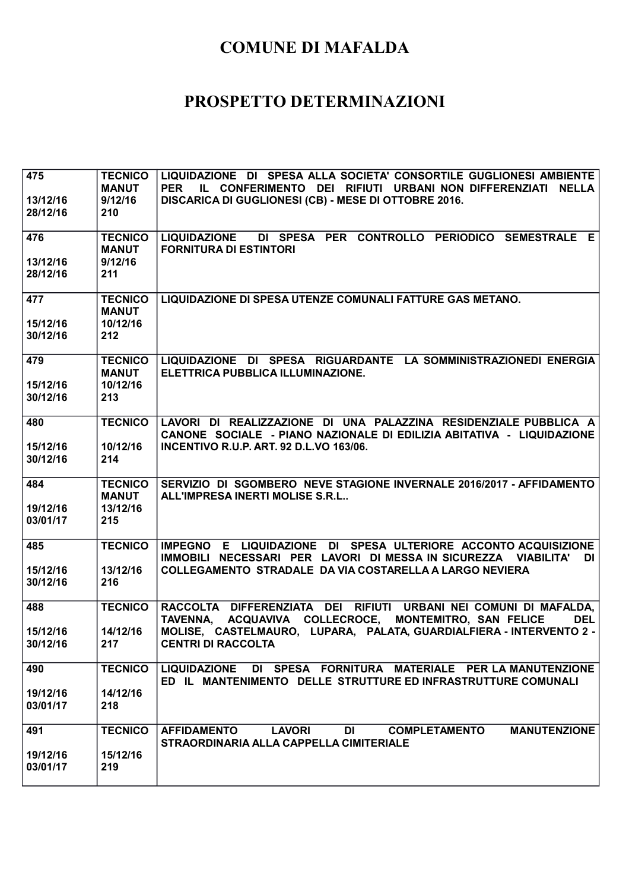| 475<br>13/12/16<br>28/12/16 | <b>TECNICO</b><br><b>MANUT</b><br>9/12/16<br>210  | LIQUIDAZIONE DI SPESA ALLA SOCIETA' CONSORTILE GUGLIONESI AMBIENTE<br>IL CONFERIMENTO DEI RIFIUTI URBANI NON DIFFERENZIATI NELLA<br><b>PER</b><br>DISCARICA DI GUGLIONESI (CB) - MESE DI OTTOBRE 2016.          |
|-----------------------------|---------------------------------------------------|-----------------------------------------------------------------------------------------------------------------------------------------------------------------------------------------------------------------|
| 476<br>13/12/16             | <b>TECNICO</b><br><b>MANUT</b><br>9/12/16         | LIQUIDAZIONE DI SPESA PER CONTROLLO PERIODICO SEMESTRALE E<br><b>FORNITURA DI ESTINTORI</b>                                                                                                                     |
| 28/12/16                    | 211                                               |                                                                                                                                                                                                                 |
| 477<br>15/12/16<br>30/12/16 | <b>TECNICO</b><br><b>MANUT</b><br>10/12/16<br>212 | <b>LIQUIDAZIONE DI SPESA UTENZE COMUNALI FATTURE GAS METANO.</b>                                                                                                                                                |
| 479<br>15/12/16<br>30/12/16 | <b>TECNICO</b><br><b>MANUT</b><br>10/12/16<br>213 | LIQUIDAZIONE DI SPESA RIGUARDANTE LA SOMMINISTRAZIONEDI ENERGIA<br>ELETTRICA PUBBLICA ILLUMINAZIONE.                                                                                                            |
| 480<br>15/12/16             | <b>TECNICO</b><br>10/12/16                        | LAVORI DI REALIZZAZIONE DI UNA PALAZZINA RESIDENZIALE PUBBLICA A<br>CANONE SOCIALE - PIANO NAZIONALE DI EDILIZIA ABITATIVA - LIQUIDAZIONE<br><b>INCENTIVO R.U.P. ART. 92 D.L.VO 163/06.</b>                     |
| 30/12/16                    | 214                                               |                                                                                                                                                                                                                 |
| 484<br>19/12/16<br>03/01/17 | <b>TECNICO</b><br><b>MANUT</b><br>13/12/16<br>215 | SERVIZIO DI SGOMBERO NEVE STAGIONE INVERNALE 2016/2017 - AFFIDAMENTO<br><b>ALL'IMPRESA INERTI MOLISE S.R.L</b>                                                                                                  |
| 485                         | <b>TECNICO</b><br>13/12/16                        | IMPEGNO E LIQUIDAZIONE DI SPESA ULTERIORE ACCONTO ACQUISIZIONE<br>IMMOBILI NECESSARI PER LAVORI DI MESSA IN SICUREZZA VIABILITA'<br><b>DI</b><br><b>COLLEGAMENTO STRADALE DA VIA COSTARELLA A LARGO NEVIERA</b> |
| 15/12/16<br>30/12/16        | 216                                               |                                                                                                                                                                                                                 |
| 488                         | <b>TECNICO</b>                                    | RACCOLTA DIFFERENZIATA DEI RIFIUTI URBANI NEI COMUNI DI MAFALDA,<br>TAVENNA, ACQUAVIVA COLLECROCE, MONTEMITRO, SAN FELICE<br><b>DEL</b>                                                                         |
| 15/12/16<br>30/12/16        | 14/12/16<br>217                                   | MOLISE, CASTELMAURO, LUPARA, PALATA, GUARDIALFIERA - INTERVENTO 2 -<br><b>CENTRI DI RACCOLTA</b>                                                                                                                |
| 490                         | <b>TECNICO</b>                                    | DI SPESA FORNITURA MATERIALE PER LA MANUTENZIONE<br><b>LIQUIDAZIONE</b><br>ED IL MANTENIMENTO DELLE STRUTTURE ED INFRASTRUTTURE COMUNALI                                                                        |
| 19/12/16<br>03/01/17        | 14/12/16<br>218                                   |                                                                                                                                                                                                                 |
| 491                         | <b>TECNICO</b>                                    | <b>AFFIDAMENTO</b><br><b>LAVORI</b><br><b>COMPLETAMENTO</b><br><b>MANUTENZIONE</b><br>DI<br>STRAORDINARIA ALLA CAPPELLA CIMITERIALE                                                                             |
| 19/12/16<br>03/01/17        | 15/12/16<br>219                                   |                                                                                                                                                                                                                 |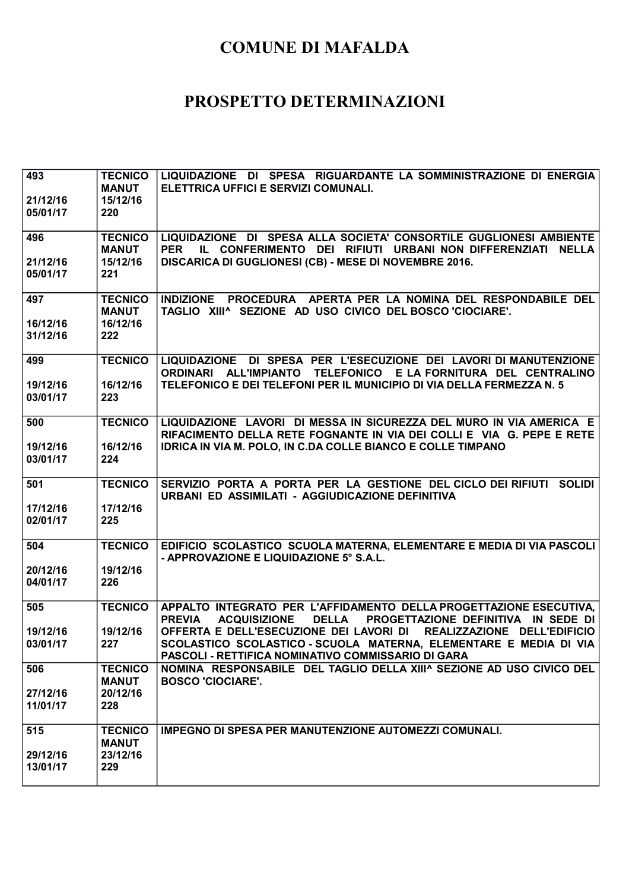| 493                  | <b>TECNICO</b>  | LIQUIDAZIONE DI SPESA RIGUARDANTE LA SOMMINISTRAZIONE DI ENERGIA                                                                                                   |
|----------------------|-----------------|--------------------------------------------------------------------------------------------------------------------------------------------------------------------|
|                      | <b>MANUT</b>    | ELETTRICA UFFICI E SERVIZI COMUNALI.                                                                                                                               |
| 21/12/16             | 15/12/16        |                                                                                                                                                                    |
| 05/01/17             | 220             |                                                                                                                                                                    |
| 496                  | <b>TECNICO</b>  | LIQUIDAZIONE DI SPESA ALLA SOCIETA' CONSORTILE GUGLIONESI AMBIENTE                                                                                                 |
|                      | <b>MANUT</b>    | IL CONFERIMENTO DEI RIFIUTI URBANI NON DIFFERENZIATI NELLA<br><b>PER</b>                                                                                           |
| 21/12/16<br>05/01/17 | 15/12/16<br>221 | DISCARICA DI GUGLIONESI (CB) - MESE DI NOVEMBRE 2016.                                                                                                              |
|                      |                 |                                                                                                                                                                    |
| 497                  | <b>TECNICO</b>  | INDIZIONE PROCEDURA APERTA PER LA NOMINA DEL RESPONDABILE DEL                                                                                                      |
|                      | <b>MANUT</b>    | TAGLIO XIII^ SEZIONE AD USO CIVICO DEL BOSCO 'CIOCIARE'.                                                                                                           |
| 16/12/16             | 16/12/16        |                                                                                                                                                                    |
| 31/12/16             | 222             |                                                                                                                                                                    |
| 499                  | <b>TECNICO</b>  | LIQUIDAZIONE DI SPESA PER L'ESECUZIONE DEI LAVORI DI MANUTENZIONE                                                                                                  |
| 19/12/16             | 16/12/16        | ORDINARI ALL'IMPIANTO TELEFONICO E LA FORNITURA DEL CENTRALINO<br>TELEFONICO E DEI TELEFONI PER IL MUNICIPIO DI VIA DELLA FERMEZZA N. 5                            |
| 03/01/17             | 223             |                                                                                                                                                                    |
|                      |                 |                                                                                                                                                                    |
| 500                  | <b>TECNICO</b>  | LIQUIDAZIONE LAVORI DI MESSA IN SICUREZZA DEL MURO IN VIA AMERICA E                                                                                                |
|                      |                 | RIFACIMENTO DELLA RETE FOGNANTE IN VIA DEI COLLI E VIA G. PEPE E RETE                                                                                              |
| 19/12/16             | 16/12/16        | IDRICA IN VIA M. POLO, IN C.DA COLLE BIANCO E COLLE TIMPANO                                                                                                        |
| 03/01/17             | 224             |                                                                                                                                                                    |
| 501                  | <b>TECNICO</b>  | SERVIZIO PORTA A PORTA PER LA GESTIONE DEL CICLO DEI RIFIUTI SOLIDI                                                                                                |
|                      |                 | URBANI ED ASSIMILATI - AGGIUDICAZIONE DEFINITIVA                                                                                                                   |
| 17/12/16             | 17/12/16        |                                                                                                                                                                    |
| 02/01/17             | 225             |                                                                                                                                                                    |
| 504                  | <b>TECNICO</b>  | EDIFICIO SCOLASTICO SCUOLA MATERNA, ELEMENTARE E MEDIA DI VIA PASCOLI                                                                                              |
|                      |                 | - APPROVAZIONE E LIQUIDAZIONE 5° S.A.L.                                                                                                                            |
| 20/12/16<br>04/01/17 | 19/12/16<br>226 |                                                                                                                                                                    |
|                      |                 |                                                                                                                                                                    |
| 505                  | <b>TECNICO</b>  | APPALTO INTEGRATO PER L'AFFIDAMENTO DELLA PROGETTAZIONE ESECUTIVA,                                                                                                 |
|                      | 19/12/16        | PROGETTAZIONE DEFINITIVA IN SEDE DI<br><b>PREVIA</b><br><b>ACQUISIZIONE</b><br><b>DELLA</b><br>OFFERTA E DELL'ESECUZIONE DEI LAVORI DI REALIZZAZIONE DELL'EDIFICIO |
| 19/12/16<br>03/01/17 | 227             | SCOLASTICO SCOLASTICO-SCUOLA MATERNA, ELEMENTARE E MEDIA DI VIA                                                                                                    |
|                      |                 | PASCOLI - RETTIFICA NOMINATIVO COMMISSARIO DI GARA                                                                                                                 |
| 506                  | <b>TECNICO</b>  | NOMINA RESPONSABILE DEL TAGLIO DELLA XIII^ SEZIONE AD USO CIVICO DEL                                                                                               |
|                      | <b>MANUT</b>    | <b>BOSCO 'CIOCIARE'.</b>                                                                                                                                           |
| 27/12/16             | 20/12/16        |                                                                                                                                                                    |
| 11/01/17             | 228             |                                                                                                                                                                    |
| 515                  | <b>TECNICO</b>  | <b>IMPEGNO DI SPESA PER MANUTENZIONE AUTOMEZZI COMUNALI.</b>                                                                                                       |
|                      | <b>MANUT</b>    |                                                                                                                                                                    |
| 29/12/16             |                 |                                                                                                                                                                    |
|                      | 23/12/16        |                                                                                                                                                                    |
| 13/01/17             | 229             |                                                                                                                                                                    |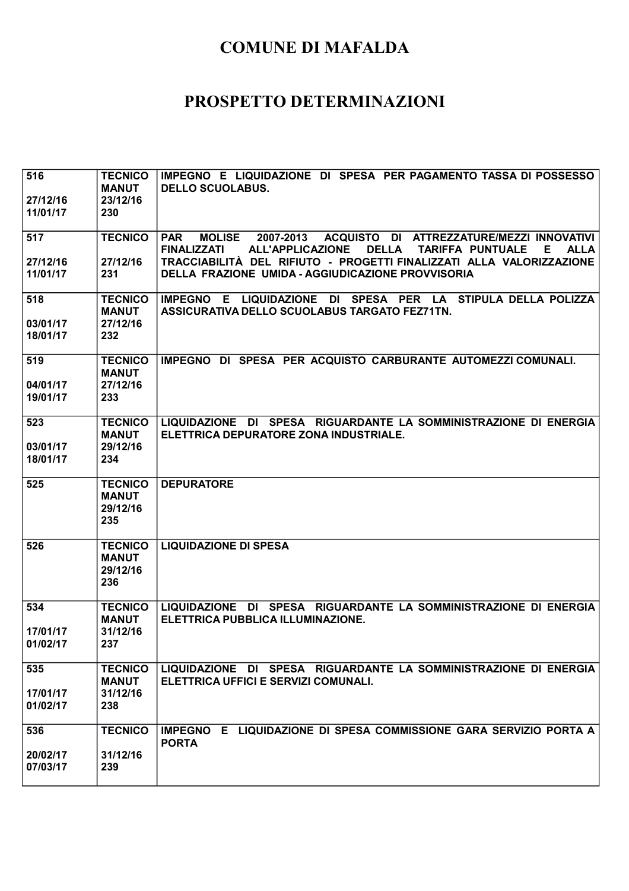| 516                  | <b>TECNICO</b>                 | IMPEGNO E LIQUIDAZIONE DI SPESA PER PAGAMENTO TASSA DI POSSESSO                                              |
|----------------------|--------------------------------|--------------------------------------------------------------------------------------------------------------|
| 27/12/16             | <b>MANUT</b><br>23/12/16       | <b>DELLO SCUOLABUS.</b>                                                                                      |
| 11/01/17             | 230                            |                                                                                                              |
| 517                  | <b>TECNICO</b>                 | <b>PAR</b><br><b>MOLISE</b><br>ACQUISTO DI ATTREZZATURE/MEZZI INNOVATIVI<br>2007-2013                        |
|                      |                                | <b>FINALIZZATI</b><br><b>ALL'APPLICAZIONE</b><br><b>DELLA</b><br><b>ALLA</b><br><b>TARIFFA PUNTUALE</b><br>Е |
| 27/12/16             | 27/12/16                       | TRACCIABILITÀ DEL RIFIUTO - PROGETTI FINALIZZATI ALLA VALORIZZAZIONE                                         |
| 11/01/17             | 231                            | DELLA FRAZIONE UMIDA - AGGIUDICAZIONE PROVVISORIA                                                            |
| 518                  | <b>TECNICO</b>                 | IMPEGNO E LIQUIDAZIONE DI SPESA PER LA STIPULA DELLA POLIZZA                                                 |
|                      | <b>MANUT</b>                   | ASSICURATIVA DELLO SCUOLABUS TARGATO FEZ71TN.                                                                |
| 03/01/17<br>18/01/17 | 27/12/16<br>232                |                                                                                                              |
|                      |                                |                                                                                                              |
| 519                  | <b>TECNICO</b><br><b>MANUT</b> | IMPEGNO DI SPESA PER ACQUISTO CARBURANTE AUTOMEZZI COMUNALI.                                                 |
| 04/01/17             | 27/12/16                       |                                                                                                              |
| 19/01/17             | 233                            |                                                                                                              |
| 523                  | <b>TECNICO</b>                 | LIQUIDAZIONE DI SPESA RIGUARDANTE LA SOMMINISTRAZIONE DI ENERGIA                                             |
|                      | <b>MANUT</b>                   | ELETTRICA DEPURATORE ZONA INDUSTRIALE.                                                                       |
| 03/01/17<br>18/01/17 | 29/12/16<br>234                |                                                                                                              |
|                      |                                |                                                                                                              |
| 525                  | <b>TECNICO</b>                 | <b>DEPURATORE</b>                                                                                            |
|                      | <b>MANUT</b><br>29/12/16       |                                                                                                              |
|                      | 235                            |                                                                                                              |
|                      |                                |                                                                                                              |
| 526                  | <b>TECNICO</b><br><b>MANUT</b> | <b>LIQUIDAZIONE DI SPESA</b>                                                                                 |
|                      | 29/12/16                       |                                                                                                              |
|                      | 236                            |                                                                                                              |
| 534                  | <b>TECNICO</b>                 | LIQUIDAZIONE DI SPESA RIGUARDANTE LA SOMMINISTRAZIONE DI ENERGIA                                             |
| 17/01/17             | <b>MANUT</b><br>31/12/16       | ELETTRICA PUBBLICA ILLUMINAZIONE.                                                                            |
| 01/02/17             | 237                            |                                                                                                              |
|                      |                                |                                                                                                              |
| 535                  | <b>TECNICO</b>                 | LIQUIDAZIONE DI SPESA RIGUARDANTE LA SOMMINISTRAZIONE DI ENERGIA<br>ELETTRICA UFFICI E SERVIZI COMUNALI.     |
| 17/01/17             | <b>MANUT</b><br>31/12/16       |                                                                                                              |
| 01/02/17             | 238                            |                                                                                                              |
| 536                  | <b>TECNICO</b>                 | IMPEGNO E LIQUIDAZIONE DI SPESA COMMISSIONE GARA SERVIZIO PORTA A                                            |
|                      |                                | <b>PORTA</b>                                                                                                 |
| 20/02/17             | 31/12/16                       |                                                                                                              |
| 07/03/17             | 239                            |                                                                                                              |